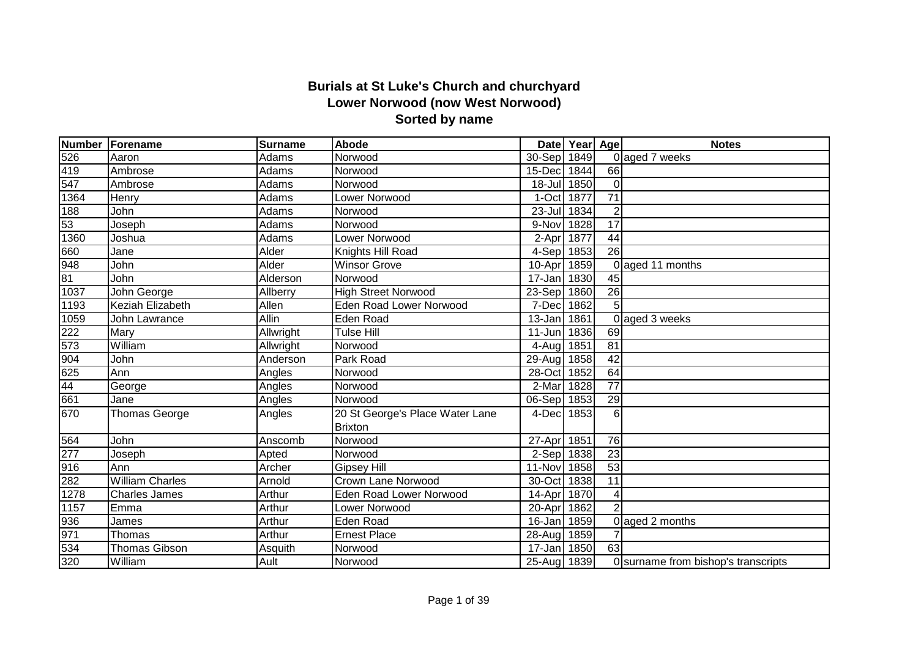## **Burials at St Luke's Church and churchyard Lower Norwood (now West Norwood) Sorted by name**

|      | Number Forename        | <b>Surname</b>   | Abode                           |                      | Date Year Age |                 | <b>Notes</b>                        |
|------|------------------------|------------------|---------------------------------|----------------------|---------------|-----------------|-------------------------------------|
| 526  | Aaron                  | Adams            | Norwood                         | 30-Sep               | 1849          |                 | 0 aged 7 weeks                      |
| 419  | Ambrose                | Adams            | Norwood                         | 15-Dec               | 1844          | 66              |                                     |
| 547  | Ambrose                | Adams            | Norwood                         | 18-Jul 1850          |               | $\Omega$        |                                     |
| 1364 | Henry                  | Adams            | Lower Norwood                   | 1-Oct                | 1877          | $\overline{71}$ |                                     |
| 188  | John                   | Adams            | Norwood                         | $23 -$ Jul           | 1834          | $\overline{2}$  |                                     |
| 53   | Joseph                 | Adams            | Norwood                         | 9-Nov                | 1828          | $\overline{17}$ |                                     |
| 1360 | Joshua                 | Adams            | Lower Norwood                   | 2-Apr                | 1877          | $\overline{44}$ |                                     |
| 660  | Jane                   | Alder            | Knights Hill Road               | 4-Sep 1853           |               | $\overline{26}$ |                                     |
| 948  | John                   | Alder            | <b>Winsor Grove</b>             | 10-Apr               | 1859          |                 | 0 aged 11 months                    |
| 81   | John                   | Alderson         | Norwood                         | $\overline{1}$ 7-Jan | 1830          | 45              |                                     |
| 1037 | John George            | Allberry         | <b>High Street Norwood</b>      | 23-Sep               | 1860          | $\overline{26}$ |                                     |
| 1193 | Keziah Elizabeth       | Allen            | <b>Eden Road Lower Norwood</b>  | 7-Dec                | 1862          | $\overline{5}$  |                                     |
| 1059 | John Lawrance          | Allin            | Eden Road                       | 13-Jan               | 1861          |                 | 0 aged 3 weeks                      |
| 222  | Mary                   | Allwright        | Tulse Hill                      | 11-Jun               | 1836          | 69              |                                     |
| 573  | William                | <b>Allwright</b> | Norwood                         | 4-Aug                | 1851          | $\overline{81}$ |                                     |
| 904  | John                   | Anderson         | Park Road                       | 29-Aug               | 1858          | $\overline{42}$ |                                     |
| 625  | Ann                    | Angles           | Norwood                         | 28-Oct               | 1852          | 64              |                                     |
| 44   | George                 | Angles           | Norwood                         | 2-Mar                | 1828          | $\overline{77}$ |                                     |
| 661  | Jane                   | Angles           | Norwood                         | 06-Sep               | 1853          | 29              |                                     |
| 670  | <b>Thomas George</b>   | Angles           | 20 St George's Place Water Lane | 4-Dec                | 1853          | 6               |                                     |
|      |                        |                  | <b>Brixton</b>                  |                      |               |                 |                                     |
| 564  | John                   | Anscomb          | Norwood                         | 27-Apr               | 1851          | 76              |                                     |
| 277  | Joseph                 | Apted            | Norwood                         | 2-Sep 1838           |               | $\overline{23}$ |                                     |
| 916  | Ann                    | Archer           | Gipsey Hill                     | 11-Nov               | 1858          | 53              |                                     |
| 282  | <b>William Charles</b> | Arnold           | <b>Crown Lane Norwood</b>       | 30-Oct               | 1838          | $\overline{11}$ |                                     |
| 1278 | <b>Charles James</b>   | Arthur           | <b>Eden Road Lower Norwood</b>  | 14-Apr               | 1870          | $\overline{4}$  |                                     |
| 1157 | Emma                   | Arthur           | Lower Norwood                   | 20-Apr               | 1862          | $\mathcal{P}$   |                                     |
| 936  | James                  | Arthur           | <b>Eden Road</b>                | 16-Jan               | 1859          |                 | 0 aged 2 months                     |
| 971  | Thomas                 | Arthur           | <b>Ernest Place</b>             | 28-Aug 1859          |               |                 |                                     |
| 534  | <b>Thomas Gibson</b>   | Asquith          | Norwood                         | $\overline{17}$ -Jan | 1850          | 63              |                                     |
| 320  | William                | Ault             | Norwood                         | 25-Aug 1839          |               |                 | 0 surname from bishop's transcripts |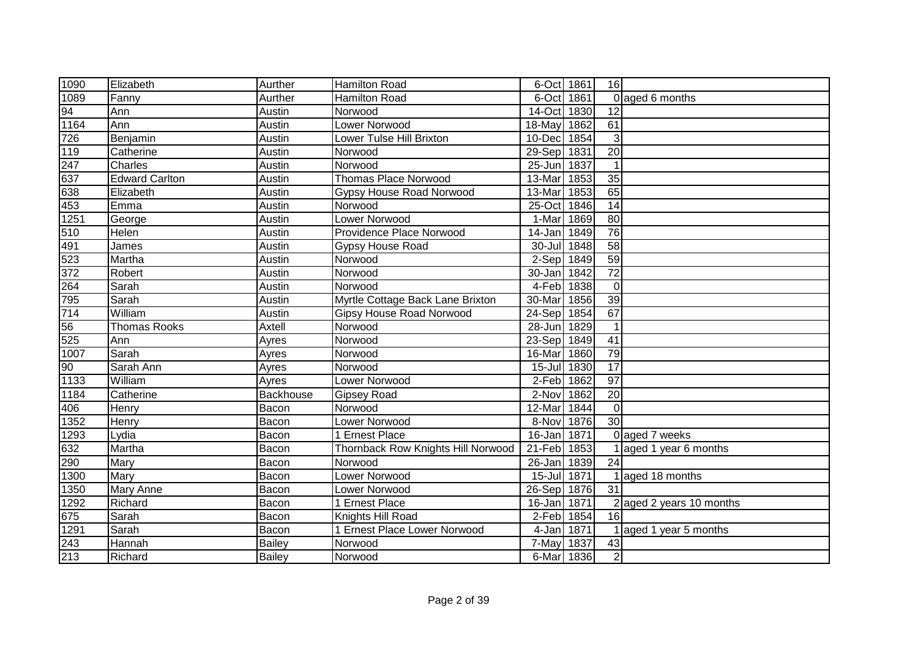| 1090              | Elizabeth             | Aurther       | <b>Hamilton Road</b>               | 6-Oct 1861  |      | 16              |                          |
|-------------------|-----------------------|---------------|------------------------------------|-------------|------|-----------------|--------------------------|
| 1089              | Fanny                 | Aurther       | <b>Hamilton Road</b>               | 6-Oct 1861  |      |                 | 0 aged 6 months          |
|                   | Ann                   | Austin        | Norwood                            | 14-Oct      | 1830 | 12              |                          |
| $\frac{94}{1164}$ | Ann                   | Austin        | Lower Norwood                      | 18-May      | 1862 | 61              |                          |
| 726               | Benjamin              | Austin        | Lower Tulse Hill Brixton           | 10-Dec      | 1854 | 3               |                          |
| $\overline{119}$  | Catherine             | Austin        | Norwood                            | 29-Sep 1831 |      | $\overline{20}$ |                          |
| 247               | Charles               | Austin        | Norwood                            | 25-Jun 1837 |      | $\mathbf 1$     |                          |
| $\frac{1}{637}$   | <b>Edward Carlton</b> | Austin        | <b>Thomas Place Norwood</b>        | 13-Mar      | 1853 | $\overline{35}$ |                          |
| 638               | Elizabeth             | Austin        | <b>Gypsy House Road Norwood</b>    | 13-Mar      | 1853 | 65              |                          |
| 453               | Emma                  | Austin        | Norwood                            | 25-Oct 1846 |      | 14              |                          |
| 1251              | George                | Austin        | Lower Norwood                      | 1-Mar 1869  |      | 80              |                          |
| 510               | Helen                 | Austin        | Providence Place Norwood           | 14-Jan 1849 |      | 76              |                          |
| 491               | James                 | Austin        | Gypsy House Road                   | 30-Jul 1848 |      | 58              |                          |
| 523               | Martha                | Austin        | Norwood                            | 2-Sep 1849  |      | 59              |                          |
| 372               | Robert                | Austin        | Norwood                            | 30-Jan 1842 |      | $\overline{72}$ |                          |
| 264               | Sarah                 | Austin        | Norwood                            | 4-Feb 1838  |      | $\mathbf 0$     |                          |
| 795               | Sarah                 | Austin        | Myrtle Cottage Back Lane Brixton   | 30-Mar      | 1856 | 39              |                          |
| 714               | William               | Austin        | <b>Gipsy House Road Norwood</b>    | 24-Sep      | 1854 | 67              |                          |
| 56                | <b>Thomas Rooks</b>   | Axtell        | Norwood                            | $28 - Jun$  | 1829 | $\mathbf{1}$    |                          |
| 525               | Ann                   | Ayres         | Norwood                            | 23-Sep 1849 |      | 41              |                          |
| $\overline{1007}$ | Sarah                 | Ayres         | Norwood                            | 16-Mar      | 1860 | 79              |                          |
| $\overline{6}$    | Sarah Ann             | Ayres         | Norwood                            | 15-Jul 1830 |      | 17              |                          |
| 1133              | William               | Ayres         | Lower Norwood                      | 2-Feb 1862  |      | 97              |                          |
| 1184              | Catherine             | Backhouse     | <b>Gipsey Road</b>                 | 2-Nov 1862  |      | 20              |                          |
| 406               | Henry                 | Bacon         | Norwood                            | 12-Mar 1844 |      | $\mathbf 0$     |                          |
| 1352              | Henry                 | Bacon         | Lower Norwood                      | 8-Nov 1876  |      | 30              |                          |
| 1293              | Lydia                 | Bacon         | 1 Ernest Place                     | 16-Jan 1871 |      |                 | 0 aged 7 weeks           |
| 632               | Martha                | Bacon         | Thornback Row Knights Hill Norwood | 21-Feb 1853 |      |                 | 1 aged 1 year 6 months   |
| 290               | Mary                  | Bacon         | Norwood                            | 26-Jan 1839 |      | 24              |                          |
| 1300              | Mary                  | Bacon         | Lower Norwood                      | 15-Jul 1871 |      |                 | 1 aged 18 months         |
| 1350              | <b>Mary Anne</b>      | Bacon         | Lower Norwood                      | 26-Sep 1876 |      | $\overline{31}$ |                          |
| 1292              | Richard               | Bacon         | 1 Ernest Place                     | 16-Jan 1871 |      |                 | 2 aged 2 years 10 months |
| 675               | Sarah                 | Bacon         | Knights Hill Road                  | 2-Feb 1854  |      | 16              |                          |
| 1291              | Sarah                 | Bacon         | 1 Ernest Place Lower Norwood       | 4-Jan 1871  |      |                 | aged 1 year 5 months     |
| 243               | Hannah                | <b>Bailey</b> | Norwood                            | 7-May 1837  |      | 43              |                          |
| 213               | Richard               | <b>Bailey</b> | Norwood                            | 6-Mar 1836  |      | $\overline{2}$  |                          |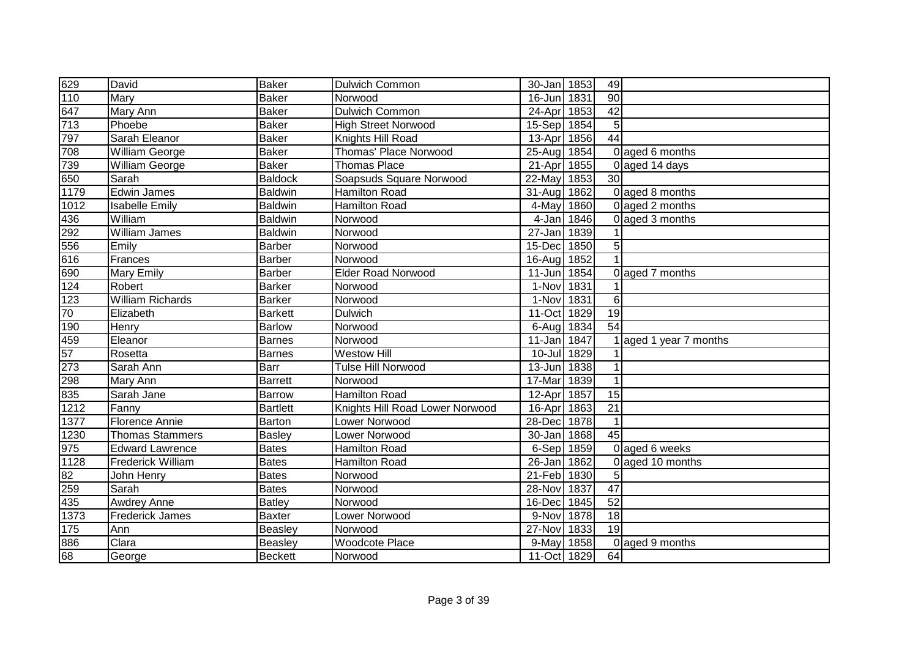| 629              | David                    | <b>Baker</b>    | <b>Dulwich Common</b>           | 30-Jan 1853 |      | 49              |                        |
|------------------|--------------------------|-----------------|---------------------------------|-------------|------|-----------------|------------------------|
| $\overline{110}$ | Mary                     | <b>Baker</b>    | Norwood                         | 16-Jun 1831 |      | $\overline{90}$ |                        |
| 647              | Mary Ann                 | <b>Baker</b>    | <b>Dulwich Common</b>           | 24-Apr      | 1853 | $\overline{42}$ |                        |
| $\overline{713}$ | Phoebe                   | <b>Baker</b>    | <b>High Street Norwood</b>      | 15-Sep 1854 |      | 5               |                        |
| 797              | Sarah Eleanor            | <b>Baker</b>    | Knights Hill Road               | $13-Apr$    | 1856 | 44              |                        |
| 708              | <b>William George</b>    | <b>Baker</b>    | <b>Thomas' Place Norwood</b>    | 25-Aug 1854 |      |                 | 0 aged 6 months        |
| 739              | <b>William George</b>    | <b>Baker</b>    | <b>Thomas Place</b>             | 21-Apr      | 1855 |                 | 0 aged 14 days         |
| 650              | Sarah                    | <b>Baldock</b>  | Soapsuds Square Norwood         | 22-May      | 1853 | $\overline{30}$ |                        |
| 1179             | <b>Edwin James</b>       | <b>Baldwin</b>  | <b>Hamilton Road</b>            | 31-Aug 1862 |      |                 | 0 aged 8 months        |
| 1012             | <b>Isabelle Emily</b>    | <b>Baldwin</b>  | <b>Hamilton Road</b>            | 4-May       | 1860 |                 | 0 aged 2 months        |
| 436              | William                  | <b>Baldwin</b>  | Norwood                         | 4-Jan 1846  |      |                 | 0 aged 3 months        |
| 292              | <b>William James</b>     | <b>Baldwin</b>  | Norwood                         | 27-Jan 1839 |      |                 |                        |
| 556              | Emily                    | Barber          | Norwood                         | 15-Dec      | 1850 | 5               |                        |
| 616              | Frances                  | <b>Barber</b>   | Norwood                         | 16-Aug      | 1852 | 1               |                        |
| 690              | <b>Mary Emily</b>        | Barber          | <b>Elder Road Norwood</b>       | 11-Jun      | 1854 | $\Omega$        | aged 7 months          |
| 124              | <b>Robert</b>            | <b>Barker</b>   | Norwood                         | 1-Nov 1831  |      |                 |                        |
| $\overline{123}$ | William Richards         | <b>Barker</b>   | Norwood                         | 1-Nov 1831  |      | 6               |                        |
| 70               | Elizabeth                | <b>Barkett</b>  | Dulwich                         | 11-Oct      | 1829 | 19              |                        |
| 190              | Henry                    | <b>Barlow</b>   | Norwood                         | 6-Aug 1834  |      | 54              |                        |
| 459              | Eleanor                  | <b>Barnes</b>   | Norwood                         | 11-Jan 1847 |      |                 | 1 aged 1 year 7 months |
| 57               | Rosetta                  | <b>Barnes</b>   | <b>Westow Hill</b>              | 10-Jul 1829 |      |                 |                        |
| 273              | Sarah Ann                | Barr            | <b>Tulse Hill Norwood</b>       | 13-Jun 1838 |      |                 |                        |
| 298              | Mary Ann                 | <b>Barrett</b>  | Norwood                         | 17-Mar      | 1839 | $\mathbf{1}$    |                        |
| 835              | Sarah Jane               | Barrow          | Hamilton Road                   | 12-Apr      | 1857 | 15              |                        |
| 1212             | Fanny                    | <b>Bartlett</b> | Knights Hill Road Lower Norwood | 16-Apr 1863 |      | 21              |                        |
| $\frac{1377}{1}$ | Florence Annie           | Barton          | Lower Norwood                   | 28-Dec 1878 |      | $\mathbf{1}$    |                        |
| 1230             | <b>Thomas Stammers</b>   | <b>Basley</b>   | Lower Norwood                   | 30-Jan 1868 |      | $\overline{45}$ |                        |
| 975              | <b>Edward Lawrence</b>   | <b>Bates</b>    | <b>Hamilton Road</b>            | 6-Sep 1859  |      |                 | 0 aged 6 weeks         |
| 1128             | <b>Frederick William</b> | <b>Bates</b>    | <b>Hamilton Road</b>            | 26-Jan 1862 |      | $\Omega$        | aged 10 months         |
| 82               | John <u>Henry</u>        | <b>Bates</b>    | Norwood                         | 21-Feb 1830 |      | 5               |                        |
| 259              | Sarah                    | <b>Bates</b>    | Norwood                         | 28-Nov      | 1837 | 47              |                        |
| 435              | <b>Awdrey Anne</b>       | <b>Batley</b>   | Norwood                         | 16-Dec 1845 |      | 52              |                        |
| 1373             | <b>Frederick James</b>   | <b>Baxter</b>   | Lower Norwood                   | 9-Nov       | 1878 | 18              |                        |
| 175              | Ann                      | Beasley         | Norwood                         | 27-Nov      | 1833 | 19              |                        |
| 886              | Clara                    | <b>Beasley</b>  | <b>Woodcote Place</b>           | 9-May       | 1858 | $\Omega$        | aged 9 months          |
| 68               | George                   | <b>Beckett</b>  | Norwood                         | 11-Oct 1829 |      | 64              |                        |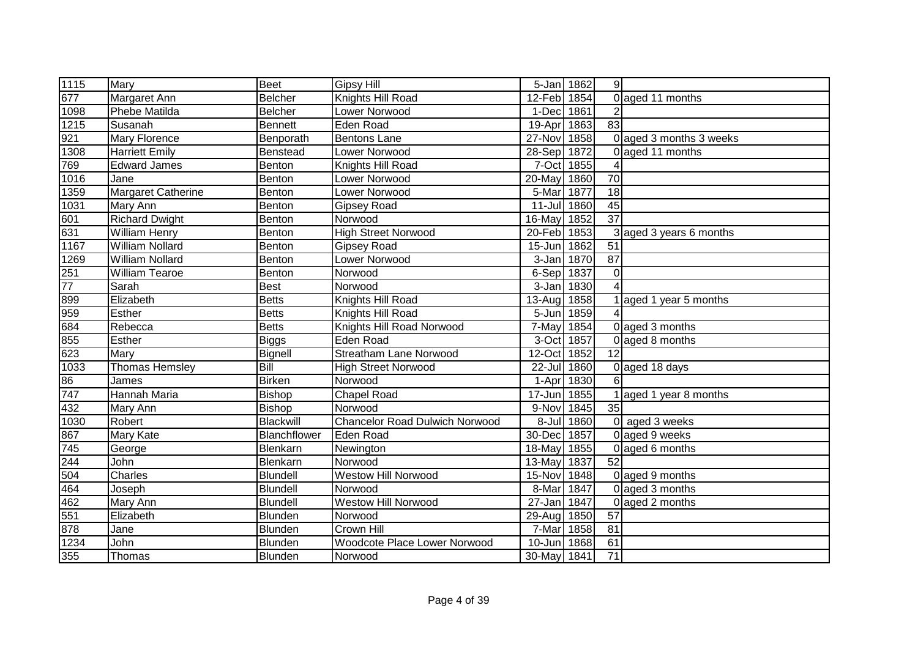| 1115                      | Mary                   | <b>Beet</b>    | <b>Gipsy Hill</b>                     | 5-Jan 1862  |      | 9 <sup>1</sup>  |                         |
|---------------------------|------------------------|----------------|---------------------------------------|-------------|------|-----------------|-------------------------|
| 677                       | Margaret Ann           | Belcher        | Knights Hill Road                     | 12-Feb 1854 |      |                 | 0 aged 11 months        |
| 1098                      | <b>Phebe Matilda</b>   | Belcher        | Lower Norwood                         | 1-Dec       | 1861 |                 |                         |
| 1215                      | Susanah                | <b>Bennett</b> | <b>Eden Road</b>                      | 19-Apr      | 1863 | 83              |                         |
| $\frac{921}{1308}$        | <b>Mary Florence</b>   | Benporath      | <b>Bentons Lane</b>                   | 27-Nov      | 1858 |                 | 0 aged 3 months 3 weeks |
|                           | <b>Harriett Emily</b>  | Benstead       | <b>Lower Norwood</b>                  | 28-Sep 1872 |      |                 | 0 aged 11 months        |
| 769                       | <b>Edward James</b>    | Benton         | Knights Hill Road                     | 7-Oct 1855  |      |                 |                         |
| 1016                      | Jane                   | Benton         | Lower Norwood                         | 20-May      | 1860 | 70              |                         |
| 1359                      | Margaret Catherine     | Benton         | Lower Norwood                         | 5-Mar       | 1877 | 18              |                         |
| 1031                      | Mary Ann               | Benton         | <b>Gipsey Road</b>                    | 11-Jul 1860 |      | 45              |                         |
| 601                       | <b>Richard Dwight</b>  | Benton         | Norwood                               | 16-May      | 1852 | $\overline{37}$ |                         |
| 631                       | <b>William Henry</b>   | Benton         | <b>High Street Norwood</b>            | 20-Feb      | 1853 |                 | 3 aged 3 years 6 months |
| $\frac{1167}{1}$          | <b>William Nollard</b> | Benton         | <b>Gipsey Road</b>                    | $15 - Jun$  | 1862 | 51              |                         |
| 1269                      | <b>William Nollard</b> | Benton         | Lower Norwood                         | 3-Jan       | 1870 | $\overline{87}$ |                         |
| 251                       | <b>William Tearoe</b>  | Benton         | Norwood                               | 6-Sep 1837  |      | $\overline{0}$  |                         |
| $\overline{77}$           | Sarah                  | <b>Best</b>    | Norwood                               | 3-Jan       | 1830 | 4               |                         |
| 899                       | Elizabeth              | <b>Betts</b>   | Knights Hill Road                     | $13-Auq$    | 1858 |                 | 1 aged 1 year 5 months  |
| 959                       | Esther                 | <b>Betts</b>   | Knights Hill Road                     | 5-Jun 1859  |      |                 |                         |
| 684                       | Rebecca                | <b>Betts</b>   | Knights Hill Road Norwood             | 7-May       | 1854 |                 | 0 aged 3 months         |
| 855                       | Esther                 | <b>Biggs</b>   | <b>Eden Road</b>                      | 3-Oct       | 1857 |                 | 0 aged 8 months         |
| $\frac{666}{623}$<br>1033 | Mary                   | Bignell        | <b>Streatham Lane Norwood</b>         | 12-Oct      | 1852 | 12              |                         |
|                           | <b>Thomas Hemsley</b>  | Bill           | <b>High Street Norwood</b>            | 22-Jul 1860 |      |                 | 0 aged 18 days          |
| 86<br>747                 | James                  | <b>Birken</b>  | Norwood                               | 1-Apr 1830  |      | 61              |                         |
|                           | Hannah Maria           | Bishop         | <b>Chapel Road</b>                    | $17 - Jun$  | 1855 |                 | 1 aged 1 year 8 months  |
| 432                       | Mary Ann               | Bishop         | Norwood                               | 9-Nov       | 1845 | 35              |                         |
| 1030                      | Robert                 | Blackwill      | <b>Chancelor Road Dulwich Norwood</b> | 8-Jul       | 1860 |                 | 0 aged 3 weeks          |
| 867                       | Mary Kate              | Blanchflower   | Eden Road                             | 30-Dec      | 1857 |                 | 0 aged 9 weeks          |
| 745                       | George                 | Blenkarn       | Newington                             | 18-May      | 1855 |                 | 0 aged 6 months         |
| 244<br>504                | John                   | Blenkarn       | Norwood                               | 13-May      | 1837 | 52              |                         |
|                           | Charles                | Blundell       | <b>Westow Hill Norwood</b>            | 15-Nov      | 1848 |                 | 0 aged 9 months         |
| 464                       | Joseph                 | Blundell       | Norwood                               | 8-Mar       | 1847 |                 | $0$ aged 3 months       |
| 462                       | Mary Ann               | Blundell       | <b>Westow Hill Norwood</b>            | $27 - Jan$  | 1847 |                 | 0 aged 2 months         |
| 551                       | Elizabeth              | Blunden        | Norwood                               | 29-Aug 1850 |      | 57              |                         |
| 878                       | Jane                   | Blunden        | Crown Hill                            | 7-Mar       | 1858 | 81              |                         |
| 1234                      | John                   | Blunden        | Woodcote Place Lower Norwood          | 10-Jun      | 1868 | 61              |                         |
| 355                       | Thomas                 | Blunden        | Norwood                               | 30-May 1841 |      | 71              |                         |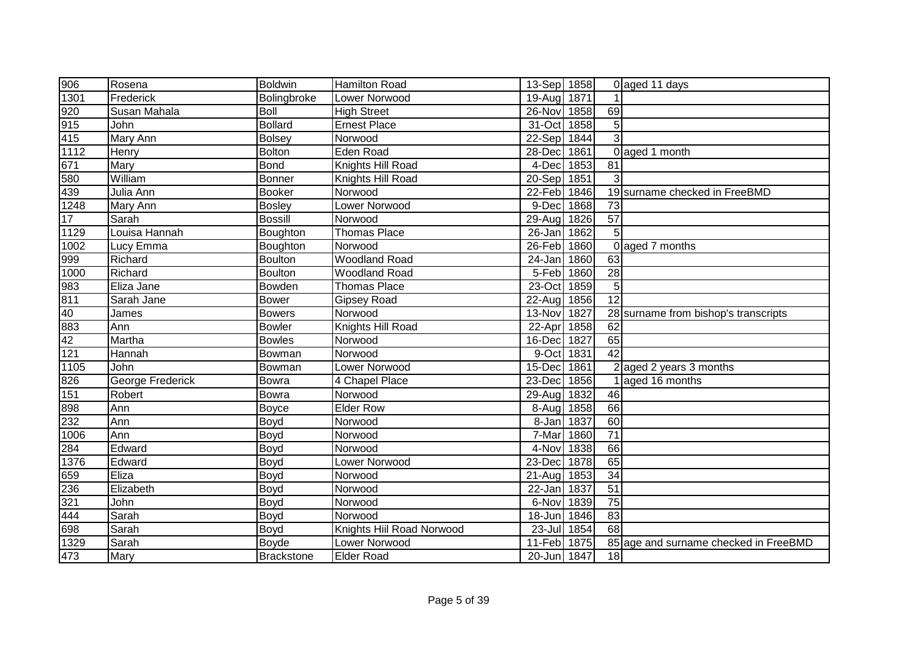| 906                | Rosena           | <b>Boldwin</b>    | <b>Hamilton Road</b>      | 13-Sep 1858 |      |                 | 0 aged 11 days                        |
|--------------------|------------------|-------------------|---------------------------|-------------|------|-----------------|---------------------------------------|
| 1301               | Frederick        | Bolingbroke       | Lower Norwood             | 19-Aug 1871 |      | $\mathbf{1}$    |                                       |
| 920                | Susan Mahala     | Boll              | <b>High Street</b>        | 26-Nov      | 1858 | 69              |                                       |
| 915                | John             | <b>Bollard</b>    | <b>Ernest Place</b>       | 31-Oct      | 1858 | $\overline{5}$  |                                       |
| 415                | Mary Ann         | Bolsey            | Norwood                   | $22-Sep$    | 1844 | 3               |                                       |
| 1112               | Henry            | Bolton            | <b>Eden Road</b>          | 28-Dec      | 1861 |                 | 0 aged 1 month                        |
| 671                | Mary             | <b>Bond</b>       | Knights Hill Road         | 4-Dec       | 1853 | $\overline{81}$ |                                       |
| 580                | William          | Bonner            | Knights Hill Road         | $20-Sep$    | 1851 | 3               |                                       |
| 439                | Julia Ann        | <b>Booker</b>     | Norwood                   | 22-Feb 1846 |      |                 | 19 surname checked in FreeBMD         |
| $\overline{1248}$  | Mary Ann         | Bosley            | Lower Norwood             | 9-Dec       | 1868 | $\overline{73}$ |                                       |
| 17                 | Sarah            | <b>Bossill</b>    | Norwood                   | $29$ -Aug   | 1826 | $\overline{57}$ |                                       |
| 1129               | Louisa Hannah    | Boughton          | <b>Thomas Place</b>       | $26 - Jan$  | 1862 | $\overline{5}$  |                                       |
| 1002               | Lucy Emma        | Boughton          | Norwood                   | 26-Feb      | 1860 |                 | 0 aged 7 months                       |
| 999                | Richard          | Boulton           | <b>Woodland Road</b>      | 24-Jan      | 1860 | 63              |                                       |
| 1000               | Richard          | Boulton           | <b>Woodland Road</b>      | 5-Feb       | 1860 | 28              |                                       |
| 983                | Eliza Jane       | Bowden            | <b>Thomas Place</b>       | 23-Oct      | 1859 | $\overline{5}$  |                                       |
| 811                | Sarah Jane       | <b>Bower</b>      | <b>Gipsey Road</b>        | 22-Aug      | 1856 | 12              |                                       |
| 40                 | James            | <b>Bowers</b>     | Norwood                   | 13-Nov      | 1827 |                 | 28 surname from bishop's transcripts  |
| 883                | Ann              | <b>Bowler</b>     | Knights Hill Road         | 22-Apr      | 1858 | 62              |                                       |
| 42                 | Martha           | <b>Bowles</b>     | Norwood                   | 16-Dec      | 1827 | 65              |                                       |
| 121                | Hannah           | Bowman            | Norwood                   | 9-Oct       | 1831 | 42              |                                       |
| 1105               | John             | Bowman            | Lower Norwood             | 15-Dec 1861 |      |                 | $2$ aged 2 years 3 months             |
| 826                | George Frederick | Bowra             | 4 Chapel Place            | 23-Dec 1856 |      |                 | 1aged 16 months                       |
| 151                | Robert           | Bowra             | Norwood                   | 29-Aug 1832 |      | 46              |                                       |
|                    | Ann              | Boyce             | <b>Elder Row</b>          | 8-Aug       | 1858 | 66              |                                       |
|                    | Ann              | Boyd              | Norwood                   | 8-Jan       | 1837 | 60              |                                       |
| 898<br>232<br>1006 | Ann              | Boyd              | Norwood                   | 7-Mar       | 1860 | $\overline{71}$ |                                       |
| 284                | Edward           | Boyd              | Norwood                   | 4-Nov       | 1838 | 66              |                                       |
| 1376               | Edward           | Boyd              | Lower Norwood             | 23-Decl     | 1878 | 65              |                                       |
| 659                | Eliza            | Boyd              | Norwood                   | $21 - Aug$  | 1853 | 34              |                                       |
| 236                | Elizabeth        | Boyd              | Norwood                   | $22$ -Jan   | 1837 | $\overline{51}$ |                                       |
| 321                | John             | Boyd              | Norwood                   | 6-Nov       | 1839 | $\overline{75}$ |                                       |
| $\overline{444}$   | Sarah            | Boyd              | Norwood                   | 18-Jun      | 1846 | $\overline{83}$ |                                       |
| 698                | Sarah            | Boyd              | Knights Hiil Road Norwood | $23 -$ Jul  | 1854 | 68              |                                       |
| 1329               | Sarah            | Boyde             | Lower Norwood             | $11-Feb$    | 1875 |                 | 85 age and surname checked in FreeBMD |
| 473                | Mary             | <b>Brackstone</b> | <b>Elder Road</b>         | 20-Jun 1847 |      | 18              |                                       |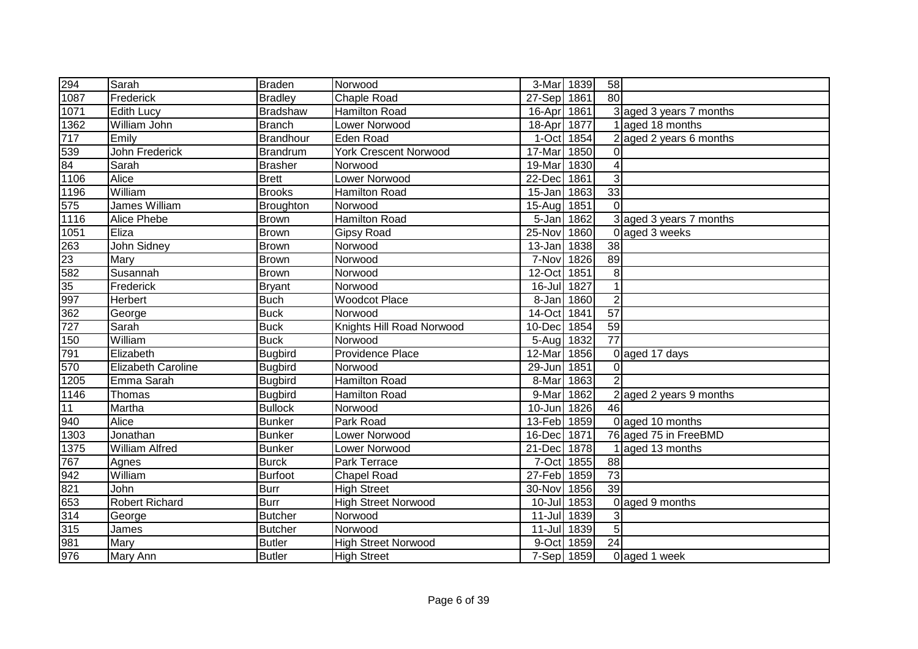| 294                            | Sarah                 | <b>Braden</b>    | Norwood                      | 3-Mar 1839  |      | 58              |                         |
|--------------------------------|-----------------------|------------------|------------------------------|-------------|------|-----------------|-------------------------|
| 1087                           | Frederick             | <b>Bradley</b>   | Chaple Road                  | 27-Sep 1861 |      | 80              |                         |
| 1071                           | <b>Edith Lucy</b>     | Bradshaw         | <b>Hamilton Road</b>         | 16-Apr 1861 |      |                 | 3 aged 3 years 7 months |
| 1362                           | William John          | <b>Branch</b>    | Lower Norwood                | 18-Apr 1877 |      |                 | 1 aged 18 months        |
| 717                            | Emily                 | Brandhour        | <b>Eden Road</b>             | 1-Oct 1854  |      |                 | 2 aged 2 years 6 months |
| $\frac{11}{539}$<br>84<br>1106 | John Frederick        | Brandrum         | <b>York Crescent Norwood</b> | 17-Mar      | 1850 | $\Omega$        |                         |
|                                | Sarah                 | <b>Brasher</b>   | Norwood                      | 19-Mar      | 1830 | 4               |                         |
|                                | Alice                 | <b>Brett</b>     | Lower Norwood                | 22-Dec      | 1861 | $\overline{3}$  |                         |
| 1196                           | William               | <b>Brooks</b>    | <b>Hamilton Road</b>         | $15 - Jan$  | 1863 | 33              |                         |
| 575                            | James William         | <b>Broughton</b> | Norwood                      | $15 - Aug$  | 1851 | $\Omega$        |                         |
| 1116                           | Alice Phebe           | Brown            | <b>Hamilton Road</b>         | 5-Jan       | 1862 |                 | 3 aged 3 years 7 months |
| $\overline{1051}$              | Eliza                 | <b>Brown</b>     | <b>Gipsy Road</b>            | 25-Nov      | 1860 |                 | 0 aged 3 weeks          |
| 263                            | John Sidney           | Brown            | Norwood                      | 13-Jan      | 1838 | $\overline{38}$ |                         |
| $\frac{12}{23}$                | Mary                  | Brown            | Norwood                      | 7-Nov       | 1826 | 89              |                         |
|                                | Susannah              | Brown            | Norwood                      | 12-Oct      | 1851 | 8 <sup>1</sup>  |                         |
| 35                             | Frederick             | <b>Bryant</b>    | Norwood                      | $16 -$ Jul  | 1827 | 1               |                         |
| 997                            | Herbert               | <b>Buch</b>      | <b>Woodcot Place</b>         | 8-Jan 1860  |      | $\overline{2}$  |                         |
| 362                            | George                | <b>Buck</b>      | Norwood                      | 14-Oct 1841 |      | 57              |                         |
| 727                            | Sarah                 | <b>Buck</b>      | Knights Hill Road Norwood    | 10-Dec      | 1854 | 59              |                         |
| 150                            | William               | <b>Buck</b>      | Norwood                      | 5-Aug       | 1832 | $\overline{77}$ |                         |
| 791                            | Elizabeth             | <b>Bugbird</b>   | Providence Place             | 12-Mar      | 1856 |                 | 0 aged 17 days          |
| $\frac{181}{570}$<br>1205      | Elizabeth Caroline    | <b>Bugbird</b>   | Norwood                      | $29$ -Jun   | 1851 | $\Omega$        |                         |
|                                | Emma Sarah            | <b>Bugbird</b>   | <b>Hamilton Road</b>         | 8-Mar       | 1863 | $\mathcal{P}$   |                         |
| 1146                           | Thomas                | <b>Bugbird</b>   | Hamilton Road                | 9-Mar       | 1862 |                 | 2 aged 2 years 9 months |
| 11                             | Martha                | <b>Bullock</b>   | Norwood                      | $10 - Jun$  | 1826 | 46              |                         |
| 940                            | Alice                 | <b>Bunker</b>    | Park Road                    | 13-Feb      | 1859 |                 | 0 aged 10 months        |
| 1303                           | Jonathan              | <b>Bunker</b>    | Lower Norwood                | 16-Dec      | 1871 |                 | 76 aged 75 in FreeBMD   |
| 1375                           | <b>William Alfred</b> | <b>Bunker</b>    | Lower Norwood                | 21-Dec      | 1878 |                 | 1 aged 13 months        |
| 767                            | Agnes                 | <b>Burck</b>     | Park Terrace                 | 7-Oct       | 1855 | 88              |                         |
| 942                            | William               | Burfoot          | <b>Chapel Road</b>           | 27-Feb      | 1859 | 73              |                         |
| 821                            | John                  | <b>Burr</b>      | <b>High Street</b>           | 30-Nov      | 1856 | 39              |                         |
| 653                            | <b>Robert Richard</b> | <b>Burr</b>      | <b>High Street Norwood</b>   | 10-Jul      | 1853 |                 | 0 aged 9 months         |
| 314                            | George                | <b>Butcher</b>   | Norwood                      | 11-Jul 1839 |      | 3 <sup>1</sup>  |                         |
| 315                            | James                 | <b>Butcher</b>   | Norwood                      | 11-Jul 1839 |      | 5 <sup>1</sup>  |                         |
| 981                            | Mary                  | <b>Butler</b>    | <b>High Street Norwood</b>   | 9-Oct       | 1859 | 24              |                         |
| 976                            | Mary Ann              | <b>Butler</b>    | <b>High Street</b>           | 7-Sep 1859  |      |                 | 0 aged 1 week           |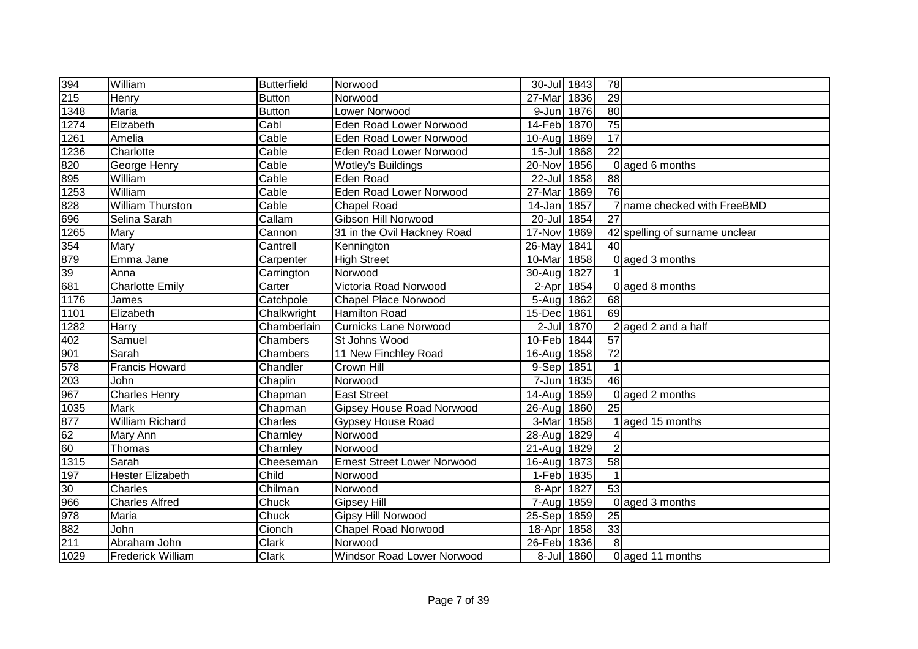| 394  | William                  | <b>Butterfield</b> | Norwood                            | 30-Jul 1843 |            | 78              |                             |
|------|--------------------------|--------------------|------------------------------------|-------------|------------|-----------------|-----------------------------|
| 215  | Henry                    | <b>Button</b>      | Norwood                            | 27-Mar      | 1836       | 29              |                             |
| 1348 | Maria                    | <b>Button</b>      | Lower Norwood                      | 9-Jun       | 1876       | $\overline{80}$ |                             |
| 1274 | Elizabeth                | Cabl               | <b>Eden Road Lower Norwood</b>     | 14-Feb 1870 |            | $\overline{75}$ |                             |
| 1261 | Amelia                   | Cable              | Eden Road Lower Norwood            | 10-Aug      | 1869       | 17              |                             |
| 1236 | Charlotte                | Cable              | Eden Road Lower Norwood            | 15-Jul 1868 |            | $\overline{22}$ |                             |
| 820  | George Henry             | Cable              | Wotley's Buildings                 | 20-Nov      | 1856       | $\Omega$        | aged 6 months               |
| 895  | William                  | Cable              | <b>Eden Road</b>                   | 22-Jul      | 1858       | $\overline{88}$ |                             |
| 1253 | William                  | Cable              | Eden Road Lower Norwood            | 27-Mar      | 1869       | 76              |                             |
| 828  | William Thurston         | Cable              | <b>Chapel Road</b>                 | 14-Jan 1857 |            |                 | name checked with FreeBMD   |
| 696  | Selina Sarah             | Callam             | Gibson Hill Norwood                | 20-Jul 1854 |            | 27              |                             |
| 1265 | Mary                     | Cannon             | 31 in the Ovil Hackney Road        | 17-Nov      | 1869       | 42              | spelling of surname unclear |
| 354  | Mary                     | Cantrell           | Kennington                         | 26-May      | 1841       | 40              |                             |
| 879  | Emma Jane                | Carpenter          | <b>High Street</b>                 | 10-Mar      | 1858       |                 | 0 aged 3 months             |
| 39   | Anna                     | Carrington         | Norwood                            | 30-Aug      | 1827       |                 |                             |
| 681  | <b>Charlotte Emily</b>   | Carter             | Victoria Road Norwood              | 2-Apr       | 1854       |                 | 0 aged 8 months             |
| 1176 | James                    | Catchpole          | <b>Chapel Place Norwood</b>        | 5-Aug 1862  |            | 68              |                             |
| 1101 | Elizabeth                | Chalkwright        | <b>Hamilton Road</b>               | 15-Dec      | 1861       | 69              |                             |
| 1282 | <b>Harry</b>             | Chamberlain        | Curnicks Lane Norwood              |             | 2-Jul 1870 |                 | 2 aged 2 and a half         |
| 402  | Samuel                   | Chambers           | St Johns Wood                      | 10-Feb 1844 |            | 57              |                             |
| 901  | Sarah                    | Chambers           | 11 New Finchley Road               | 16-Aug 1858 |            | $\overline{72}$ |                             |
| 578  | <b>Francis Howard</b>    | Chandler           | <b>Crown Hill</b>                  | 9-Sep 1851  |            | $\mathbf 1$     |                             |
| 203  | John                     | Chaplin            | Norwood                            | 7-Jun       | 1835       | 46              |                             |
| 967  | <b>Charles Henry</b>     | Chapman            | <b>East Street</b>                 | 14-Aug      | 1859       |                 | 0 aged 2 months             |
| 1035 | Mark                     | Chapman            | <b>Gipsey House Road Norwood</b>   | 26-Aug      | 1860       | 25              |                             |
| 877  | <b>William Richard</b>   | Charles            | <b>Gypsey House Road</b>           | 3-Mar       | 1858       |                 | aged 15 months              |
| 62   | Mary Ann                 | Charnley           | Norwood                            | 28-Aug 1829 |            |                 |                             |
| 60   | Thomas                   | Charnley           | Norwood                            | $21-Auq$    | 1829       | $\overline{2}$  |                             |
| 1315 | Sarah                    | Cheeseman          | <b>Ernest Street Lower Norwood</b> | 16-Aug      | 1873       | $\overline{58}$ |                             |
| 197  | <b>Hester Elizabeth</b>  | Child              | Norwood                            | 1-Feb 1835  |            | $\overline{1}$  |                             |
| 30   | Charles                  | Chilman            | Norwood                            | 8-Apr       | 1827       | 53              |                             |
| 966  | <b>Charles Alfred</b>    | Chuck              | <b>Gipsey Hill</b>                 | 7-Aug       | 1859       | $\Omega$        | aged 3 months               |
| 978  | Maria                    | Chuck              | Gipsy Hill Norwood                 | 25-Sep      | 1859       | 25              |                             |
| 882  | John                     | Cionch             | <b>Chapel Road Norwood</b>         | 18-Apr      | 1858       | 33              |                             |
| 211  | Abraham John             | Clark              | Norwood                            | 26-Feb      | 1836       | 8               |                             |
| 1029 | <b>Frederick William</b> | Clark              | <b>Windsor Road Lower Norwood</b>  |             | 8-Jul 1860 |                 | 0 aged 11 months            |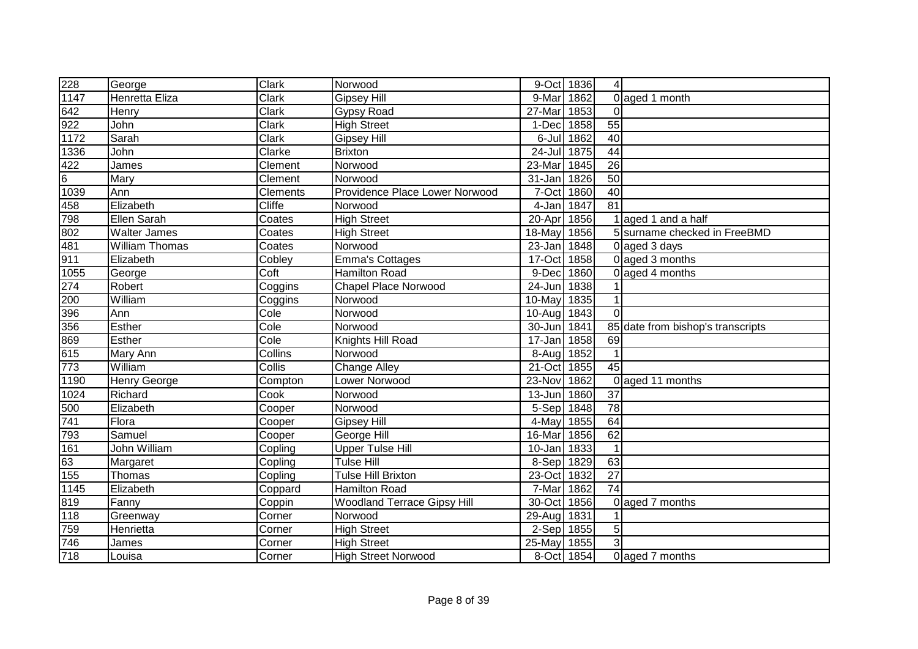| 228            | George                | <b>Clark</b>  | Norwood                            | 9-Oct 1836  |      | 4               |                                   |
|----------------|-----------------------|---------------|------------------------------------|-------------|------|-----------------|-----------------------------------|
| 1147           | Henretta Eliza        | Clark         | <b>Gipsey Hill</b>                 | 9-Mar       | 1862 |                 | 0 aged 1 month                    |
| 642            | Henry                 | Clark         | Gypsy Road                         | 27-Mar      | 1853 | $\Omega$        |                                   |
| 922            | John                  | <b>Clark</b>  | <b>High Street</b>                 | 1-Dec       | 1858 | $\overline{55}$ |                                   |
| 1172           | Sarah                 | <b>Clark</b>  | <b>Gipsey Hill</b>                 | 6-Jul       | 1862 | 40              |                                   |
| 1336           | John                  | Clarke        | <b>Brixton</b>                     | 24-Jul      | 1875 | 44              |                                   |
| 422            | James                 | Clement       | Norwood                            | 23-Mar      | 1845 | $\overline{26}$ |                                   |
| $\overline{6}$ | Mary                  | Clement       | Norwood                            | 31-Jan      | 1826 | 50              |                                   |
| 1039           | Ann                   | Clements      | Providence Place Lower Norwood     | 7-Oct       | 1860 | $\overline{40}$ |                                   |
| 458            | Elizabeth             | <b>Cliffe</b> | Norwood                            | 4-Jan       | 1847 | $\overline{81}$ |                                   |
| 798            | Ellen Sarah           | Coates        | <b>High Street</b>                 | 20-Apr      | 1856 |                 | aged 1 and a half                 |
| 802            | <b>Walter James</b>   | Coates        | <b>High Street</b>                 | 18-May      | 1856 |                 | 5 surname checked in FreeBMD      |
| 481            | <b>William Thomas</b> | Coates        | Norwood                            | 23-Jan      | 1848 |                 | 0 aged 3 days                     |
| 911            | Elizabeth             | Cobley        | <b>Emma's Cottages</b>             | $17$ -Oct   | 1858 |                 | 0 aged 3 months                   |
| 1055           | George                | Coft          | <b>Hamilton Road</b>               | 9-Dec       | 1860 |                 | 0 aged 4 months                   |
| 274            | Robert                | Coggins       | <b>Chapel Place Norwood</b>        | 24-Jun      | 1838 |                 |                                   |
| 200            | William               | Coggins       | Norwood                            | 10-May      | 1835 |                 |                                   |
| 396            | Ann                   | Cole          | Norwood                            | 10-Aug      | 1843 | $\Omega$        |                                   |
| 356            | <b>Esther</b>         | Cole          | Norwood                            | 30-Jun      | 1841 |                 | 85 date from bishop's transcripts |
| 869            | <b>Esther</b>         | Cole          | Knights Hill Road                  | 17-Jan 1858 |      | 69              |                                   |
| 615            | Mary Ann              | Collins       | Norwood                            | 8-Aug 1852  |      |                 |                                   |
| 773            | William               | Collis        | <b>Change Alley</b>                | 21-Oct      | 1855 | 45              |                                   |
| 1190           | <b>Henry George</b>   | Compton       | Lower Norwood                      | 23-Nov      | 1862 |                 | 0 aged 11 months                  |
| 1024           | Richard               | Cook          | Norwood                            | 13-Jun      | 1860 | 37              |                                   |
| 500            | Elizabeth             | Cooper        | Norwood                            | 5-Sep 1848  |      | 78              |                                   |
| 741            | Flora                 | Cooper        | <b>Gipsey Hill</b>                 | 4-May       | 1855 | 64              |                                   |
| 793            | Samuel                | Cooper        | George Hill                        | 16-Mar      | 1856 | 62              |                                   |
| 161            | John William          | Copling       | <b>Upper Tulse Hill</b>            | 10-Jan      | 1833 |                 |                                   |
| 63             | Margaret              | Copling       | <b>Tulse Hill</b>                  | $8-Sep$     | 1829 | 63              |                                   |
| 155            | Thomas                | Copling       | <b>Tulse Hill Brixton</b>          | 23-Oct      | 1832 | $\overline{27}$ |                                   |
| 1145           | Elizabeth             | Coppard       | Hamilton Road                      | 7-Mar       | 1862 | $\overline{74}$ |                                   |
| 819            | Fanny                 | Coppin        | <b>Woodland Terrace Gipsy Hill</b> | 30-Oct      | 1856 |                 | 0 aged 7 months                   |
| 118            | Greenway              | Corner        | Norwood                            | 29-Aug      | 1831 |                 |                                   |
| 759            | Henrietta             | Corner        | <b>High Street</b>                 | $2-Sep$     | 1855 | 5 <sup>1</sup>  |                                   |
| 746            | James                 | Corner        | <b>High Street</b>                 | 25-May      | 1855 | 3               |                                   |
| 718            | Louisa                | Corner        | <b>High Street Norwood</b>         | 8-Oct       | 1854 |                 | 0 aged 7 months                   |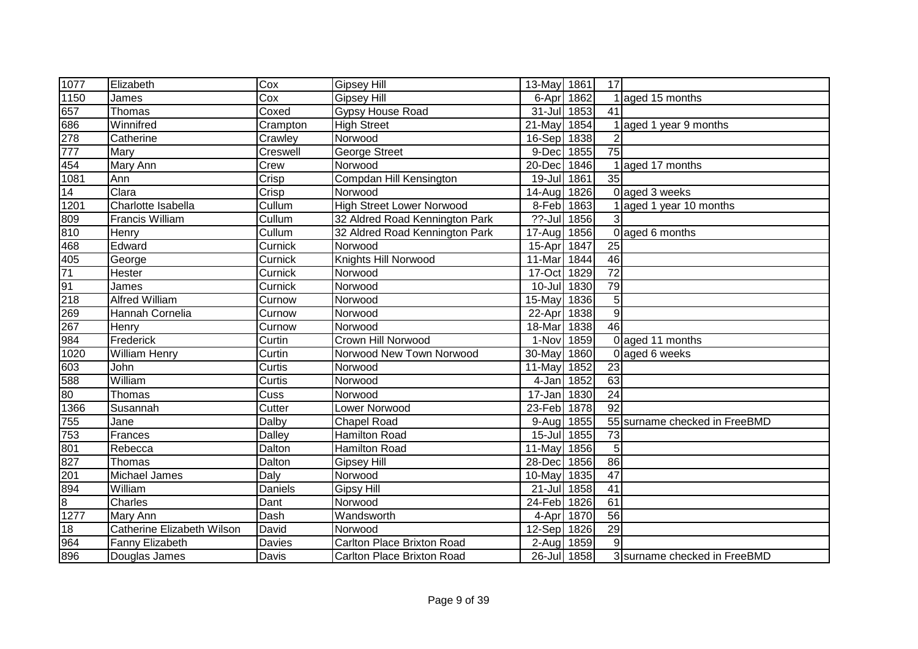| 1077              | Elizabeth                  | Cox      | <b>Gipsey Hill</b>                | 13-May 1861 |      | 17              |                               |
|-------------------|----------------------------|----------|-----------------------------------|-------------|------|-----------------|-------------------------------|
| 1150              | James                      | Cox      | <b>Gipsey Hill</b>                | 6-Apr       | 1862 |                 | 1 aged 15 months              |
| 657               | Thomas                     | Coxed    | Gypsy House Road                  | 31-Jul 1853 |      | 41              |                               |
| 686<br>278<br>777 | Winnifred                  | Crampton | <b>High Street</b>                | $21-Mav$    | 1854 |                 | 1 aged 1 year 9 months        |
|                   | Catherine                  | Crawley  | Norwood                           | 16-Sep 1838 |      | $\overline{2}$  |                               |
|                   | Mary                       | Creswell | <b>George Street</b>              | 9-Dec       | 1855 | $\overline{75}$ |                               |
| 454               | Mary Ann                   | Crew     | Norwood                           | 20-Dec      | 1846 |                 | aged 17 months                |
| 1081              | Ann                        | Crisp    | Compdan Hill Kensington           | 19-Jul      | 1861 | $\overline{35}$ |                               |
| 14                | Clara                      | Crisp    | Norwood                           | 14-Aug      | 1826 |                 | 0 aged 3 weeks                |
| 1201              | Charlotte Isabella         | Cullum   | <b>High Street Lower Norwood</b>  | 8-Feb 1863  |      |                 | aged 1 year 10 months         |
| 809               | <b>Francis William</b>     | Cullum   | 32 Aldred Road Kennington Park    | ??-Jul 1856 |      | 3               |                               |
| 810               | Henry                      | Cullum   | 32 Aldred Road Kennington Park    | 17-Aug      | 1856 |                 | 0 aged 6 months               |
| 468               | Edward                     | Curnick  | Norwood                           | 15-Apr      | 1847 | $\overline{25}$ |                               |
| 405               | George                     | Curnick  | Knights Hill Norwood              | 11-Mar      | 1844 | 46              |                               |
| 71                | Hester                     | Curnick  | Norwood                           | 17-Oct      | 1829 | 72              |                               |
| 91                | James                      | Curnick  | Norwood                           | $10 -$ Jul  | 1830 | 79              |                               |
| 218               | <b>Alfred William</b>      | Curnow   | Norwood                           | 15-May      | 1836 | 5               |                               |
| 269               | Hannah Cornelia            | Curnow   | Norwood                           | 22-Apr      | 1838 | $\overline{9}$  |                               |
| 267               | Henry                      | Curnow   | Norwood                           | 18-Mar      | 1838 | 46              |                               |
| 984               | Frederick                  | Curtin   | Crown Hill Norwood                | 1-Nov 1859  |      |                 | 0 aged 11 months              |
| 1020              | <b>William Henry</b>       | Curtin   | Norwood New Town Norwood          | 30-May 1860 |      |                 | 0 aged 6 weeks                |
| 603               | John                       | Curtis   | Norwood                           | 11-May 1852 |      | 23              |                               |
| 588               | William                    | Curtis   | Norwood                           | 4-Jan 1852  |      | 63              |                               |
| 80                | Thomas                     | Cuss     | Norwood                           | 17-Jan 1830 |      | 24              |                               |
| 1366              | Susannah                   | Cutter   | Lower Norwood                     | 23-Feb 1878 |      | 92              |                               |
| 755               | Jane                       | Dalby    | <b>Chapel Road</b>                | 9-Aug 1855  |      |                 | 55 surname checked in FreeBMD |
| 753               | Frances                    | Dalley   | <b>Hamilton Road</b>              | 15-Jul 1855 |      | $\overline{73}$ |                               |
| 801               | Rebecca                    | Dalton   | <b>Hamilton Road</b>              | 11-May      | 1856 | 5               |                               |
| 827               | Thomas                     | Dalton   | <b>Gipsey Hill</b>                | 28-Dec      | 1856 | $\overline{86}$ |                               |
| 201               | Michael James              | Daly     | Norwood                           | 10-May 1835 |      | $\overline{47}$ |                               |
| 894               | William                    | Daniels  | <b>Gipsy Hill</b>                 | 21-Jul 1858 |      | $\overline{41}$ |                               |
| $\overline{8}$    | Charles                    | Dant     | Norwood                           | 24-Feb 1826 |      | 61              |                               |
| $\sqrt{1277}$     | Mary Ann                   | Dash     | Wandsworth                        | 4-Apr       | 1870 | 56              |                               |
| 18                | Catherine Elizabeth Wilson | David    | Norwood                           | 12-Sep 1826 |      | 29              |                               |
| 964               | Fanny Elizabeth            | Davies   | Carlton Place Brixton Road        | 2-Aug       | 1859 | 9               |                               |
| 896               | Douglas James              | Davis    | <b>Carlton Place Brixton Road</b> | 26-Jul 1858 |      |                 | 3 surname checked in FreeBMD  |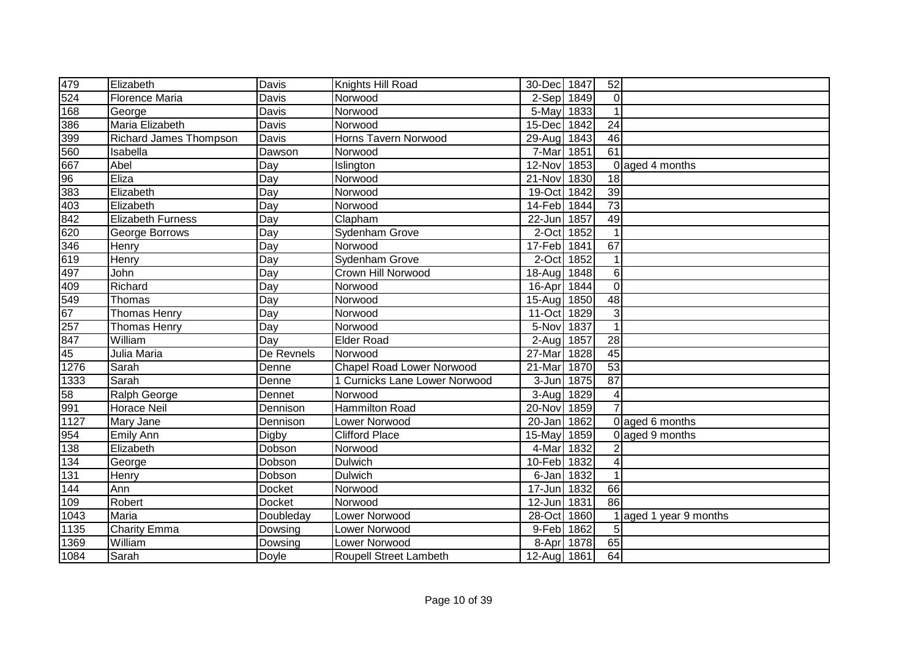| 479             | Elizabeth                     | Davis            | Knights Hill Road                | 30-Dec 1847          |      | 52              |                        |
|-----------------|-------------------------------|------------------|----------------------------------|----------------------|------|-----------------|------------------------|
| 524             | <b>Florence Maria</b>         | Davis            | Norwood                          | $2-Sep$              | 1849 | $\mathbf 0$     |                        |
| 168             | George                        | <b>Davis</b>     | Norwood                          | 5-May                | 1833 |                 |                        |
| 386             | Maria Elizabeth               | Davis            | Norwood                          | 15-Dec               | 1842 | 24              |                        |
| 399             | <b>Richard James Thompson</b> | <b>Davis</b>     | <b>Horns Tavern Norwood</b>      | 29-Aug               | 1843 | 46              |                        |
| 560             | Isabella                      | Dawson           | Norwood                          | 7-Mar                | 1851 | 61              |                        |
| 667             | Abel                          | Day              | Islington                        | 12-Nov               | 1853 |                 | 0 aged 4 months        |
| $\overline{96}$ | Eliza                         | Day              | Norwood                          | 21-Nov               | 1830 | 18              |                        |
| 383             | Elizabeth                     | Day              | Norwood                          | 19-Oct               | 1842 | 39              |                        |
| 403             | Elizabeth                     | Day              | Norwood                          | 14-Feb               | 1844 | 73              |                        |
| 842             | <b>Elizabeth Furness</b>      | Day              | Clapham                          | 22-Jun               | 1857 | 49              |                        |
| 620             | George Borrows                | Day              | Sydenham Grove                   | 2-Oct                | 1852 | $\mathbf{1}$    |                        |
| 346             | Henry                         | Day              | Norwood                          | 17-Feb               | 1841 | 67              |                        |
| 619             | Henry                         | $\overline{Day}$ | Sydenham Grove                   | 2-Oct                | 1852 | 1               |                        |
| 497             | John                          | Day              | Crown Hill Norwood               | 18-Aug               | 1848 | 6               |                        |
| 409             | Richard                       | Day              | Norwood                          | 16-Apr               | 1844 | $\overline{0}$  |                        |
| 549             | Thomas                        | Day              | Norwood                          | $15 - Aug$           | 1850 | 48              |                        |
| 67              | <b>Thomas Henry</b>           | Day              | Norwood                          | 11-Oct               | 1829 | 3               |                        |
| 257             | <b>Thomas Henry</b>           | Day              | Norwood                          | 5-Nov                | 1837 | $\mathbf 1$     |                        |
| 847             | William                       | Day              | <b>Elder Road</b>                | 2-Aug 1857           |      | 28              |                        |
| 45              | Julia Maria                   | De Revnels       | Norwood                          | 27-Mar               | 1828 | 45              |                        |
| 1276            | Sarah                         | Denne            | <b>Chapel Road Lower Norwood</b> | 21-Mar               | 1870 | $\overline{53}$ |                        |
| 1333            | Sarah                         | Denne            | 1 Curnicks Lane Lower Norwood    | $3 - Jun$            | 1875 | $\overline{87}$ |                        |
| 58              | Ralph George                  | Dennet           | Norwood                          | 3-Aug                | 1829 | 4               |                        |
| 991             | <b>Horace Neil</b>            | Dennison         | Hammilton Road                   | 20-Nov               | 1859 | $\overline{7}$  |                        |
| 1127            | Mary Jane                     | Dennison         | Lower Norwood                    | $\overline{2}0$ -Jan | 1862 |                 | 0 aged 6 months        |
| 954             | Emily Ann                     | Digby            | <b>Clifford Place</b>            | 15-May               | 1859 |                 | 0 aged 9 months        |
| 138             | Elizabeth                     | Dobson           | Norwood                          | 4-Mar                | 1832 |                 |                        |
| 134             | George                        | Dobson           | <b>Dulwich</b>                   | 10-Feb               | 1832 | $\overline{4}$  |                        |
| 131             | Henry                         | Dobson           | <b>Dulwich</b>                   | 6-Jan                | 1832 | 1               |                        |
| 144             | Ann                           | Docket           | Norwood                          | 17-Jun               | 1832 | 66              |                        |
| 109             | Robert                        | <b>Docket</b>    | Norwood                          | $12$ -Jun            | 1831 | $\overline{86}$ |                        |
| 1043            | Maria                         | Doubleday        | Lower Norwood                    | 28-Oct               | 1860 |                 | 1 aged 1 year 9 months |
| 1135            | <b>Charity Emma</b>           | Dowsing          | Lower Norwood                    | 9-Feb                | 1862 | 5               |                        |
| 1369            | William                       | Dowsing          | Lower Norwood                    | 8-Apr                | 1878 | 65              |                        |
| 1084            | Sarah                         | Doyle            | Roupell Street Lambeth           | 12-Aug 1861          |      | 64              |                        |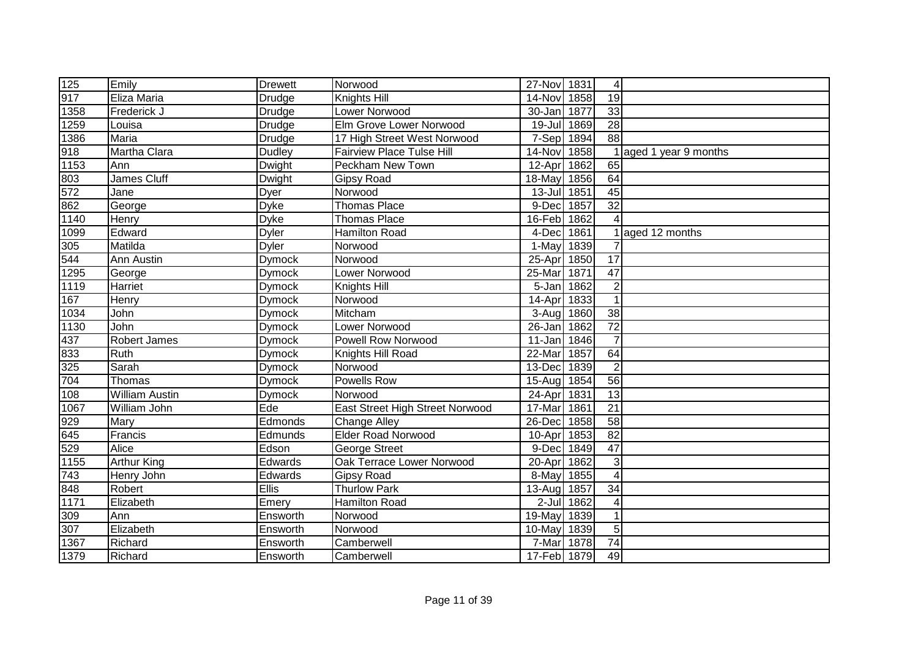| 125  | Emily                 | <b>Drewett</b> | Norwood                          | 27-Nov 1831 |      | $\vert$         |                        |
|------|-----------------------|----------------|----------------------------------|-------------|------|-----------------|------------------------|
| 917  | Eliza Maria           | Drudge         | Knights Hill                     | 14-Nov 1858 |      | 19              |                        |
| 1358 | Frederick J           | Drudge         | Lower Norwood                    | 30-Jan 1877 |      | $\overline{33}$ |                        |
| 1259 | Louisa                | Drudge         | Elm Grove Lower Norwood          | 19-Jul 1869 |      | 28              |                        |
| 1386 | Maria                 | Drudge         | 17 High Street West Norwood      | 7-Sep 1894  |      | $\overline{88}$ |                        |
| 918  | Martha Clara          | <b>Dudley</b>  | <b>Fairview Place Tulse Hill</b> | 14-Nov 1858 |      |                 | 1 aged 1 year 9 months |
| 1153 | Ann                   | <b>Dwight</b>  | Peckham New Town                 | 12-Apr 1862 |      | 65              |                        |
| 803  | <b>James Cluff</b>    | Dwight         | Gipsy Road                       | 18-May      | 1856 | 64              |                        |
| 572  | Jane                  | Dyer           | Norwood                          | 13-Jul 1851 |      | 45              |                        |
| 862  | George                | <b>Dyke</b>    | <b>Thomas Place</b>              | 9-Dec       | 1857 | 32              |                        |
| 1140 | Henry                 | <b>Dyke</b>    | <b>Thomas Place</b>              | 16-Feb      | 1862 |                 |                        |
| 1099 | Edward                | <b>Dyler</b>   | <b>Hamilton Road</b>             | 4-Dec       | 1861 |                 | aged 12 months         |
| 305  | Matilda               | <b>Dyler</b>   | Norwood                          | 1-May       | 1839 |                 |                        |
| 544  | Ann Austin            | <b>Dymock</b>  | Norwood                          | 25-Apr      | 1850 | 17              |                        |
| 1295 | George                | Dymock         | Lower Norwood                    | 25-Mar 1871 |      | 47              |                        |
| 1119 | Harriet               | Dymock         | Knights Hill                     | 5-Jan 1862  |      | $\overline{2}$  |                        |
| 167  | Henry                 | <b>Dymock</b>  | Norwood                          | 14-Apr 1833 |      |                 |                        |
| 1034 | John                  | Dymock         | Mitcham                          | 3-Aug 1860  |      | 38              |                        |
| 1130 | John                  | <b>Dymock</b>  | Lower Norwood                    | 26-Jan 1862 |      | $\overline{72}$ |                        |
| 437  | Robert James          | <b>Dymock</b>  | <b>Powell Row Norwood</b>        | $11 - Jan$  | 1846 | $\overline{7}$  |                        |
| 833  | Ruth                  | <b>Dymock</b>  | Knights Hill Road                | 22-Mar      | 1857 | 64              |                        |
| 325  | Sarah                 | Dymock         | Norwood                          | 13-Dec 1839 |      | $\overline{2}$  |                        |
| 704  | Thomas                | Dymock         | <b>Powells Row</b>               | 15-Aug 1854 |      | $\overline{56}$ |                        |
| 108  | <b>William Austin</b> | Dymock         | Norwood                          | 24-Apr 1831 |      | 13              |                        |
| 1067 | William John          | Ede            | East Street High Street Norwood  | 17-Mar 1861 |      | $\overline{21}$ |                        |
| 929  | <b>Mary</b>           | Edmonds        | <b>Change Alley</b>              | 26-Dec 1858 |      | 58              |                        |
| 645  | Francis               | Edmunds        | <b>Elder Road Norwood</b>        | 10-Apr 1853 |      | $\overline{82}$ |                        |
| 529  | Alice                 | Edson          | George Street                    | 9-Dec       | 1849 | 47              |                        |
| 1155 | <b>Arthur King</b>    | Edwards        | Oak Terrace Lower Norwood        | 20-Apr      | 1862 | 3 <sup>1</sup>  |                        |
| 743  | Henry John            | Edwards        | Gipsy Road                       | 8-May       | 1855 | 4               |                        |
| 848  | Robert                | <b>Ellis</b>   | <b>Thurlow Park</b>              | 13-Aug 1857 |      | 34              |                        |
| 1171 | Elizabeth             | Emery          | <b>Hamilton Road</b>             | $2$ -Jul    | 1862 | 4               |                        |
| 309  | Ann                   | Ensworth       | Norwood                          | 19-May      | 1839 |                 |                        |
| 307  | Elizabeth             | Ensworth       | Norwood                          | 10-May 1839 |      | 5 <sup>1</sup>  |                        |
| 1367 | Richard               | Ensworth       | Camberwell                       | 7-Mar       | 1878 | 74              |                        |
| 1379 | Richard               | Ensworth       | Camberwell                       | 17-Feb 1879 |      | 49              |                        |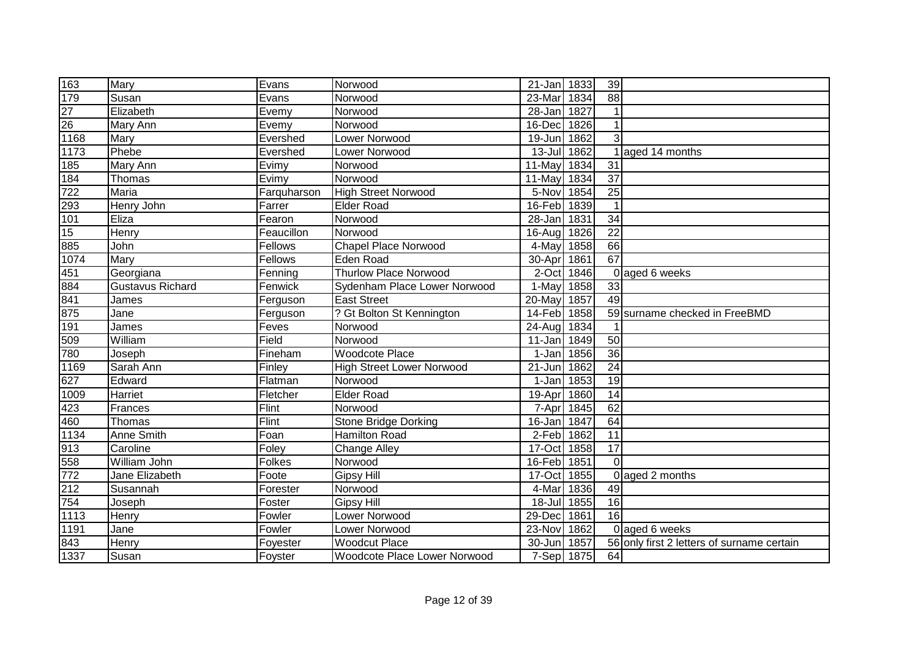| 163              | Mary                    | Evans         | Norwood                          | 21-Jan 1833 |      | 39              |                                            |
|------------------|-------------------------|---------------|----------------------------------|-------------|------|-----------------|--------------------------------------------|
| 179              | Susan                   | Evans         | Norwood                          | 23-Mar      | 1834 | $\overline{88}$ |                                            |
| $\overline{27}$  | Elizabeth               | Evemy         | Norwood                          | 28-Jan      | 1827 |                 |                                            |
| $\overline{26}$  | Mary Ann                | Evemy         | Norwood                          | 16-Dec      | 1826 |                 |                                            |
| 1168             | Mary                    | Evershed      | Lower Norwood                    | 19-Jun      | 1862 | 3               |                                            |
| 1173             | Phebe                   | Evershed      | Lower Norwood                    | $13 -$ Jul  | 1862 |                 | aged 14 months                             |
| 185              | Mary Ann                | Evimy         | Norwood                          | 11-May      | 1834 | 31              |                                            |
| 184              | Thomas                  | Evimy         | Norwood                          | 11-May      | 1834 | $\overline{37}$ |                                            |
| 722              | Maria                   | Farquharson   | <b>High Street Norwood</b>       | 5-Nov       | 1854 | $\overline{25}$ |                                            |
| 293              | Henry John              | Farrer        | Elder Road                       | 16-Feb 1839 |      |                 |                                            |
| 101              | Eliza                   | Fearon        | Norwood                          | 28-Jan 1831 |      | 34              |                                            |
| 15               | Henry                   | Feaucillon    | Norwood                          | 16-Aug      | 1826 | $\overline{22}$ |                                            |
| 885              | John                    | Fellows       | <b>Chapel Place Norwood</b>      | 4-May       | 1858 | 66              |                                            |
| 1074             | Mary                    | Fellows       | <b>Eden Road</b>                 | 30-Apr      | 1861 | 67              |                                            |
| 451              | Georgiana               | Fenning       | <b>Thurlow Place Norwood</b>     | 2-Oct       | 1846 |                 | 0 aged 6 weeks                             |
| 884              | <b>Gustavus Richard</b> | Fenwick       | Sydenham Place Lower Norwood     | 1-May       | 1858 | 33              |                                            |
| 841              | James                   | Ferguson      | <b>East Street</b>               | 20-May      | 1857 | 49              |                                            |
| 875              | Jane                    | Ferguson      | ? Gt Bolton St Kennington        | 14-Feb      | 1858 |                 | 59 surname checked in FreeBMD              |
| 191              | James                   | Feves         | Norwood                          | 24-Aug      | 1834 |                 |                                            |
| 509              | William                 | Field         | Norwood                          | 11-Jan 1849 |      | 50              |                                            |
| 780              | Joseph                  | Fineham       | Woodcote Place                   | 1-Jan 1856  |      | 36              |                                            |
| 1169             | Sarah Ann               | Finley        | <b>High Street Lower Norwood</b> | 21-Jun      | 1862 | 24              |                                            |
| 627              | Edward                  | Flatman       | Norwood                          | 1-Jan       | 1853 | 19              |                                            |
| 1009             | Harriet                 | Fletcher      | <b>Elder Road</b>                | 19-Apr      | 1860 | 14              |                                            |
| $\overline{423}$ | Frances                 | Flint         | Norwood                          | 7-Apr       | 1845 | 62              |                                            |
| 460              | Thomas                  | Flint         | <b>Stone Bridge Dorking</b>      | 16-Jan      | 1847 | 64              |                                            |
| 1134             | Anne Smith              | Foan          | <b>Hamilton Road</b>             | 2-Feb 1862  |      | $\overline{11}$ |                                            |
| 913              | Caroline                | Foley         | <b>Change Alley</b>              | 17-Oct      | 1858 | 17              |                                            |
| 558              | William John            | <b>Folkes</b> | Norwood                          | 16-Feb      | 1851 | $\Omega$        |                                            |
| 772              | Jane Elizabeth          | Foote         | <b>Gipsy Hill</b>                | 17-Oct      | 1855 |                 | 0 aged 2 months                            |
| 212              | Susannah                | Forester      | Norwood                          | 4-Mar       | 1836 | 49              |                                            |
| 754              | Joseph                  | Foster        | <b>Gipsy Hill</b>                | $18 -$ Jul  | 1855 | $\overline{16}$ |                                            |
| 1113             | Henry                   | Fowler        | Lower Norwood                    | 29-Dec      | 1861 | 16              |                                            |
| 1191             | Jane                    | Fowler        | Lower Norwood                    | 23-Nov      | 1862 |                 | 0 aged 6 weeks                             |
| 843              | Henry                   | Foyester      | <b>Woodcut Place</b>             | 30-Jun      | 1857 |                 | 56 only first 2 letters of surname certain |
| 1337             | Susan                   | Foyster       | Woodcote Place Lower Norwood     | 7-Sep 1875  |      | 64              |                                            |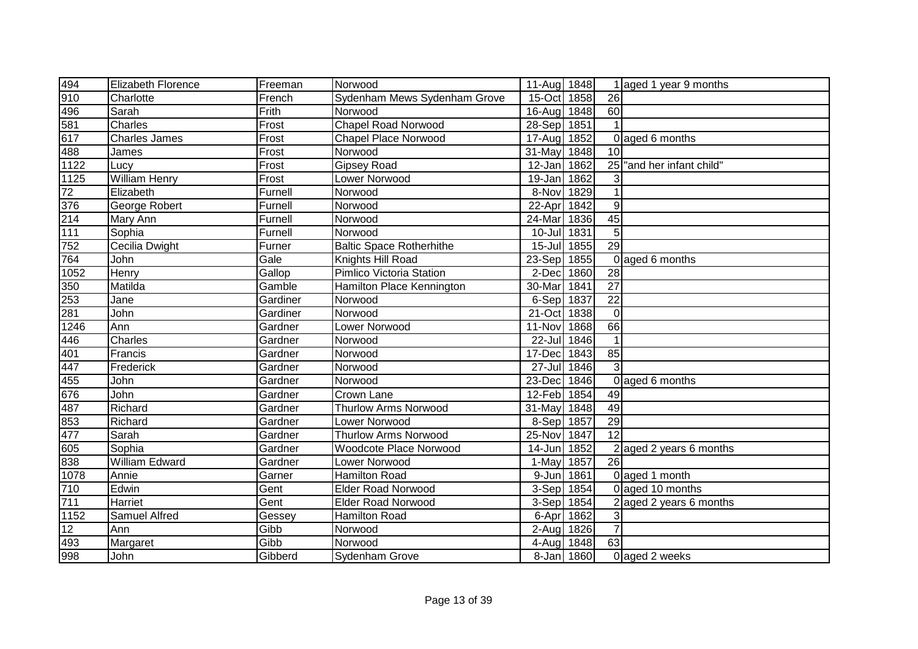| 494                | Elizabeth Florence    | Freeman  | Norwood                         | 11-Aug 1848          |            |                 | 1 aged 1 year 9 months  |
|--------------------|-----------------------|----------|---------------------------------|----------------------|------------|-----------------|-------------------------|
| 910                | Charlotte             | French   | Sydenham Mews Sydenham Grove    | $15$ -Oct            | 1858       | 26              |                         |
| 496                | Sarah                 | Frith    | Norwood                         | 16-Aug               | 1848       | 60              |                         |
| 581                | Charles               | Frost    | <b>Chapel Road Norwood</b>      | 28-Sep               | 1851       |                 |                         |
| 617                | <b>Charles James</b>  | Frost    | <b>Chapel Place Norwood</b>     | $\overline{1}$ 7-Aug | 1852       |                 | 0 aged 6 months         |
| 488                | James                 | Frost    | Norwood                         | 31-May               | 1848       | 10              |                         |
| 1122               | Lucy                  | Frost    | <b>Gipsey Road</b>              | $12$ -Jan            | 1862       | 25              | "and her infant child"  |
| 1125               | <b>William Henry</b>  | Frost    | Lower Norwood                   | 19-Jan               | 1862       | 3               |                         |
| 72                 | Elizabeth             | Furnell  | Norwood                         | 8-Nov 1829           |            |                 |                         |
| 376                | George Robert         | Furnell  | Norwood                         | 22-Apr               | 1842       | $\overline{9}$  |                         |
| 214                | Mary Ann              | Furnell  | Norwood                         | 24-Mar               | 1836       | 45              |                         |
| $111$              | Sophia                | Furnell  | Norwood                         | $10 -$ Jul           | 1831       | 5 <sup>1</sup>  |                         |
| 752                | Cecilia Dwight        | Furner   | <b>Baltic Space Rotherhithe</b> | $15 -$ Jul           | 1855       | $\overline{29}$ |                         |
| 764                | John                  | Gale     | Knights Hill Road               | 23-Sep               | 1855       |                 | 0 aged 6 months         |
| $\frac{1052}{100}$ | Henry                 | Gallop   | Pimlico Victoria Station        | 2-Dec                | 1860       | 28              |                         |
| 350                | Matilda               | Gamble   | Hamilton Place Kennington       | 30-Mar               | 1841       | $\overline{27}$ |                         |
| 253                | Jane                  | Gardiner | Norwood                         | 6-Sep                | 1837       | 22              |                         |
| 281                | John                  | Gardiner | Norwood                         | 21-Oct               | 1838       | $\Omega$        |                         |
| 1246               | Ann                   | Gardner  | Lower Norwood                   | 11-Nov               | 1868       | 66              |                         |
| 446                | Charles               | Gardner  | Norwood                         | 22-Jul               | 1846       |                 |                         |
| 401                | Francis               | Gardner  | Norwood                         | 17-Dec               | 1843       | 85              |                         |
| 447<br>455         | Frederick             | Gardner  | Norwood                         | $27 -$ Jul           | 1846       | $\overline{3}$  |                         |
|                    | John                  | Gardner  | Norwood                         | 23-Dec               | 1846       |                 | 0 aged 6 months         |
| 676                | John                  | Gardner  | Crown Lane                      | 12-Feb 1854          |            | 49              |                         |
| 487                | Richard               | Gardner  | <b>Thurlow Arms Norwood</b>     | 31-May               | 1848       | 49              |                         |
| 853                | Richard               | Gardner  | Lower Norwood                   | 8-Sep                | 1857       | 29              |                         |
| 477                | Sarah                 | Gardner  | <b>Thurlow Arms Norwood</b>     | 25-Nov               | 1847       | 12              |                         |
| 605                | Sophia                | Gardner  | Woodcote Place Norwood          | 14-Jun               | 1852       |                 | 2 aged 2 years 6 months |
| 838                | <b>William Edward</b> | Gardner  | Lower Norwood                   | 1-May                | 1857       | 26              |                         |
| 1078               | Annie                 | Garner   | <b>Hamilton Road</b>            | 9-Jun                | 1861       |                 | 0 aged 1 month          |
| 710                | Edwin                 | Gent     | <b>Elder Road Norwood</b>       | 3-Sep                | 1854       |                 | 0 aged 10 months        |
| 711                | Harriet               | Gent     | <b>Elder Road Norwood</b>       | 3-Sep                | 1854       |                 | 2 aged 2 years 6 months |
| 1152               | Samuel Alfred         | Gessey   | Hamilton Road                   | 6-Apr 1862           |            | 3               |                         |
| 12                 | Ann                   | Gibb     | Norwood                         | 2-Aug 1826           |            | $\overline{7}$  |                         |
| 493                | Margaret              | Gibb     | Norwood                         | 4-Aug                | 1848       | 63              |                         |
| 998                | John                  | Gibberd  | Sydenham Grove                  |                      | 8-Jan 1860 |                 | 0 aged 2 weeks          |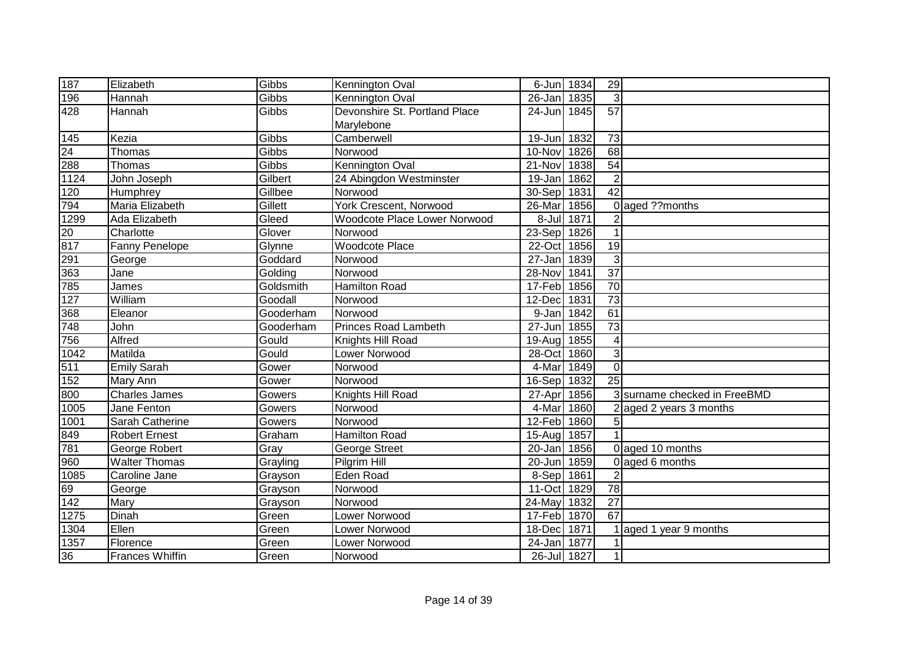| 187               | Elizabeth              | Gibbs     | Kennington Oval                     | 6-Jun 1834           |            | 29              |                              |
|-------------------|------------------------|-----------|-------------------------------------|----------------------|------------|-----------------|------------------------------|
| 196               | Hannah                 | Gibbs     | Kennington Oval                     | 26-Jan               | 1835       | 3               |                              |
| 428               | Hannah                 | Gibbs     | Devonshire St. Portland Place       | $24 - Jun$           | 1845       | 57              |                              |
|                   |                        |           | Marylebone                          |                      |            |                 |                              |
| 145               | Kezia                  | Gibbs     | Camberwell                          | 19-Jun               | 1832       | $\overline{73}$ |                              |
|                   | Thomas                 | Gibbs     | Norwood                             | 10-Nov               | 1826       | 68              |                              |
| $\frac{24}{288}$  | Thomas                 | Gibbs     | Kennington Oval                     | 21-Nov               | 1838       | $\overline{54}$ |                              |
| 1124              | John Joseph            | Gilbert   | 24 Abingdon Westminster             | 19-Jan               | 1862       | $\overline{2}$  |                              |
| $\overline{120}$  | Humphrey               | Gillbee   | Norwood                             | 30-Sep               | 1831       | $\overline{42}$ |                              |
| 794               | Maria Elizabeth        | Gillett   | York Crescent, Norwood              | 26-Mar               | 1856       | $\Omega$        | aged ??months                |
| 1299              | Ada Elizabeth          | Gleed     | <b>Woodcote Place Lower Norwood</b> |                      | 8-Jul 1871 | $\overline{2}$  |                              |
| 20                | Charlotte              | Glover    | Norwood                             | 23-Sep               | 1826       | $\mathbf 1$     |                              |
| 817               | Fanny Penelope         | Glynne    | <b>Woodcote Place</b>               | 22-Oct               | 1856       | $\overline{19}$ |                              |
| 291               | George                 | Goddard   | Norwood                             | $\overline{27}$ -Jan | 1839       | $\overline{3}$  |                              |
| 363               | Jane                   | Golding   | Norwood                             | 28-Nov               | 1841       | $\overline{37}$ |                              |
| 785               | James                  | Goldsmith | Hamilton Road                       | 17-Feb               | 1856       | $\overline{70}$ |                              |
| 127               | William                | Goodall   | Norwood                             | 12-Dec               | 1831       | 73              |                              |
| 368               | Eleanor                | Gooderham | Norwood                             | 9-Jan                | 1842       | 61              |                              |
| 748               | John                   | Gooderham | <b>Princes Road Lambeth</b>         | 27-Jun               | 1855       | 73              |                              |
| 756               | Alfred                 | Gould     | Knights Hill Road                   | 19-Aug 1855          |            | 4               |                              |
| 1042              | Matilda                | Gould     | Lower Norwood                       | 28-Oct 1860          |            | 3               |                              |
| 511               | <b>Emily Sarah</b>     | Gower     | Norwood                             | 4-Mar                | 1849       | $\mathbf 0$     |                              |
| 152               | Mary Ann               | Gower     | Norwood                             | 16-Sep               | 1832       | $\overline{25}$ |                              |
| 800               | <b>Charles James</b>   | Gowers    | Knights Hill Road                   | 27-Apr               | 1856       |                 | 3 surname checked in FreeBMD |
| $\overline{1005}$ | Jane Fenton            | Gowers    | Norwood                             | 4-Mar                | 1860       |                 | aged 2 years 3 months        |
| 1001              | Sarah Catherine        | Gowers    | Norwood                             | 12-Feb 1860          |            | 5               |                              |
|                   | <b>Robert Ernest</b>   | Graham    | <b>Hamilton Road</b>                | 15-Aug 1857          |            |                 |                              |
| 849<br>781        | George Robert          | Gray      | George Street                       | 20-Jan               | 1856       |                 | 0 aged 10 months             |
| 960               | <b>Walter Thomas</b>   | Grayling  | Pilgrim Hill                        | 20-Jun               | 1859       |                 | 0 aged 6 months              |
| 1085              | Caroline Jane          | Grayson   | <b>Eden Road</b>                    | 8-Sep 1861           |            | $\overline{2}$  |                              |
|                   | George                 | Grayson   | Norwood                             | 11-Oct 1829          |            | 78              |                              |
| $\frac{69}{142}$  | Mary                   | Grayson   | Norwood                             | 24-May               | 1832       | $\overline{27}$ |                              |
| 1275              | Dinah                  | Green     | Lower Norwood                       | 17-Feb               | 1870       | 67              |                              |
| 1304              | Ellen                  | Green     | Lower Norwood                       | 18-Dec               | 1871       |                 | aged 1 year 9 months         |
| 1357              | Florence               | Green     | Lower Norwood                       | 24-Jan               | 1877       |                 |                              |
| 36                | <b>Frances Whiffin</b> | Green     | Norwood                             | 26-Jul 1827          |            | $\mathbf 1$     |                              |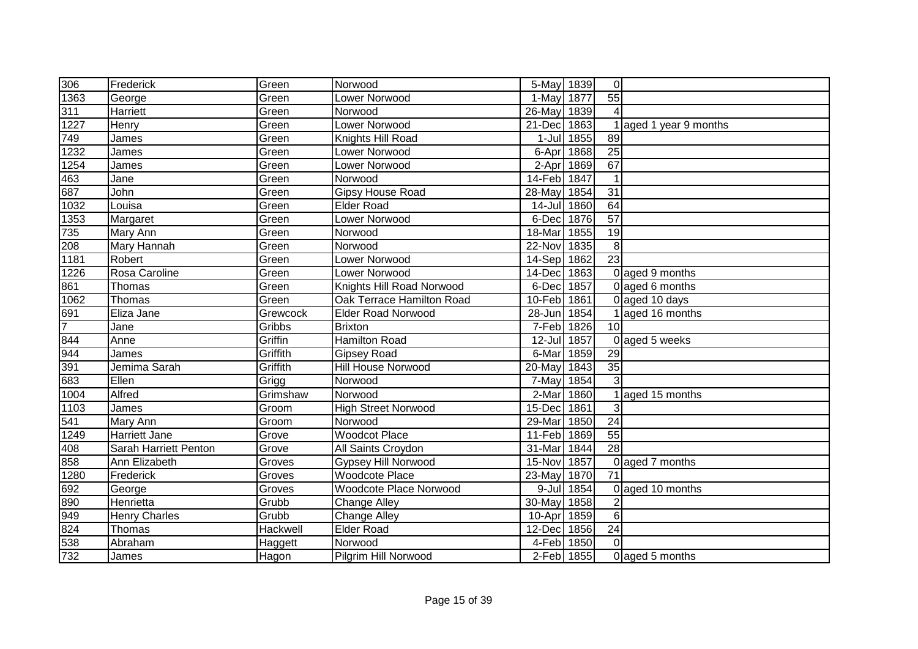| 306              | Frederick             | Green    | Norwood                    | 5-May 1839  |            | $\overline{0}$          |                      |
|------------------|-----------------------|----------|----------------------------|-------------|------------|-------------------------|----------------------|
| 1363             | George                | Green    | Lower Norwood              | 1-May 1877  |            | 55                      |                      |
| 311              | Harriett              | Green    | Norwood                    | 26-May 1839 |            | $\overline{\mathbf{A}}$ |                      |
| 1227             | Henry                 | Green    | Lower Norwood              | 21-Dec      | 1863       |                         | aged 1 year 9 months |
| 749              | James                 | Green    | Knights Hill Road          |             | 1-Jul 1855 | 89                      |                      |
| 1232             | James                 | Green    | Lower Norwood              | 6-Apr       | 1868       | 25                      |                      |
| 1254             | James                 | Green    | Lower Norwood              | 2-Apr       | 1869       | 67                      |                      |
| 463              | Jane                  | Green    | Norwood                    | 14-Feb 1847 |            | $\mathbf{1}$            |                      |
| 687              | John                  | Green    | <b>Gipsy House Road</b>    | 28-May 1854 |            | $\overline{31}$         |                      |
| 1032             | Louisa                | Green    | <b>Elder Road</b>          | $14 -$ Jul  | 1860       | 64                      |                      |
| 1353             | Margaret              | Green    | Lower Norwood              | 6-Dec       | 1876       | 57                      |                      |
| 735              | Mary Ann              | Green    | Norwood                    | 18-Mar      | 1855       | 19                      |                      |
| 208              | Mary Hannah           | Green    | Norwood                    | 22-Nov      | 1835       | 8 <sup>1</sup>          |                      |
| 1181             | Robert                | Green    | Lower Norwood              | 14-Sep      | 1862       | 23                      |                      |
| 1226             | Rosa Caroline         | Green    | Lower Norwood              | 14-Dec 1863 |            |                         | 0 aged 9 months      |
| 861              | Thomas                | Green    | Knights Hill Road Norwood  | 6-Dec       | 1857       |                         | 0 aged 6 months      |
| 1062             | Thomas                | Green    | Oak Terrace Hamilton Road  | 10-Feb 1861 |            |                         | 0 aged 10 days       |
| 691              | Eliza Jane            | Grewcock | <b>Elder Road Norwood</b>  | $28 - Jun$  | 1854       |                         | aged 16 months       |
| $\overline{7}$   | Jane                  | Gribbs   | <b>Brixton</b>             | 7-Feb 1826  |            | 10 <sup>1</sup>         |                      |
| 844              | Anne                  | Griffin  | <b>Hamilton Road</b>       | $12$ -Jul   | 1857       |                         | 0 aged 5 weeks       |
| 944              | James                 | Griffith | <b>Gipsey Road</b>         | 6-Mar 1859  |            | 29                      |                      |
| 391              | Jemima Sarah          | Griffith | Hill House Norwood         | 20-May      | 1843       | 35                      |                      |
| 683              | Ellen                 | Grigg    | Norwood                    | 7-May       | 1854       | $\overline{3}$          |                      |
| 1004             | Alfred                | Grimshaw | Norwood                    | 2-Mar       | 1860       |                         | aged 15 months       |
| 1103             | James                 | Groom    | <b>High Street Norwood</b> | 15-Dec      | 1861       | 3                       |                      |
| 541              | Mary Ann              | Groom    | Norwood                    | 29-Mar      | 1850       | 24                      |                      |
| 1249             | Harriett Jane         | Grove    | <b>Woodcot Place</b>       | 11-Feb      | 1869       | 55                      |                      |
| 408              | Sarah Harriett Penton | Grove    | All Saints Croydon         | 31-Mar      | 1844       | $\overline{28}$         |                      |
| 858              | Ann Elizabeth         | Groves   | Gypsey Hill Norwood        | 15-Nov      | 1857       |                         | 0 aged 7 months      |
| 1280             | Frederick             | Groves   | <b>Woodcote Place</b>      | 23-May      | 1870       | 71                      |                      |
| 692              | George                | Groves   | Woodcote Place Norwood     |             | 9-Jul 1854 |                         | 0 aged 10 months     |
| 890              | Henrietta             | Grubb    | <b>Change Alley</b>        | 30-May      | 1858       | $\overline{2}$          |                      |
| 949              | <b>Henry Charles</b>  | Grubb    | <b>Change Alley</b>        | 10-Apr      | 1859       | $\overline{6}$          |                      |
| 824              | Thomas                | Hackwell | <b>Elder Road</b>          | 12-Dec 1856 |            | 24                      |                      |
| $\overline{538}$ | Abraham               | Haggett  | Norwood                    | 4-Feb 1850  |            | $\mathbf 0$             |                      |
| 732              | James                 | Hagon    | Pilgrim Hill Norwood       | 2-Feb 1855  |            |                         | 0 aged 5 months      |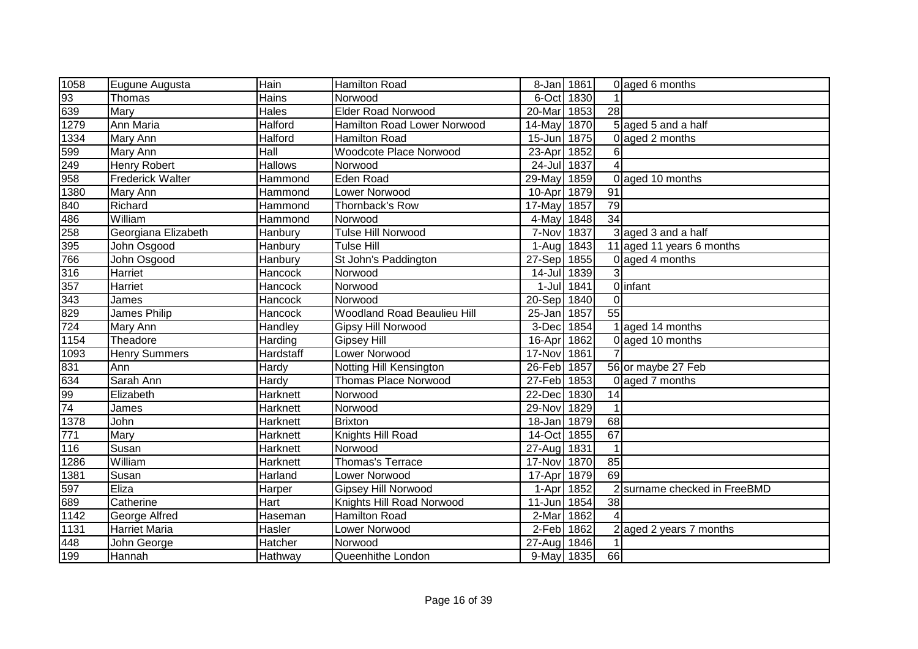| 1058                   | Eugune Augusta          | Hain           | Hamilton Road               | 8-Jan 1861  |            |                 | 0 aged 6 months              |
|------------------------|-------------------------|----------------|-----------------------------|-------------|------------|-----------------|------------------------------|
| 93                     | Thomas                  | Hains          | Norwood                     | 6-Oct 1830  |            |                 |                              |
| 639                    | Mary                    | Hales          | <b>Elder Road Norwood</b>   | 20-Mar      | 1853       | 28              |                              |
| 1279                   | Ann Maria               | Halford        | Hamilton Road Lower Norwood | 14-May      | 1870       |                 | 5 aged 5 and a half          |
| 1334                   | Mary Ann                | <b>Halford</b> | Hamilton Road               | 15-Jun 1875 |            |                 | 0 aged 2 months              |
|                        | Mary Ann                | Hall           | Woodcote Place Norwood      | 23-Apr      | 1852       | 6               |                              |
| 599<br>249             | <b>Henry Robert</b>     | <b>Hallows</b> | Norwood                     | 24-Jul 1837 |            |                 |                              |
| 958                    | <b>Frederick Walter</b> | Hammond        | Eden Road                   | 29-May      | 1859       |                 | 0 aged 10 months             |
| 1380                   | Mary Ann                | Hammond        | Lower Norwood               | 10-Apr      | 1879       | 91              |                              |
| 840                    | Richard                 | Hammond        | Thornback's Row             | 17-May 1857 |            | 79              |                              |
| 486                    | William                 | Hammond        | Norwood                     | 4-May 1848  |            | 34              |                              |
| 258                    | Georgiana Elizabeth     | Hanbury        | <b>Tulse Hill Norwood</b>   | 7-Nov 1837  |            |                 | 3 aged 3 and a half          |
| 395                    | John Osgood             | Hanbury        | <b>Tulse Hill</b>           | 1-Aug 1843  |            |                 | 11 aged 11 years 6 months    |
| 766                    | John Osgood             | Hanbury        | St John's Paddington        | 27-Sep      | 1855       |                 | 0 aged 4 months              |
| 316                    | Harriet                 | Hancock        | Norwood                     | $14$ -Jul   | 1839       | 3               |                              |
| 357                    | Harriet                 | Hancock        | Norwood                     |             | 1-Jul 1841 |                 | 0 infant                     |
| 343                    | James                   | Hancock        | Norwood                     | 20-Sep 1840 |            | $\mathbf 0$     |                              |
| 829                    | James Philip            | Hancock        | Woodland Road Beaulieu Hill | 25-Jan      | 1857       | $\overline{55}$ |                              |
| $\overline{724}$       | Mary Ann                | Handley        | Gipsy Hill Norwood          | 3-Dec       | 1854       |                 | 1 aged 14 months             |
| 1154                   | Theadore                | Harding        | Gipsey Hill                 | 16-Apr      | 1862       |                 | 0 aged 10 months             |
| 1093                   | <b>Henry Summers</b>    | Hardstaff      | Lower Norwood               | 17-Nov 1861 |            | $\overline{7}$  |                              |
| 831                    | Ann                     | Hardy          | Notting Hill Kensington     | 26-Feb 1857 |            |                 | 56 or maybe 27 Feb           |
| $\frac{634}{99}$<br>74 | Sarah Ann               | Hardy          | Thomas Place Norwood        | 27-Feb 1853 |            |                 | 0 aged 7 months              |
|                        | Elizabeth               | Harknett       | Norwood                     | 22-Dec 1830 |            | 14              |                              |
|                        | James                   | Harknett       | Norwood                     | 29-Nov 1829 |            |                 |                              |
| 1378                   | John                    | Harknett       | <b>Brixton</b>              | 18-Jan 1879 |            | 68              |                              |
| 771                    | Mary                    | Harknett       | Knights Hill Road           | 14-Oct 1855 |            | 67              |                              |
| 116                    | Susan                   | Harknett       | Norwood                     | 27-Aug 1831 |            | $\mathbf 1$     |                              |
| 1286                   | William                 | Harknett       | Thomas's Terrace            | 17-Nov      | 1870       | 85              |                              |
| 1381                   | Susan                   | Harland        | Lower Norwood               | 17-Apr      | 1879       | 69              |                              |
| 597                    | Eliza                   | <b>Harper</b>  | <b>Gipsey Hill Norwood</b>  | 1-Apr       | 1852       |                 | 2 surname checked in FreeBMD |
| 689                    | Catherine               | Hart           | Knights Hill Road Norwood   | 11-Jun 1854 |            | 38              |                              |
| 1142                   | George Alfred           | Haseman        | Hamilton Road               | 2-Mar       | 1862       | 4               |                              |
| 1131                   | <b>Harriet Maria</b>    | Hasler         | Lower Norwood               | 2-Feb 1862  |            |                 | aged 2 years 7 months        |
| 448                    | John George             | Hatcher        | Norwood                     | 27-Aug 1846 |            |                 |                              |
| 199                    | Hannah                  | Hathway        | Queenhithe London           | 9-May 1835  |            | 66              |                              |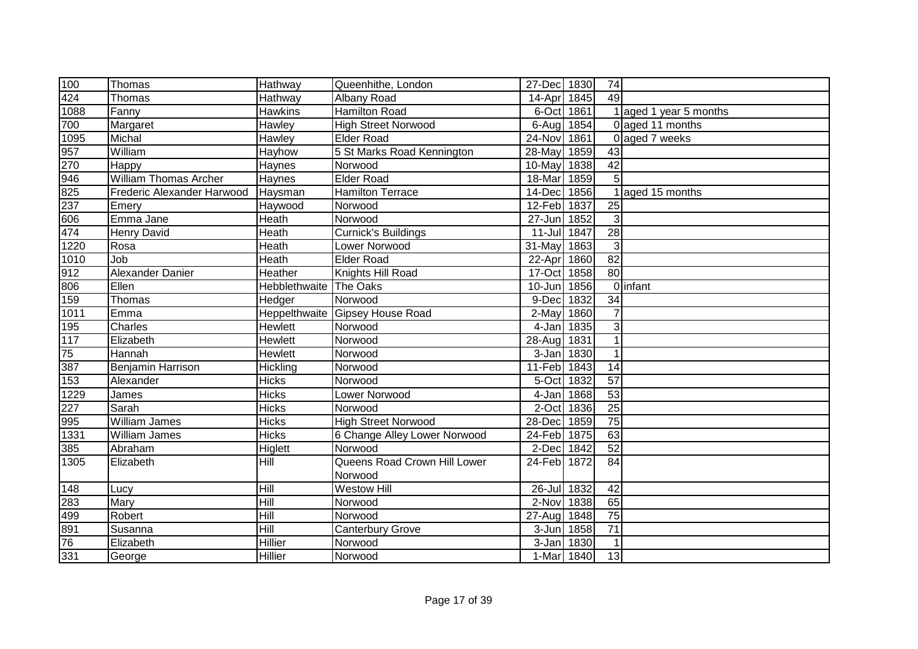| 100                | Thomas                       | Hathway                       | Queenhithe, London              | 27-Dec 1830 |      | 74              |                        |
|--------------------|------------------------------|-------------------------------|---------------------------------|-------------|------|-----------------|------------------------|
| 424                | Thomas                       | Hathway                       | Albany Road                     | 14-Apr      | 1845 | 49              |                        |
| $\frac{1}{1088}$   | Fanny                        | <b>Hawkins</b>                | <b>Hamilton Road</b>            | 6-Oct 1861  |      |                 | 1 aged 1 year 5 months |
| 700                | Margaret                     | Hawley                        | <b>High Street Norwood</b>      | 6-Aug 1854  |      |                 | 0 aged 11 months       |
| 1095               | Michal                       | Hawley                        | <b>Elder Road</b>               | 24-Nov      | 1861 |                 | 0 aged 7 weeks         |
| 957<br>270         | William                      | Hayhow                        | 5 St Marks Road Kennington      | 28-May      | 1859 | 43              |                        |
|                    | Happy                        | Haynes                        | Norwood                         | 10-May      | 1838 | 42              |                        |
| 946                | <b>William Thomas Archer</b> | Haynes                        | <b>Elder Road</b>               | 18-Mar      | 1859 | 5               |                        |
| 825                | Frederic Alexander Harwood   | Haysman                       | <b>Hamilton Terrace</b>         | 14-Dec      | 1856 |                 | aged 15 months         |
| 237                | Emery                        | Haywood                       | Norwood                         | 12-Feb      | 1837 | 25              |                        |
| 606                | Emma Jane                    | Heath                         | Norwood                         | 27-Jun 1852 |      | $\mathbf{3}$    |                        |
| 474                | <b>Henry David</b>           | Heath                         | <b>Curnick's Buildings</b>      | 11-Jul 1847 |      | 28              |                        |
| 1220               | Rosa                         | Heath                         | Lower Norwood                   | 31-May      | 1863 | 3               |                        |
| 1010               | Job                          | Heath                         | <b>Elder Road</b>               | 22-Apr      | 1860 | 82              |                        |
| 912                | Alexander Danier             | Heather                       | Knights Hill Road               | 17-Oct      | 1858 | 80              |                        |
| 806                | Ellen                        | <b>Hebblethwaite</b> The Oaks |                                 | 10-Jun      | 1856 |                 | <b>O</b> linfant       |
| 159                | Thomas                       | Hedger                        | Norwood                         | 9-Dec       | 1832 | 34              |                        |
| 1011               | Emma                         |                               | Heppelthwaite Gipsey House Road | 2-May       | 1860 | $\overline{7}$  |                        |
| 195                | Charles                      | Hewlett                       | Norwood                         | 4-Jan 1835  |      | 3               |                        |
| $\frac{117}{117}$  | Elizabeth                    | Hewlett                       | Norwood                         | 28-Aug 1831 |      |                 |                        |
| 75                 | Hannah                       | Hewlett                       | Norwood                         | 3-Jan 1830  |      | 1               |                        |
| 387                | Benjamin Harrison            | Hickling                      | Norwood                         | 11-Feb 1843 |      | 14              |                        |
| 153                | Alexander                    | <b>Hicks</b>                  | Norwood                         | 5-Oct       | 1832 | 57              |                        |
| 1229               | James                        | <b>Hicks</b>                  | Lower Norwood                   | 4-Jan       | 1868 | 53              |                        |
| 227<br>995<br>1331 | Sarah                        | <b>Hicks</b>                  | Norwood                         | 2-Oct 1836  |      | 25              |                        |
|                    | <b>William James</b>         | <b>Hicks</b>                  | <b>High Street Norwood</b>      | 28-Dec 1859 |      | $\overline{75}$ |                        |
|                    | William James                | $\overline{Hicks}$            | 6 Change Alley Lower Norwood    | 24-Feb 1875 |      | 63              |                        |
| 385                | Abraham                      | Higlett                       | Norwood                         | 2-Dec       | 1842 | 52              |                        |
| 1305               | Elizabeth                    | Hill                          | Queens Road Crown Hill Lower    | 24-Feb      | 1872 | $\overline{84}$ |                        |
|                    |                              |                               | Norwood                         |             |      |                 |                        |
| 148                | Lucy                         | Hill                          | <b>Westow Hill</b>              | 26-Jul 1832 |      | 42              |                        |
| 283                | Mary                         | $\overline{H}$                | Norwood                         | 2-Nov 1838  |      | 65              |                        |
| 499                | Robert                       | Hill                          | Norwood                         | 27-Aug      | 1848 | 75              |                        |
| 891                | Susanna                      | Hill                          | <b>Canterbury Grove</b>         | $3 - Jun$   | 1858 | 71              |                        |
| 76                 | Elizabeth                    | Hillier                       | Norwood                         | $3 - Jan$   | 1830 | $\mathbf 1$     |                        |
| 331                | George                       | Hillier                       | Norwood                         | 1-Mar       | 1840 | 13              |                        |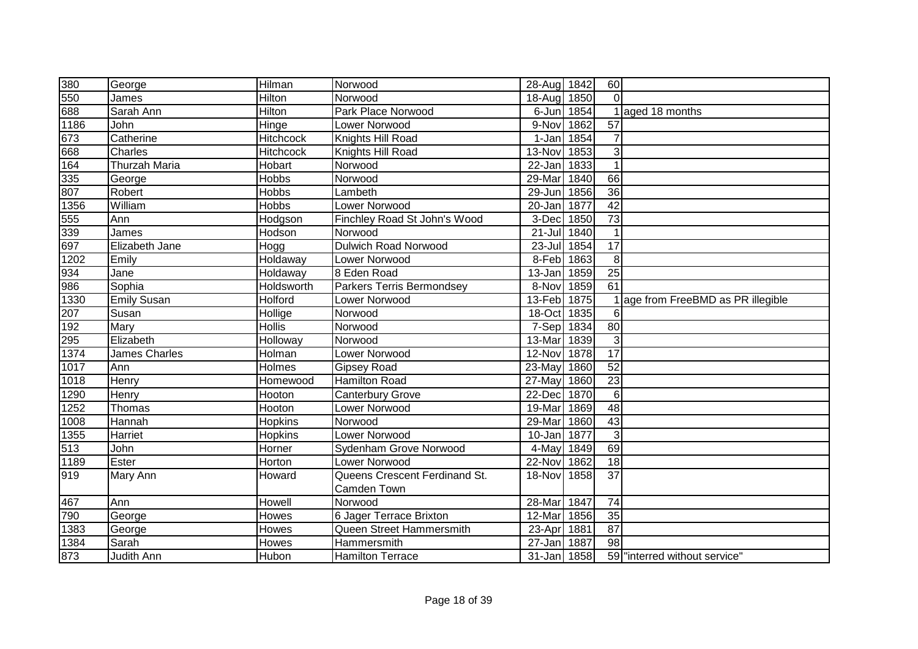| 380  | George               | Hilman           | Norwood                          | 28-Aug 1842 |      | 60              |                                    |
|------|----------------------|------------------|----------------------------------|-------------|------|-----------------|------------------------------------|
| 550  | James                | Hilton           | Norwood                          | 18-Aug      | 1850 | $\Omega$        |                                    |
| 688  | Sarah Ann            | <b>Hilton</b>    | Park Place Norwood               | 6-Jun       | 1854 |                 | 1 aged 18 months                   |
| 1186 | John                 | Hinge            | Lower Norwood                    | 9-Nov       | 1862 | 57              |                                    |
| 673  | Catherine            | <b>Hitchcock</b> | Knights Hill Road                | $1-Jan$     | 1854 |                 |                                    |
| 668  | Charles              | Hitchcock        | Knights Hill Road                | 13-Nov      | 1853 | 3               |                                    |
| 164  | <b>Thurzah Maria</b> | Hobart           | Norwood                          | 22-Jan      | 1833 |                 |                                    |
| 335  | George               | Hobbs            | Norwood                          | 29-Mar      | 1840 | 66              |                                    |
| 807  | Robert               | Hobbs            | Lambeth                          | 29-Jun      | 1856 | $\overline{36}$ |                                    |
| 1356 | William              | <b>Hobbs</b>     | Lower Norwood                    | 20-Jan      | 1877 | 42              |                                    |
| 555  | Ann                  | Hodgson          | Finchley Road St John's Wood     | 3-Dec       | 1850 | $\overline{73}$ |                                    |
| 339  | James                | Hodson           | Norwood                          | $21 -$ Jul  | 1840 |                 |                                    |
| 697  | Elizabeth Jane       | Hogg             | <b>Dulwich Road Norwood</b>      | $23 -$ Jul  | 1854 | $\overline{17}$ |                                    |
| 1202 | Emily                | Holdaway         | Lower Norwood                    | 8-Feb 1863  |      | 8               |                                    |
| 934  | Jane                 | Holdaway         | 8 Eden Road                      | 13-Jan      | 1859 | 25              |                                    |
| 986  | Sophia               | Holdsworth       | <b>Parkers Terris Bermondsey</b> | 8-Nov       | 1859 | $\overline{61}$ |                                    |
| 1330 | <b>Emily Susan</b>   | Holford          | Lower Norwood                    | 13-Feb 1875 |      |                 | 1 age from FreeBMD as PR illegible |
| 207  | Susan                | Hollige          | Norwood                          | 18-Oct      | 1835 | 6               |                                    |
| 192  | Mary                 | <b>Hollis</b>    | Norwood                          | 7-Sep 1834  |      | 80              |                                    |
| 295  | Elizabeth            | Holloway         | Norwood                          | 13-Mar      | 1839 | 3               |                                    |
| 1374 | James Charles        | Holman           | Lower Norwood                    | 12-Nov 1878 |      | 17              |                                    |
| 1017 | Ann                  | <b>Holmes</b>    | <b>Gipsey Road</b>               | 23-May 1860 |      | $\overline{52}$ |                                    |
| 1018 | Henry                | Homewood         | Hamilton Road                    | 27-May      | 1860 | $\overline{23}$ |                                    |
| 1290 | Henry                | Hooton           | <b>Canterbury Grove</b>          | 22-Dec      | 1870 | 6               |                                    |
| 1252 | Thomas               | Hooton           | Lower Norwood                    | 19-Mar      | 1869 | 48              |                                    |
| 1008 | Hannah               | Hopkins          | Norwood                          | 29-Mar      | 1860 | 43              |                                    |
| 1355 | Harriet              | Hopkins          | Lower Norwood                    | 10-Jan      | 1877 | 3               |                                    |
| 513  | John                 | Horner           | Sydenham Grove Norwood           | 4-May       | 1849 | 69              |                                    |
| 1189 | Ester                | Horton           | Lower Norwood                    | 22-Nov      | 1862 | $\overline{18}$ |                                    |
| 919  | Mary Ann             | Howard           | Queens Crescent Ferdinand St.    | 18-Nov      | 1858 | $\overline{37}$ |                                    |
|      |                      |                  | Camden Town                      |             |      |                 |                                    |
| 467  | Ann                  | Howell           | Norwood                          | 28-Mar      | 1847 | 74              |                                    |
| 790  | George               | Howes            | 6 Jager Terrace Brixton          | 12-Mar      | 1856 | 35              |                                    |
| 1383 | George               | Howes            | Queen Street Hammersmith         | 23-Apr      | 1881 | 87              |                                    |
| 1384 | Sarah                | Howes            | Hammersmith                      | 27-Jan      | 1887 | 98              |                                    |
| 873  | Judith Ann           | Hubon            | <b>Hamilton Terrace</b>          | 31-Jan 1858 |      |                 | 59 "interred without service"      |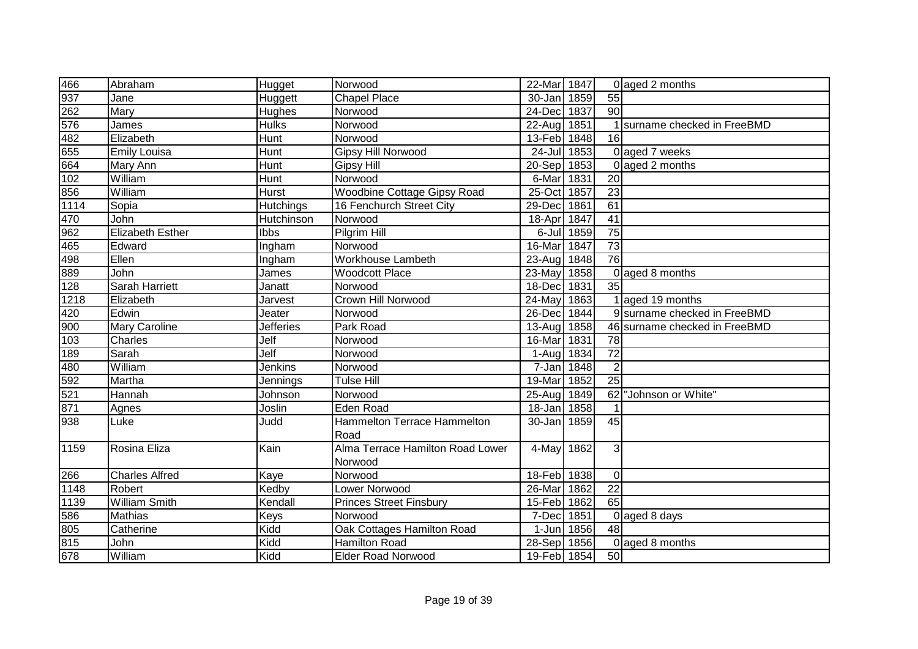| 466              | Abraham                 | Hugget           | Norwood                          | 22-Mar 1847               |            |                 | 0 aged 2 months               |
|------------------|-------------------------|------------------|----------------------------------|---------------------------|------------|-----------------|-------------------------------|
| 937              | Jane                    | Huggett          | <b>Chapel Place</b>              | 30-Jan                    | 1859       | $\overline{55}$ |                               |
| 262              | Mary                    | Hughes           | Norwood                          | 24-Dec                    | 1837       | 90              |                               |
| 576              | James                   | <b>Hulks</b>     | Norwood                          | 22-Aug 1851               |            |                 | surname checked in FreeBMD    |
| 482              | Elizabeth               | Hunt             | Norwood                          | 13-Feb 1848               |            | $\overline{16}$ |                               |
| 655              | <b>Emily Louisa</b>     | Hunt             | Gipsy Hill Norwood               | 24-Jul 1853               |            |                 | 0 aged 7 weeks                |
| 664              | Mary Ann                | Hunt             | <b>Gipsy Hill</b>                | $\overline{20}$ -Sep 1853 |            |                 | 0 aged 2 months               |
| 102              | William                 | Hunt             | Norwood                          | 6-Mar 1831                |            | 20              |                               |
| 856              | William                 | Hurst            | Woodbine Cottage Gipsy Road      | 25-Oct 1857               |            | $\overline{23}$ |                               |
| 1114             | Sopia                   | <b>Hutchings</b> | 16 Fenchurch Street City         | 29-Dec                    | 1861       | 61              |                               |
| 470              | John                    | Hutchinson       | Norwood                          | 18-Apr 1847               |            | 41              |                               |
| 962              | <b>Elizabeth Esther</b> | Ibbs             | Pilgrim Hill                     |                           | 6-Jul 1859 | $\overline{75}$ |                               |
| $\overline{465}$ | Edward                  | Ingham           | Norwood                          | 16-Mar                    | 1847       | $\overline{73}$ |                               |
| 498              | Ellen                   | Ingham           | Workhouse Lambeth                | 23-Aug                    | 1848       | $\overline{76}$ |                               |
| 889              | John                    | James            | <b>Woodcott Place</b>            | 23-May                    | 1858       | $\Omega$        | aged 8 months                 |
| 128              | Sarah Harriett          | Janatt           | Norwood                          | 18-Dec 1831               |            | $\overline{35}$ |                               |
| 1218             | Elizabeth               | Jarvest          | Crown Hill Norwood               | 24-May                    | 1863       |                 | 1 aged 19 months              |
| 420              | Edwin                   | Jeater           | Norwood                          | 26-Dec                    | 1844       |                 | 9 surname checked in FreeBMD  |
| 900              | <b>Mary Caroline</b>    | <b>Jefferies</b> | Park Road                        | 13-Aug 1858               |            |                 | 46 surname checked in FreeBMD |
| 103              | Charles                 | Jelf             | Norwood                          | 16-Mar 1831               |            | 78              |                               |
| 189              | Sarah                   | Jelf             | Norwood                          | 1-Aug 1834                |            | $\overline{72}$ |                               |
| 480              | William                 | Jenkins          | Norwood                          | 7-Jan 1848                |            | $\overline{2}$  |                               |
| 592              | Martha                  | Jennings         | <b>Tulse Hill</b>                | 19-Mar                    | 1852       | $\overline{25}$ |                               |
| 521              | Hannah                  | Johnson          | Norwood                          | 25-Aug 1849               |            | 62              | "Johnson or White"            |
| 871              | Agnes                   | Joslin           | Eden Road                        | 18-Jan                    | 1858       |                 |                               |
| 938              | Luke                    | Judd             | Hammelton Terrace Hammelton      | 30-Jan 1859               |            | 45              |                               |
|                  |                         |                  | Road                             |                           |            |                 |                               |
| 1159             | Rosina Eliza            | Kain             | Alma Terrace Hamilton Road Lower | 4-May                     | 1862       | 3               |                               |
|                  |                         |                  | Norwood                          |                           |            |                 |                               |
| 266              | <b>Charles Alfred</b>   | Kaye             | Norwood                          | 18-Feb 1838               |            | $\Omega$        |                               |
| 1148             | Robert                  | Kedby            | Lower Norwood                    | 26-Mar 1862               |            | 22              |                               |
| 1139             | <b>William Smith</b>    | Kendall          | <b>Princes Street Finsbury</b>   | 15-Feb 1862               |            | 65              |                               |
| 586              | Mathias                 | Keys             | Norwood                          | 7-Dec                     | 1851       | $\Omega$        | aged 8 days                   |
| 805              | Catherine               | Kidd             | Oak Cottages Hamilton Road       | $1-Jun$                   | 1856       | 48              |                               |
| 815              | John                    | Kidd             | <b>Hamilton Road</b>             | 28-Sep                    | 1856       | $\Omega$        | aged 8 months                 |
| 678              | William                 | Kidd             | <b>Elder Road Norwood</b>        | 19-Feb 1854               |            | $\overline{50}$ |                               |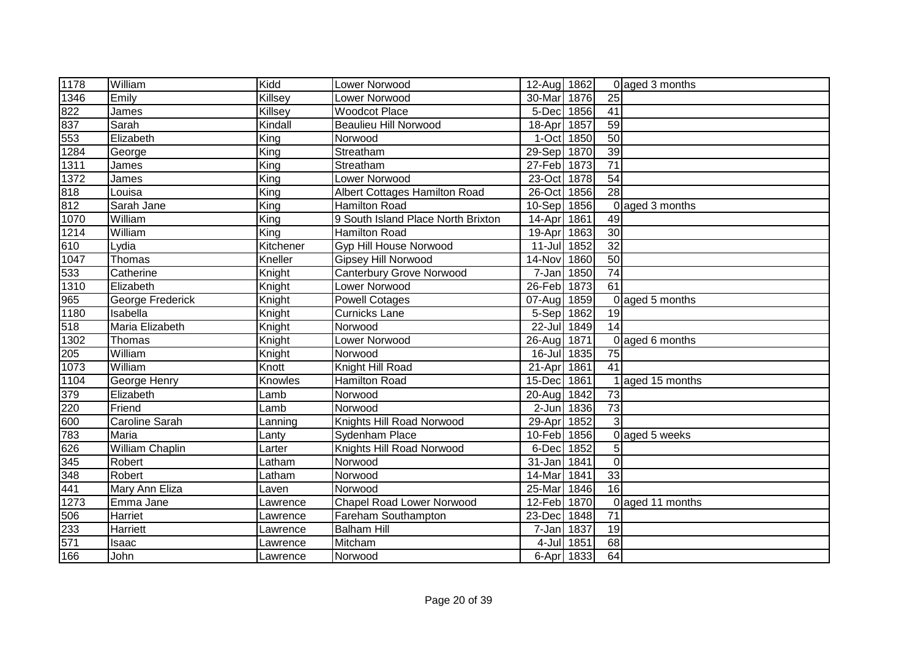| 1178              | William          | Kidd                     | Lower Norwood                      | 12-Aug 1862 |            |                 | 0 aged 3 months   |
|-------------------|------------------|--------------------------|------------------------------------|-------------|------------|-----------------|-------------------|
| 1346              | Emily            | Killsey                  | Lower Norwood                      | 30-Mar      | 1876       | $\overline{25}$ |                   |
| 822               | James            | Killsey                  | <b>Woodcot Place</b>               | 5-Dec       | 1856       | 41              |                   |
| 837               | Sarah            | Kindall                  | <b>Beaulieu Hill Norwood</b>       | 18-Apr 1857 |            | 59              |                   |
| 553               | Elizabeth        | $\overline{\text{King}}$ | Norwood                            | 1-Oct 1850  |            | 50              |                   |
| 1284              | George           | King                     | Streatham                          | 29-Sep 1870 |            | $\overline{39}$ |                   |
| 1311              | James            | King                     | Streatham                          | 27-Feb 1873 |            | $\overline{71}$ |                   |
| 1372              | James            | $\overline{King}$        | Lower Norwood                      | 23-Oct 1878 |            | 54              |                   |
| 818               | Louisa           | $\overline{King}$        | Albert Cottages Hamilton Road      | 26-Oct 1856 |            | $\overline{28}$ |                   |
| 812               | Sarah Jane       | $\overline{King}$        | <b>Hamilton Road</b>               | $10-Sep$    | 1856       | $\Omega$        | aged 3 months     |
| 1070              | William          | $\overline{King}$        | 9 South Island Place North Brixton | 14-Apr 1861 |            | 49              |                   |
| 1214              | William          | King                     | <b>Hamilton Road</b>               | 19-Apr 1863 |            | $\overline{30}$ |                   |
| 610               | _ydia            | Kitchener                | Gyp Hill House Norwood             | $11$ -Jul   | 1852       | $\overline{32}$ |                   |
| 1047              | Thomas           | Kneller                  | Gipsey Hill Norwood                | 14-Nov      | 1860       | 50              |                   |
| 533               | Catherine        | Knight                   | <b>Canterbury Grove Norwood</b>    | 7-Jan       | 1850       | 74              |                   |
| $\frac{1}{1310}$  | Elizabeth        | Knight                   | Lower Norwood                      | 26-Feb      | 1873       | 61              |                   |
| 965               | George Frederick | Knight                   | <b>Powell Cotages</b>              | 07-Aug 1859 |            |                 | 0 aged 5 months   |
| 1180              | Isabella         | Knight                   | <b>Curnicks Lane</b>               | 5-Sep 1862  |            | 19              |                   |
| 518               | Maria Elizabeth  | Knight                   | Norwood                            | 22-Jul 1849 |            | 14              |                   |
| $\overline{1302}$ | Thomas           | Knight                   | Lower Norwood                      | 26-Aug 1871 |            |                 | $0$ aged 6 months |
| 205               | William          | Knight                   | Norwood                            | 16-Jul 1835 |            | 75              |                   |
| 1073              | William          | Knott                    | Knight Hill Road                   | 21-Apr 1861 |            | 41              |                   |
| 1104              | George Henry     | Knowles                  | <b>Hamilton Road</b>               | 15-Dec 1861 |            |                 | 1 aged 15 months  |
| 379               | Elizabeth        | Lamb                     | Norwood                            | 20-Aug 1842 |            | 73              |                   |
| 220               | Friend           | Lamb                     | Norwood                            | 2-Jun 1836  |            | $\overline{73}$ |                   |
| 600               | Caroline Sarah   | Lanning                  | Knights Hill Road Norwood          | 29-Apr      | 1852       | 3               |                   |
| 783               | Maria            | Lanty                    | Sydenham Place                     | 10-Feb 1856 |            |                 | 0 aged 5 weeks    |
| 626               | William Chaplin  | Larter                   | Knights Hill Road Norwood          | 6-Dec       | 1852       | 51              |                   |
| 345               | Robert           | Latham                   | Norwood                            | 31-Jan      | 1841       | $\Omega$        |                   |
| 348               | Robert           | Latham                   | Norwood                            | 14-Mar      | 1841       | 33              |                   |
| 441               | Mary Ann Eliza   | Laven                    | Norwood                            | 25-Mar      | 1846       | $\overline{16}$ |                   |
| 1273              | Emma Jane        | Lawrence                 | <b>Chapel Road Lower Norwood</b>   | 12-Feb      | 1870       |                 | 0 aged 11 months  |
| 506               | Harriet          | Lawrence                 | Fareham Southampton                | 23-Dec      | 1848       | 71              |                   |
| 233               | Harriett         | Lawrence                 | <b>Balham Hill</b>                 | 7-Jan 1837  |            | 19              |                   |
| 571               | Isaac            | Lawrence                 | Mitcham                            |             | 4-Jul 1851 | 68              |                   |
| 166               | John             | Lawrence                 | Norwood                            |             | 6-Apr 1833 | 64              |                   |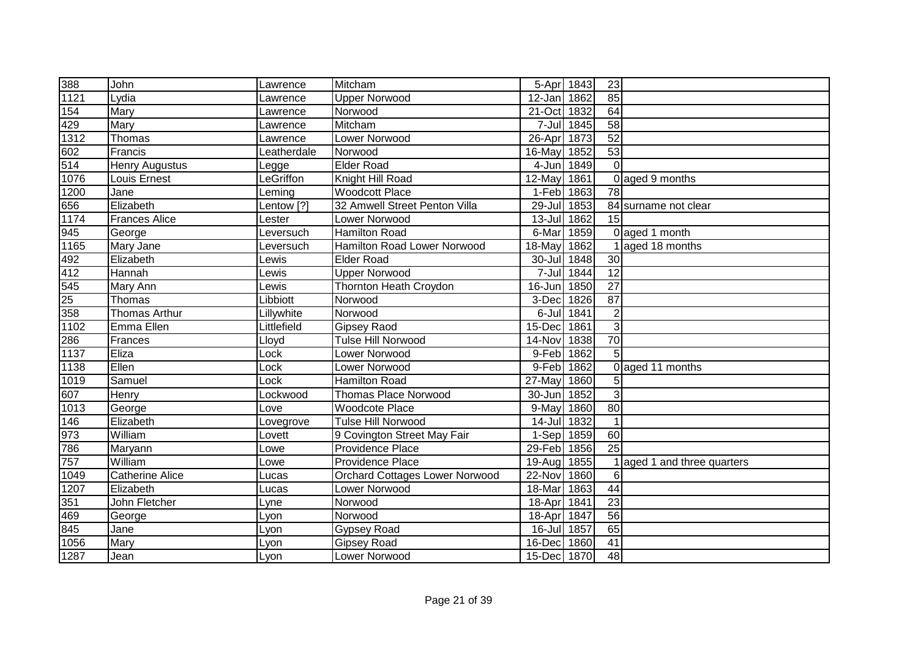| 388  | John                   | Lawrence    | Mitcham                               | 5-Apr 1843  |            | 23              |                           |
|------|------------------------|-------------|---------------------------------------|-------------|------------|-----------------|---------------------------|
| 1121 | Lydia                  | Lawrence    | Upper Norwood                         | 12-Jan      | 1862       | 85              |                           |
| 154  | Mary                   | Lawrence    | Norwood                               | 21-Oct      | 1832       | 64              |                           |
| 429  | Mary                   | Lawrence    | Mitcham                               |             | 7-Jul 1845 | $\overline{58}$ |                           |
| 1312 | Thomas                 | Lawrence    | <b>Lower Norwood</b>                  | $26$ -Apr   | 1873       | 52              |                           |
| 602  | Francis                | Leatherdale | Norwood                               | 16-May      | 1852       | $\overline{53}$ |                           |
| 514  | <b>Henry Augustus</b>  | Legge       | <b>Elder Road</b>                     | 4-Jun       | 1849       | $\overline{O}$  |                           |
| 1076 | Louis Ernest           | LeGriffon   | Knight Hill Road                      | $12-May$    | 1861       |                 | 0 aged 9 months           |
| 1200 | Jane                   | Leming      | <b>Woodcott Place</b>                 | 1-Feb       | 1863       | 78              |                           |
| 656  | Elizabeth              | Lentow [?]  | 32 Amwell Street Penton Villa         | 29-Jul      | 1853       |                 | 84 surname not clear      |
| 1174 | <b>Frances Alice</b>   | Lester      | Lower Norwood                         | $13 -$ Jul  | 1862       | 15              |                           |
| 945  | George                 | Leversuch   | Hamilton Road                         | 6-Mar       | 1859       |                 | 0 aged 1 month            |
| 1165 | Mary Jane              | Leversuch   | Hamilton Road Lower Norwood           | 18-May      | 1862       |                 | aged 18 months            |
| 492  | Elizabeth              | Lewis       | <b>Elder Road</b>                     | 30-Jul      | 1848       | 30              |                           |
| 412  | Hannah                 | Lewis       | <b>Upper Norwood</b>                  | $7 -$ Jul   | 1844       | 12              |                           |
| 545  | Mary Ann               | Lewis       | <b>Thornton Heath Croydon</b>         | 16-Jun      | 1850       | 27              |                           |
| 25   | Thomas                 | Libbiott    | Norwood                               | 3-Dec       | 1826       | 87              |                           |
| 358  | <b>Thomas Arthur</b>   | Lillywhite  | Norwood                               | 6-Jul       | 1841       | $\overline{2}$  |                           |
| 1102 | Emma Ellen             | Littlefield | Gipsey Raod                           | 15-Dec      | 1861       | 3               |                           |
| 286  | Frances                | Lloyd       | <b>Tulse Hill Norwood</b>             | 14-Nov      | 1838       | 70              |                           |
| 1137 | Eliza                  | Lock        | Lower Norwood                         | 9-Feb 1862  |            | 5               |                           |
| 1138 | Ellen                  | Lock        | Lower Norwood                         | 9-Feb 1862  |            |                 | 0 aged 11 months          |
| 1019 | Samuel                 | Lock        | <b>Hamilton Road</b>                  | 27-May      | 1860       | 5               |                           |
| 607  | Henry                  | Lockwood    | <b>Thomas Place Norwood</b>           | 30-Jun      | 1852       | 3               |                           |
| 1013 | George                 | Love        | <b>Woodcote Place</b>                 | 9-May       | 1860       | 80              |                           |
| 146  | Elizabeth              | Lovegrove   | Tulse Hill Norwood                    | 14-Jul 1832 |            |                 |                           |
| 973  | William                | Lovett      | 9 Covington Street May Fair           | 1-Sep 1859  |            | 60              |                           |
| 786  | Maryann                | Lowe        | Providence Place                      | 29-Feb      | 1856       | $\overline{25}$ |                           |
| 757  | William                | Lowe        | Providence Place                      | 19-Aug      | 1855       |                 | aged 1 and three quarters |
| 1049 | <b>Catherine Alice</b> | Lucas       | <b>Orchard Cottages Lower Norwood</b> | 22-Nov      | 1860       | 6               |                           |
| 1207 | Elizabeth              | Lucas       | Lower Norwood                         | 18-Mar      | 1863       | 44              |                           |
| 351  | John Fletcher          | Lyne        | Norwood                               | 18-Apr      | 1841       | $\overline{23}$ |                           |
| 469  | George                 | Lyon        | Norwood                               | 18-Apr      | 1847       | 56              |                           |
| 845  | Jane                   | Lyon        | <b>Gypsey Road</b>                    | 16-Jul      | 1857       | 65              |                           |
| 1056 | Mary                   | Lyon        | <b>Gipsey Road</b>                    | 16-Dec      | 1860       | 41              |                           |
| 1287 | Jean                   | Lyon        | Lower Norwood                         | 15-Dec 1870 |            | 48              |                           |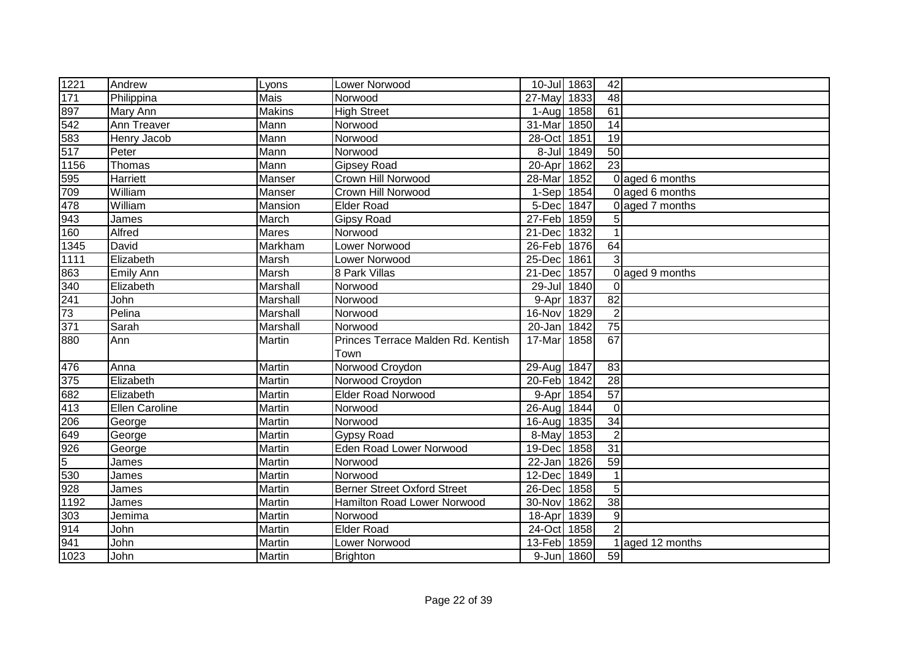| 1221              | Andrew           | Lyons         | Lower Norwood                      | 10-Jul 1863 |            | 42              |                 |
|-------------------|------------------|---------------|------------------------------------|-------------|------------|-----------------|-----------------|
| 171               | Philippina       | <b>Mais</b>   | Norwood                            | 27-May      | 1833       | $\overline{48}$ |                 |
| 897               | Mary Ann         | <b>Makins</b> | <b>High Street</b>                 | 1-Aug 1858  |            | 61              |                 |
| $\frac{542}{583}$ | Ann Treaver      | Mann          | Norwood                            | 31-Mar      | 1850       | 14              |                 |
|                   | Henry Jacob      | Mann          | Norwood                            | $28-Oct$    | 1851       | $\overline{19}$ |                 |
|                   | Peter            | Mann          | Norwood                            |             | 8-Jul 1849 | $\overline{50}$ |                 |
| 1156              | Thomas           | Mann          | <b>Gipsey Road</b>                 | 20-Apr      | 1862       | $\overline{23}$ |                 |
| 595               | Harriett         | Manser        | Crown Hill Norwood                 | 28-Mar      | 1852       |                 | 0 aged 6 months |
| 709               | William          | Manser        | Crown Hill Norwood                 | 1-Sep 1854  |            |                 | 0 aged 6 months |
| 478               | William          | Mansion       | Elder Road                         | 5-Dec 1847  |            |                 | 0 aged 7 months |
| 943               | James            | March         | <b>Gipsy Road</b>                  | 27-Feb 1859 |            | 5               |                 |
| 160               | Alfred           | Mares         | Norwood                            | 21-Dec 1832 |            |                 |                 |
| 1345              | David            | Markham       | Lower Norwood                      | 26-Feb 1876 |            | 64              |                 |
| 1111              | Elizabeth        | Marsh         | Lower Norwood                      | 25-Dec      | 1861       | 3               |                 |
| 863               | <b>Emily Ann</b> | Marsh         | 8 Park Villas                      | 21-Dec      | 1857       |                 | 0 aged 9 months |
| 340               | Elizabeth        | Marshall      | Norwood                            | 29-Jul 1840 |            | $\Omega$        |                 |
| 241               | John             | Marshall      | Norwood                            | 9-Apr       | 1837       | 82              |                 |
| 73                | Pelina           | Marshall      | Norwood                            | 16-Nov      | 1829       | $\overline{2}$  |                 |
| 371               | Sarah            | Marshall      | Norwood                            | 20-Jan      | 1842       | 75              |                 |
| 880               | Ann              | Martin        | Princes Terrace Malden Rd. Kentish | 17-Mar      | 1858       | 67              |                 |
|                   |                  |               | Town                               |             |            |                 |                 |
| 476               | Anna             | Martin        | Norwood Croydon                    | 29-Aug      | 1847       | 83              |                 |
| 375               | Elizabeth        | Martin        | Norwood Croydon                    | 20-Feb 1842 |            | 28              |                 |
| 682               | Elizabeth        | Martin        | <b>Elder Road Norwood</b>          | 9-Apr 1854  |            | 57              |                 |
| 413               | Ellen Caroline   | Martin        | Norwood                            | 26-Aug 1844 |            | $\mathbf 0$     |                 |
|                   | George           | Martin        | Norwood                            | 16-Aug 1835 |            | 34              |                 |
| $\frac{206}{649}$ | George           | Martin        | <b>Gypsy Road</b>                  | 8-May 1853  |            | $\overline{2}$  |                 |
| $\frac{926}{5}$   | George           | Martin        | <b>Eden Road Lower Norwood</b>     | 19-Dec      | 1858       | 31              |                 |
|                   | James            | Martin        | Norwood                            | 22-Jan 1826 |            | 59              |                 |
| 530               | James            | Martin        | Norwood                            | 12-Dec      | 1849       |                 |                 |
| 928               | James            | Martin        | <b>Berner Street Oxford Street</b> | 26-Dec 1858 |            | 5               |                 |
| 1192              | James            | Martin        | Hamilton Road Lower Norwood        | 30-Nov 1862 |            | 38              |                 |
| 303               | Jemima           | Martin        | Norwood                            | 18-Apr      | 1839       | $\overline{9}$  |                 |
| 914               | John             | Martin        | <b>Elder Road</b>                  | 24-Oct 1858 |            | $\overline{2}$  |                 |
| 941               | John             | Martin        | Lower Norwood                      | 13-Feb 1859 |            |                 | aged 12 months  |
| 1023              | John             | Martin        | <b>Brighton</b>                    |             | 9-Jun 1860 | 59              |                 |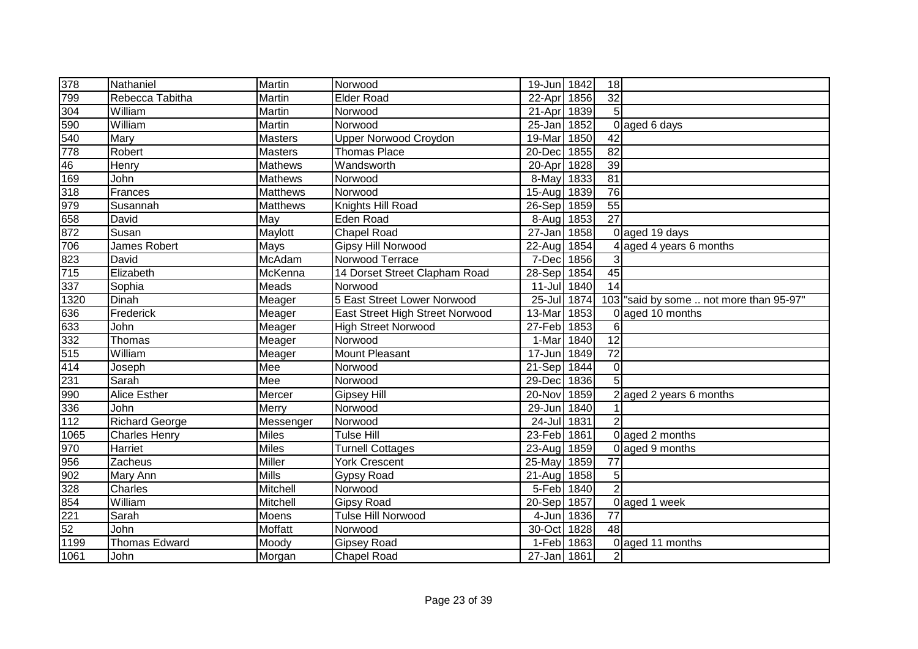| 378               | Nathaniel             | Martin         | Norwood                         | 19-Jun 1842 |      | 18              |                                        |
|-------------------|-----------------------|----------------|---------------------------------|-------------|------|-----------------|----------------------------------------|
| 799               | Rebecca Tabitha       | Martin         | Elder Road                      | 22-Apr      | 1856 | $\overline{32}$ |                                        |
| 304               | William               | Martin         | Norwood                         | 21-Apr      | 1839 | 5               |                                        |
| 590<br>540<br>778 | William               | Martin         | Norwood                         | 25-Jan 1852 |      |                 | 0 aged 6 days                          |
|                   | Mary                  | Masters        | <b>Upper Norwood Croydon</b>    | 19-Mar      | 1850 | $\overline{42}$ |                                        |
|                   | Robert                | Masters        | <b>Thomas Place</b>             | 20-Dec      | 1855 | $\overline{82}$ |                                        |
| 46                | Henry                 | <b>Mathews</b> | Wandsworth                      | 20-Apr      | 1828 | 39              |                                        |
| 169               | John                  | Mathews        | Norwood                         | 8-May 1833  |      | $\overline{81}$ |                                        |
| 318               | Frances               | Matthews       | Norwood                         | 15-Aug 1839 |      | 76              |                                        |
| 979               | Susannah              | Matthews       | Knights Hill Road               | 26-Sep      | 1859 | 55              |                                        |
| 658               | David                 | May            | Eden Road                       | 8-Aug 1853  |      | $\overline{27}$ |                                        |
| 872               | Susan                 | Maylott        | <b>Chapel Road</b>              | 27-Jan      | 1858 |                 | 0 aged 19 days                         |
| 706               | James Robert          | Mays           | Gipsy Hill Norwood              | 22-Aug      | 1854 |                 | 4 aged 4 years 6 months                |
| 823               | David                 | <b>McAdam</b>  | Norwood Terrace                 | $7-Dec$     | 1856 | 3               |                                        |
| 715               | Elizabeth             | McKenna        | 14 Dorset Street Clapham Road   | 28-Sep 1854 |      | 45              |                                        |
| 337               | Sophia                | Meads          | Norwood                         | 11-Jul 1840 |      | 14              |                                        |
| 1320              | Dinah                 | Meager         | 5 East Street Lower Norwood     | 25-Jul      | 1874 |                 | 103 said by some  not more than 95-97" |
| 636               | Frederick             | Meager         | East Street High Street Norwood | 13-Mar      | 1853 |                 | 0 aged 10 months                       |
| 633               | John                  | Meager         | <b>High Street Norwood</b>      | 27-Feb      | 1853 | 6               |                                        |
| 332               | Thomas                | Meager         | Norwood                         | 1-Mar       | 1840 | 12              |                                        |
| 515               | William               | Meager         | <b>Mount Pleasant</b>           | 17-Jun 1849 |      | $\overline{72}$ |                                        |
| 414               | Joseph                | Mee            | Norwood                         | 21-Sep 1844 |      | 0               |                                        |
| 231               | Sarah                 | Mee            | Norwood                         | 29-Dec      | 1836 | $\overline{5}$  |                                        |
| 990               | <b>Alice Esther</b>   | Mercer         | <b>Gipsey Hill</b>              | 20-Nov 1859 |      |                 | 2 aged 2 years 6 months                |
| $\frac{336}{112}$ | John                  | Merry          | Norwood                         | 29-Jun 1840 |      |                 |                                        |
|                   | <b>Richard George</b> | Messenger      | Norwood                         | 24-Jul 1831 |      | $\overline{2}$  |                                        |
| 1065              | <b>Charles Henry</b>  | <b>Miles</b>   | <b>Tulse Hill</b>               | 23-Feb 1861 |      |                 | 0 aged 2 months                        |
| 970               | Harriet               | <b>Miles</b>   | <b>Turnell Cottages</b>         | 23-Aug 1859 |      |                 | 0 aged 9 months                        |
| 956               | Zacheus               | Miller         | York Crescent                   | 25-May      | 1859 | 77              |                                        |
| 902               | Mary Ann              | <b>Mills</b>   | <b>Gypsy Road</b>               | 21-Aug 1858 |      | $\sqrt{5}$      |                                        |
| 328               | Charles               | Mitchell       | Norwood                         | 5-Feb 1840  |      | $\overline{2}$  |                                        |
| 854               | William               | Mitchell       | <b>Gipsy Road</b>               | 20-Sep 1857 |      |                 | 0 aged 1 week                          |
| 221               | Sarah                 | Moens          | Tulse Hill Norwood              | 4-Jun 1836  |      | 77              |                                        |
| 52                | John                  | Moffatt        | Norwood                         | 30-Oct 1828 |      | 48              |                                        |
| 1199              | <b>Thomas Edward</b>  | Moody          | <b>Gipsey Road</b>              | 1-Feb 1863  |      |                 | 0 aged 11 months                       |
| 1061              | John                  | Morgan         | <b>Chapel Road</b>              | 27-Jan 1861 |      | $\overline{2}$  |                                        |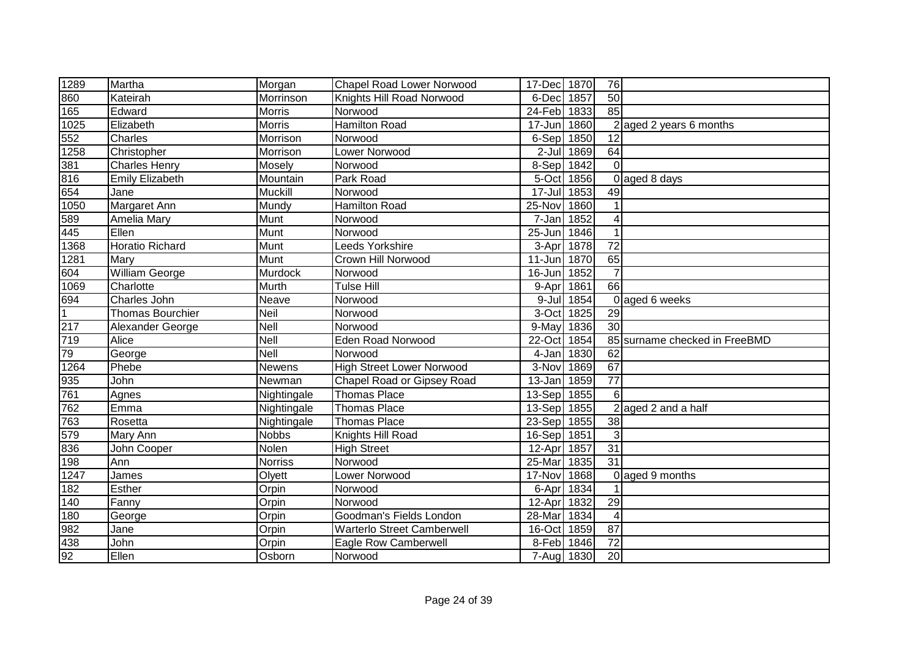| 1289               | Martha                  | Morgan         | <b>Chapel Road Lower Norwood</b>  | 17-Dec 1870 |            | 76              |                               |
|--------------------|-------------------------|----------------|-----------------------------------|-------------|------------|-----------------|-------------------------------|
| 860                | Kateirah                | Morrinson      | Knights Hill Road Norwood         | 6-Dec       | 1857       | 50              |                               |
| 165                | Edward                  | Morris         | Norwood                           | 24-Feb 1833 |            | 85              |                               |
| 1025               | Elizabeth               | Morris         | <b>Hamilton Road</b>              | $17 - Jun$  | 1860       |                 | $2$ aged 2 years 6 months     |
| $\frac{552}{1258}$ | Charles                 | Morrison       | Norwood                           | 6-Sep 1850  |            | $\overline{12}$ |                               |
|                    | Christopher             | Morrison       | Lower Norwood                     |             | 2-Jul 1869 | 64              |                               |
| 381                | <b>Charles Henry</b>    | Mosely         | Norwood                           | 8-Sep 1842  |            | $\Omega$        |                               |
| 816                | <b>Emily Elizabeth</b>  | Mountain       | Park Road                         | 5-Oct 1856  |            |                 | 0 aged 8 days                 |
| 654                | Jane                    | Muckill        | Norwood                           | 17-Jul 1853 |            | 49              |                               |
| 1050               | Margaret Ann            | Mundy          | Hamilton Road                     | 25-Nov      | 1860       |                 |                               |
| 589                | Amelia Mary             | Munt           | Norwood                           | 7-Jan 1852  |            | 4               |                               |
| 445                | Ellen                   | Munt           | Norwood                           | 25-Jun      | 1846       |                 |                               |
| 1368               | <b>Horatio Richard</b>  | Munt           | Leeds Yorkshire                   | 3-Apr       | 1878       | $\overline{72}$ |                               |
| 1281               | Mary                    | Munt           | Crown Hill Norwood                | 11-Jun      | 1870       | 65              |                               |
| 604                | <b>William George</b>   | Murdock        | Norwood                           | 16-Jun      | 1852       | $\overline{7}$  |                               |
| 1069               | Charlotte               | Murth          | <b>Tulse Hill</b>                 | 9-Apr       | 1861       | 66              |                               |
| 694                | Charles John            | Neave          | Norwood                           |             | 9-Jul 1854 |                 | 0 aged 6 weeks                |
| $\overline{1}$     | <b>Thomas Bourchier</b> | <b>Neil</b>    | Norwood                           | 3-Oct 1825  |            | 29              |                               |
| 217                | Alexander George        | Nell           | Norwood                           | 9-May 1836  |            | 30 <sup>1</sup> |                               |
| 719                | Alice                   | Nell           | <b>Eden Road Norwood</b>          | 22-Oct 1854 |            |                 | 85 surname checked in FreeBMD |
| 79                 | George                  | Nell           | Norwood                           | 4-Jan 1830  |            | 62              |                               |
| 1264               | Phebe                   | Newens         | <b>High Street Lower Norwood</b>  | 3-Nov 1869  |            | 67              |                               |
| 935                | John                    | Newman         | Chapel Road or Gipsey Road        | 13-Jan 1859 |            | $\overline{77}$ |                               |
| 761                | Agnes                   | Nightingale    | <b>Thomas Place</b>               | 13-Sep 1855 |            | 6               |                               |
| 762                | Emma                    | Nightingale    | <b>Thomas Place</b>               | 13-Sep 1855 |            |                 | $2$ aged 2 and a half         |
| 763                | Rosetta                 | Nightingale    | <b>Thomas Place</b>               | 23-Sep 1855 |            | 38              |                               |
| 579                | Mary Ann                | <b>Nobbs</b>   | Knights Hill Road                 | 16-Sep 1851 |            | 3               |                               |
| 836                | John Cooper             | Nolen          | <b>High Street</b>                | 12-Apr      | 1857       | 31              |                               |
| 198                | Ann                     | <b>Norriss</b> | Norwood                           | 25-Mar      | 1835       | $\overline{31}$ |                               |
| 1247               | James                   | Olyett         | Lower Norwood                     | 17-Nov      | 1868       |                 | 0 aged 9 months               |
| 182                | <b>Esther</b>           | Orpin          | Norwood                           | 6-Apr 1834  |            |                 |                               |
| 140                | Fanny                   | Orpin          | Norwood                           | 12-Apr      | 1832       | 29              |                               |
| 180                | George                  | Orpin          | Goodman's Fields London           | 28-Mar      | 1834       | $\overline{4}$  |                               |
| 982                | Jane                    | Orpin          | <b>Warterlo Street Camberwell</b> | 16-Oct 1859 |            | 87              |                               |
| 438                | John                    | Orpin          | <b>Eagle Row Camberwell</b>       | 8-Feb 1846  |            | 72              |                               |
| 92                 | Ellen                   | Osborn         | Norwood                           | 7-Aug 1830  |            | 20              |                               |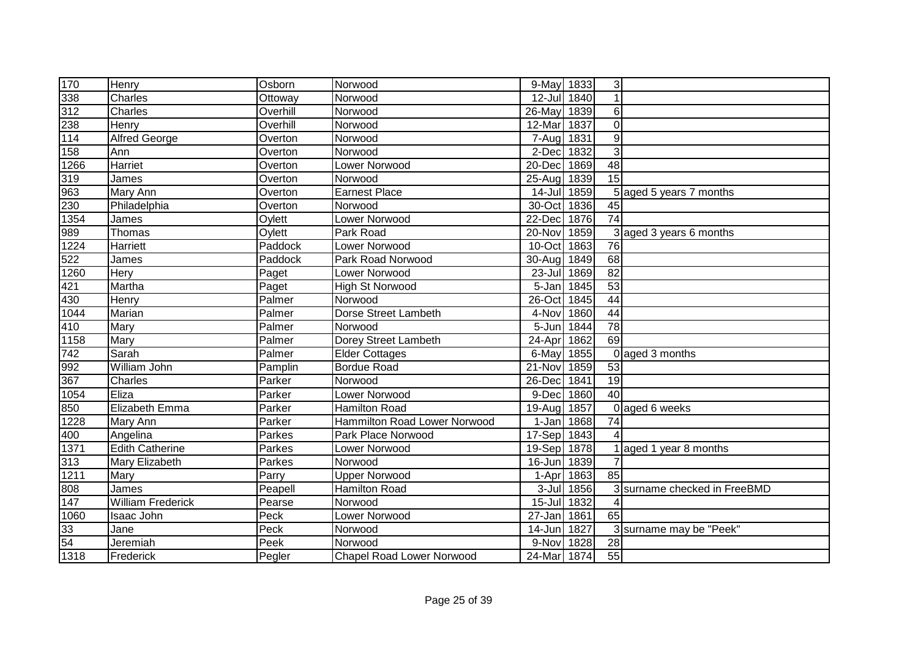| 170              | Henry                    | Osborn   | Norwood                             | 9-May 1833  |      | 3 <sup>l</sup>  |                              |
|------------------|--------------------------|----------|-------------------------------------|-------------|------|-----------------|------------------------------|
| 338              | Charles                  | Ottoway  | Norwood                             | 12-Jul 1840 |      |                 |                              |
| 312              | Charles                  | Overhill | Norwood                             | 26-May      | 1839 | 6 <sup>1</sup>  |                              |
| 238              | Henry                    | Overhill | Norwood                             | 12-Mar      | 1837 | $\Omega$        |                              |
| 114              | <b>Alfred George</b>     | Overton  | Norwood                             | 7-Aug       | 1831 | $\overline{9}$  |                              |
| 158              | Ann                      | Overton  | Norwood                             | 2-Dec       | 1832 | $\overline{3}$  |                              |
| 1266             | Harriet                  | Overton  | Lower Norwood                       | 20-Dec      | 1869 | 48              |                              |
| 319              | James                    | Overton  | Norwood                             | $25 - Aug$  | 1839 | $\overline{15}$ |                              |
| 963              | Mary Ann                 | Overton  | <b>Earnest Place</b>                | $14$ -Jul   | 1859 |                 | 5 aged 5 years 7 months      |
| 230              | Philadelphia             | Overton  | Norwood                             | 30-Oct 1836 |      | 45              |                              |
| 1354             | James                    | Oylett   | Lower Norwood                       | 22-Dec      | 1876 | 74              |                              |
| 989              | Thomas                   | Oylett   | Park Road                           | 20-Nov      | 1859 |                 | 3 aged 3 years 6 months      |
| 1224             | Harriett                 | Paddock  | Lower Norwood                       | 10-Oct      | 1863 | 76              |                              |
| 522              | James                    | Paddock  | Park Road Norwood                   | 30-Aug      | 1849 | 68              |                              |
| 1260             | Hery                     | Paget    | Lower Norwood                       | $23 -$ Jul  | 1869 | $\overline{82}$ |                              |
| 421              | Martha                   | Paget    | <b>High St Norwood</b>              | 5-Jan       | 1845 | 53              |                              |
| 430              | Henry                    | Palmer   | Norwood                             | 26-Oct      | 1845 | 44              |                              |
| 1044             | Marian                   | Palmer   | Dorse Street Lambeth                | 4-Nov       | 1860 | 44              |                              |
| $\overline{410}$ | Mary                     | Palmer   | Norwood                             | 5-Jun 1844  |      | $\overline{78}$ |                              |
| 1158             | Mary                     | Palmer   | Dorey Street Lambeth                | 24-Apr      | 1862 | 69              |                              |
| 742              | Sarah                    | Palmer   | <b>Elder Cottages</b>               | 6-May       | 1855 |                 | 0 aged 3 months              |
| 992              | William John             | Pamplin  | <b>Bordue Road</b>                  | 21-Nov      | 1859 | 53              |                              |
| 367              | Charles                  | Parker   | Norwood                             | 26-Dec      | 1841 | 19              |                              |
| 1054             | Eliza                    | Parker   | Lower Norwood                       | 9-Dec       | 1860 | 40              |                              |
| 850              | Elizabeth Emma           | Parker   | <b>Hamilton Road</b>                | 19-Aug      | 1857 |                 | 0 aged 6 weeks               |
| 1228             | Mary Ann                 | Parker   | <b>Hammilton Road Lower Norwood</b> | $1-Jan$     | 1868 | 74              |                              |
| 400              | Angelina                 | Parkes   | Park Place Norwood                  | 17-Sep      | 1843 |                 |                              |
| 1371             | <b>Edith Catherine</b>   | Parkes   | Lower Norwood                       | 19-Sep      | 1878 |                 | aged 1 year 8 months         |
| 313              | Mary Elizabeth           | Parkes   | Norwood                             | $16$ -Jun   | 1839 |                 |                              |
| 1211             | Mary                     | Parry    | <b>Upper Norwood</b>                | 1-Apr       | 1863 | 85              |                              |
| 808              | James                    | Peapell  | <b>Hamilton Road</b>                | $3 -$ Jul   | 1856 |                 | 3 surname checked in FreeBMD |
| $\boxed{147}$    | <b>William Frederick</b> | Pearse   | Norwood                             | $15 -$ Jul  | 1832 |                 |                              |
| 1060             | Isaac John               | Peck     | Lower Norwood                       | 27-Jan 1861 |      | 65              |                              |
| 33               | Jane                     | Peck     | Norwood                             | 14-Jun 1827 |      |                 | 3 surname may be "Peek"      |
| 54               | Jeremiah                 | Peek     | Norwood                             | 9-Nov       | 1828 | 28              |                              |
| 1318             | Frederick                | Pegler   | <b>Chapel Road Lower Norwood</b>    | 24-Mar 1874 |      | 55              |                              |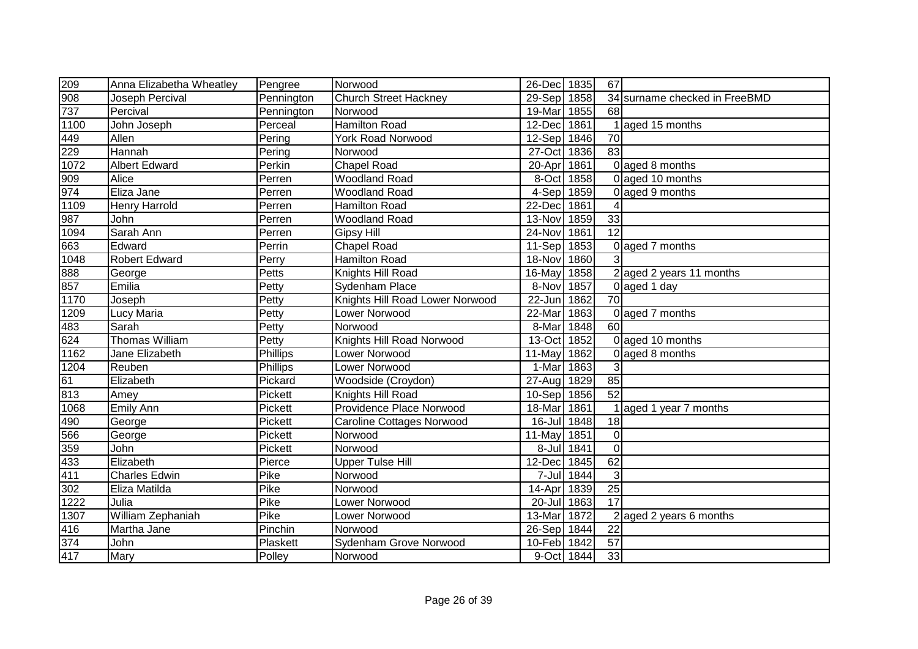| 209                                  | Anna Elizabetha Wheatley | Pengree      | Norwood                          | 26-Dec 1835 |            | 67              |                               |
|--------------------------------------|--------------------------|--------------|----------------------------------|-------------|------------|-----------------|-------------------------------|
| 908                                  | Joseph Percival          | Pennington   | <b>Church Street Hackney</b>     | 29-Sep 1858 |            |                 | 34 surname checked in FreeBMD |
| 737                                  | Percival                 | Pennington   | Norwood                          | 19-Mar      | 1855       | 68              |                               |
| 1100                                 | John Joseph              | Perceal      | <b>Hamilton Road</b>             | 12-Dec 1861 |            |                 | 1 aged 15 months              |
|                                      | Allen                    | Pering       | <b>York Road Norwood</b>         | 12-Sep 1846 |            | 70              |                               |
|                                      | Hannah                   | Pering       | Norwood                          | 27-Oct 1836 |            | 83              |                               |
| $\frac{449}{229}$ $\frac{229}{1072}$ | <b>Albert Edward</b>     | Perkin       | <b>Chapel Road</b>               | 20-Apr      | 1861       |                 | 0 aged 8 months               |
| 909                                  | Alice                    | Perren       | <b>Woodland Road</b>             | 8-Oct 1858  |            |                 | 0 aged 10 months              |
| 974                                  | Eliza Jane               | Perren       | <b>Woodland Road</b>             | 4-Sep 1859  |            |                 | 0 aged 9 months               |
| 1109                                 | <b>Henry Harrold</b>     | Perren       | Hamilton Road                    | 22-Dec 1861 |            | 4               |                               |
| 987                                  | John                     | Perren       | <b>Woodland Road</b>             | 13-Nov 1859 |            | 33              |                               |
| 1094                                 | Sarah Ann                | Perren       | <b>Gipsy Hill</b>                | 24-Nov 1861 |            | $\overline{12}$ |                               |
| 663                                  | Edward                   | Perrin       | <b>Chapel Road</b>               | 11-Sep 1853 |            |                 | 0 aged 7 months               |
| 1048                                 | <b>Robert Edward</b>     | Perry        | Hamilton Road                    | 18-Nov      | 1860       | 3               |                               |
| 888                                  | George                   | Petts        | Knights Hill Road                | 16-May      | 1858       |                 | 2 aged 2 years 11 months      |
| 857                                  | Emilia                   | Petty        | Sydenham Place                   | 8-Nov 1857  |            |                 | $0$ aged 1 day                |
| 1170                                 | Joseph                   | Petty        | Knights Hill Road Lower Norwood  | 22-Jun      | 1862       | 70              |                               |
| 1209                                 | Lucy Maria               | Petty        | Lower Norwood                    | $22-Mar$    | 1863       |                 | 0 aged 7 months               |
| 483                                  | Sarah                    | Petty        | Norwood                          | 8-Mar       | 1848       | 60              |                               |
| 624                                  | Thomas William           | <b>Petty</b> | Knights Hill Road Norwood        | 13-Oct 1852 |            |                 | 0 aged 10 months              |
| 1162                                 | Jane Elizabeth           | Phillips     | Lower Norwood                    | 11-May 1862 |            |                 | 0 aged 8 months               |
| 1204                                 | Reuben                   | Phillips     | Lower Norwood                    | 1-Mar       | 1863       | $\mathbf{3}$    |                               |
|                                      | Elizabeth                | Pickard      | Woodside (Croydon)               | 27-Aug 1829 |            | 85              |                               |
| $\frac{61}{813}$                     | Amey                     | Pickett      | Knights Hill Road                | 10-Sep 1856 |            | $\overline{52}$ |                               |
| 1068                                 | <b>Emily Ann</b>         | Pickett      | Providence Place Norwood         | 18-Mar      | 1861       |                 | 1 aged 1 year 7 months        |
|                                      | George                   | Pickett      | <b>Caroline Cottages Norwood</b> | 16-Jul 1848 |            | 18              |                               |
|                                      | George                   | Pickett      | Norwood                          | 11-May 1851 |            | $\Omega$        |                               |
| 490<br>566<br>359                    | John                     | Pickett      | Norwood                          |             | 8-Jul 1841 | $\mathbf 0$     |                               |
| 433                                  | Elizabeth                | Pierce       | <b>Upper Tulse Hill</b>          | 12-Dec      | 1845       | 62              |                               |
| 411                                  | <b>Charles Edwin</b>     | Pike         | Norwood                          |             | 7-Jul 1844 | $\mathfrak{3}$  |                               |
| 302                                  | Eliza Matilda            | Pike         | Norwood                          | 14-Apr      | 1839       | $\overline{25}$ |                               |
| 1222                                 | Julia                    | Pike         | Lower Norwood                    | 20-Jul 1863 |            | 17              |                               |
| 1307                                 | William Zephaniah        | Pike         | Lower Norwood                    | 13-Mar      | 1872       |                 | aged 2 years 6 months         |
| 416                                  | Martha Jane              | Pinchin      | Norwood                          | 26-Sep 1844 |            | 22              |                               |
| 374                                  | John                     | Plaskett     | Sydenham Grove Norwood           | 10-Feb 1842 |            | $\overline{57}$ |                               |
| 417                                  | Mary                     | Polley       | Norwood                          | 9-Oct 1844  |            | 33              |                               |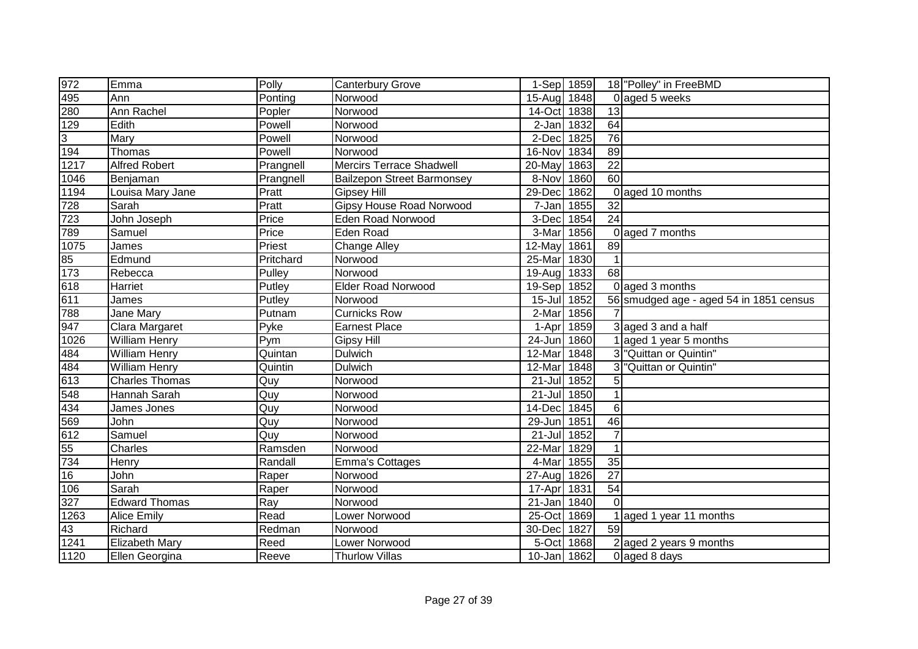| 972                                                  | Emma                  | Polly     | <b>Canterbury Grove</b>           | 1-Sep 1859  |            |                 | 18 "Polley" in FreeBMD                  |
|------------------------------------------------------|-----------------------|-----------|-----------------------------------|-------------|------------|-----------------|-----------------------------------------|
| 495                                                  | Ann                   | Ponting   | Norwood                           | 15-Aug 1848 |            |                 | 0 aged 5 weeks                          |
| 280                                                  | Ann Rachel            | Popler    | Norwood                           | 14-Oct      | 1838       | 13              |                                         |
| 129                                                  | Edith                 | Powell    | Norwood                           | $2-Jan$     | 1832       | 64              |                                         |
| $\overline{3}$                                       | Mary                  | Powell    | Norwood                           | 2-Dec       | 1825       | 76              |                                         |
| 194                                                  | Thomas                | Powell    | Norwood                           | 16-Nov      | 1834       | 89              |                                         |
| 1217                                                 | <b>Alfred Robert</b>  | Prangnell | <b>Mercirs Terrace Shadwell</b>   | 20-May      | 1863       | $\overline{22}$ |                                         |
| 1046                                                 | Benjaman              | Prangnell | <b>Bailzepon Street Barmonsey</b> | 8-Nov       | 1860       | 60              |                                         |
| 1194                                                 | Louisa Mary Jane      | Pratt     | <b>Gipsey Hill</b>                | 29-Dec      | 1862       |                 | 0 aged 10 months                        |
| 728                                                  | Sarah                 | Pratt     | <b>Gipsy House Road Norwood</b>   | 7-Jan       | 1855       | 32              |                                         |
| 723                                                  | John Joseph           | Price     | <b>Eden Road Norwood</b>          | 3-Dec       | 1854       | $\overline{24}$ |                                         |
| 789                                                  | Samuel                | Price     | Eden Road                         | 3-Mar       | 1856       |                 | 0 aged 7 months                         |
| 1075                                                 | James                 | Priest    | <b>Change Alley</b>               | 12-May      | 1861       | 89              |                                         |
| $\frac{85}{173}$                                     | Edmund                | Pritchard | Norwood                           | 25-Mar      | 1830       | $\mathbf{1}$    |                                         |
|                                                      | Rebecca               | Pulley    | Norwood                           | 19-Aug      | 1833       | 68              |                                         |
| 618                                                  | Harriet               | Putley    | <b>Elder Road Norwood</b>         | 19-Sep      | 1852       |                 | 0 aged 3 months                         |
| 611                                                  | James                 | Putley    | Norwood                           | $15$ -Jul   | 1852       |                 | 56 smudged age - aged 54 in 1851 census |
| 788                                                  | Jane Mary             | Putnam    | <b>Curnicks Row</b>               | 2-Mar       | 1856       | 7               |                                         |
| 947                                                  | Clara Margaret        | Pyke      | <b>Earnest Place</b>              | 1-Apr       | 1859       |                 | 3 aged 3 and a half                     |
| 1026                                                 | <b>William Henry</b>  | Pym       | <b>Gipsy Hill</b>                 | $24$ -Jun   | 1860       |                 | 1 aged 1 year 5 months                  |
| 484                                                  | <b>William Henry</b>  | Quintan   | Dulwich                           | 12-Mar      | 1848       |                 | 3 "Quittan or Quintin"                  |
| 484                                                  | <b>William Henry</b>  | Quintin   | Dulwich                           | 12-Mar      | 1848       | 3               | "Quittan or Quintin"                    |
| 613                                                  | <b>Charles Thomas</b> | Quy       | Norwood                           | $21 -$ Jul  | 1852       | 5               |                                         |
| 548                                                  | Hannah Sarah          | Quy       | Norwood                           | 21-Jul 1850 |            | $\mathbf{1}$    |                                         |
|                                                      | James Jones           | Quy       | Norwood                           | $14$ -Dec   | 1845       | $6\phantom{1}$  |                                         |
| $\frac{434}{569}$ $\frac{569}{612}$ $\frac{55}{734}$ | John                  | Quy       | Norwood                           | 29-Jun      | 1851       | 46              |                                         |
|                                                      | Samuel                | Quy       | Norwood                           | $21 -$ Jul  | 1852       | $\overline{7}$  |                                         |
|                                                      | Charles               | Ramsden   | Norwood                           | 22-Mar      | 1829       | $\mathbf{1}$    |                                         |
|                                                      | Henry                 | Randall   | <b>Emma's Cottages</b>            | 4-Mar       | 1855       | $\overline{35}$ |                                         |
| 16                                                   | John                  | Raper     | Norwood                           | 27-Aug      | 1826       | $\overline{27}$ |                                         |
| 106                                                  | Sarah                 | Raper     | Norwood                           | 17-Apr      | 1831       | 54              |                                         |
| $\overline{327}$                                     | <b>Edward Thomas</b>  | Ray       | Norwood                           | $21 - Jan$  | 1840       | $\Omega$        |                                         |
| $\overline{1263}$                                    | <b>Alice Emily</b>    | Read      | Lower Norwood                     | 25-Oct      | 1869       |                 | 1 aged 1 year 11 months                 |
| 43                                                   | Richard               | Redman    | Norwood                           | 30-Dec      | 1827       | $\overline{59}$ |                                         |
| 1241                                                 | <b>Elizabeth Mary</b> | Reed      | Lower Norwood                     |             | 5-Oct 1868 |                 | $2$ aged 2 years 9 months               |
| 1120                                                 | Ellen Georgina        | Reeve     | <b>Thurlow Villas</b>             | 10-Jan 1862 |            |                 | 0 aged 8 days                           |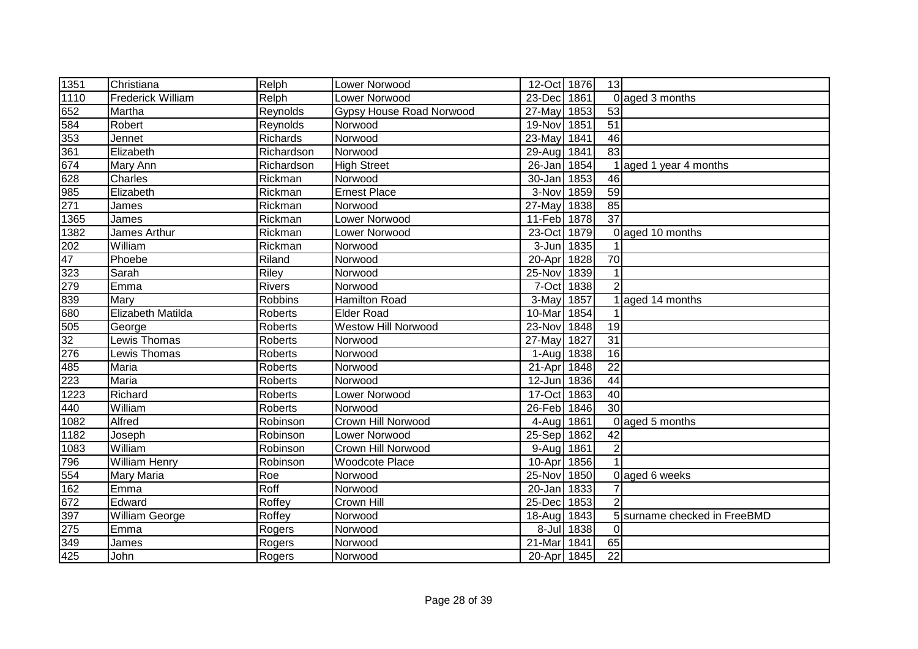| 1351                                | Christiana               | Relph      | <b>Lower Norwood</b>            | 12-Oct 1876 |            | 13              |                              |
|-------------------------------------|--------------------------|------------|---------------------------------|-------------|------------|-----------------|------------------------------|
| 1110                                | <b>Frederick William</b> | Relph      | Lower Norwood                   | 23-Dec      | 1861       |                 | 0 aged 3 months              |
| 652                                 | Martha                   | Reynolds   | <b>Gypsy House Road Norwood</b> | 27-May      | 1853       | 53              |                              |
| 584                                 | Robert                   | Reynolds   | Norwood                         | 19-Nov      | 1851       | 51              |                              |
| 353                                 | Jennet                   | Richards   | Norwood                         | 23-May      | 1841       | 46              |                              |
| 361                                 | Elizabeth                | Richardson | Norwood                         | $29$ -Aug   | 1841       | $\overline{83}$ |                              |
| $\frac{674}{628}$ $\frac{628}{271}$ | Mary Ann                 | Richardson | <b>High Street</b>              | $26$ -Jan   | 1854       |                 | 1 aged 1 year 4 months       |
|                                     | Charles                  | Rickman    | Norwood                         | 30-Jan 1853 |            | 46              |                              |
|                                     | Elizabeth                | Rickman    | <b>Ernest Place</b>             | 3-Nov 1859  |            | 59              |                              |
|                                     | James                    | Rickman    | Norwood                         | 27-May      | 1838       | 85              |                              |
| 1365                                | James                    | Rickman    | Lower Norwood                   | 11-Feb 1878 |            | 37              |                              |
| 1382                                | James Arthur             | Rickman    | Lower Norwood                   | 23-Oct      | 1879       |                 | 0 aged 10 months             |
| $\overline{202}$                    | William                  | Rickman    | Norwood                         | $3 - Jun$   | 1835       |                 |                              |
| 47                                  | Phoebe                   | Riland     | Norwood                         | 20-Apr      | 1828       | 70              |                              |
| 323                                 | Sarah                    | Riley      | Norwood                         | 25-Nov      | 1839       | $\mathbf{1}$    |                              |
| 279                                 | Emma                     | Rivers     | Norwood                         | 7-Oct       | 1838       | $\mathcal{P}$   |                              |
| 839                                 | Mary                     | Robbins    | Hamilton Road                   | 3-May       | 1857       |                 | 1 aged 14 months             |
| 680                                 | Elizabeth Matilda        | Roberts    | <b>Elder Road</b>               | 10-Mar 1854 |            |                 |                              |
| 505                                 | George                   | Roberts    | <b>Westow Hill Norwood</b>      | 23-Nov 1848 |            | 19              |                              |
| 32                                  | Lewis Thomas             | Roberts    | Norwood                         | 27-May      | 1827       | 31              |                              |
| 276                                 | Lewis Thomas             | Roberts    | Norwood                         | 1-Aug 1838  |            | 16              |                              |
| 485<br>223                          | Maria                    | Roberts    | Norwood                         | 21-Apr 1848 |            | 22              |                              |
|                                     | Maria                    | Roberts    | Norwood                         | 12-Jun 1836 |            | 44              |                              |
| 1223                                | Richard                  | Roberts    | Lower Norwood                   | 17-Oct 1863 |            | 40              |                              |
| 440                                 | William                  | Roberts    | Norwood                         | 26-Feb 1846 |            | $\overline{30}$ |                              |
| 1082                                | Alfred                   | Robinson   | Crown Hill Norwood              | $4 - Aug$   | 1861       |                 | 0 aged 5 months              |
| 1182                                | Joseph                   | Robinson   | Lower Norwood                   | 25-Sep      | 1862       | 42              |                              |
| 1083                                | William                  | Robinson   | Crown Hill Norwood              | $9-Auq$     | 1861       | $\overline{2}$  |                              |
| 796                                 | <b>William Henry</b>     | Robinson   | <b>Woodcote Place</b>           | 10-Apr      | 1856       |                 |                              |
| 554                                 | <b>Mary Maria</b>        | Roe        | Norwood                         | 25-Nov      | 1850       |                 | 0 aged 6 weeks               |
| 162                                 | Emma                     | Roff       | Norwood                         | 20-Jan      | 1833       |                 |                              |
| 672                                 | Edward                   | Roffey     | Crown Hill                      | 25-Dec      | 1853       |                 |                              |
| 397                                 | William George           | Roffey     | Norwood                         | 18-Aug      | 1843       |                 | 5 surname checked in FreeBMD |
| 275                                 | Emma                     | Rogers     | Norwood                         |             | 8-Jul 1838 | $\Omega$        |                              |
| 349                                 | James                    | Rogers     | Norwood                         | 21-Mar      | 1841       | 65              |                              |
| 425                                 | John                     | Rogers     | Norwood                         | 20-Apr 1845 |            | 22              |                              |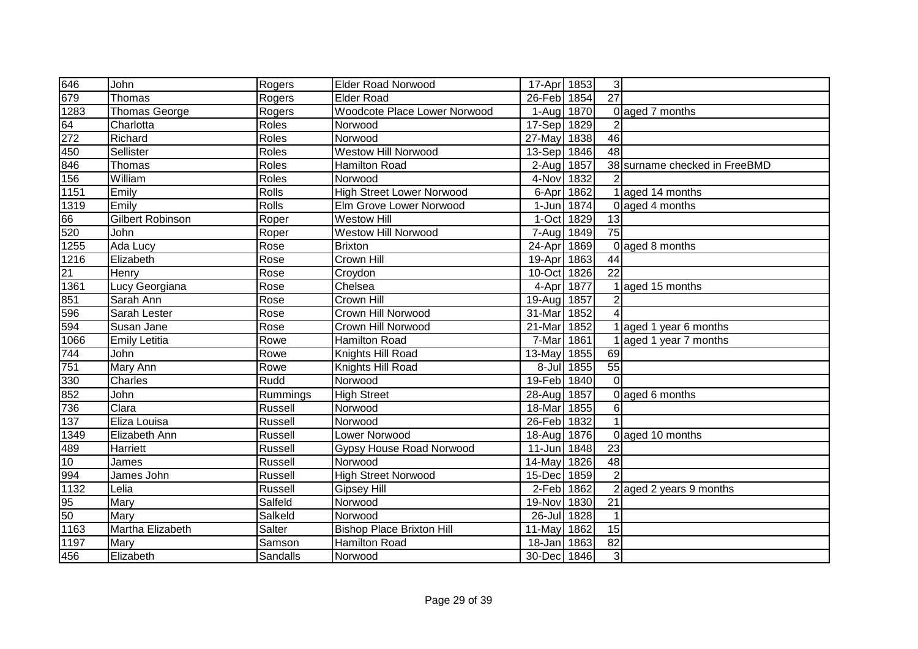| 646              | John                 | Rogers       | <b>Elder Road Norwood</b>           | 17-Apr 1853               |            | $\mathbf{3}$          |                               |
|------------------|----------------------|--------------|-------------------------------------|---------------------------|------------|-----------------------|-------------------------------|
| 679              | Thomas               | Rogers       | <b>Elder Road</b>                   | $\overline{26}$ -Feb 1854 |            | $\overline{27}$       |                               |
| 1283             | Thomas George        | Rogers       | <b>Woodcote Place Lower Norwood</b> | 1-Aug 1870                |            |                       | 0 aged 7 months               |
| 64               | Charlotta            | Roles        | Norwood                             | 17-Sep 1829               |            |                       |                               |
| 272              | Richard              | Roles        | Norwood                             | 27-May                    | 1838       | 46                    |                               |
| 450              | Sellister            | Roles        | <b>Westow Hill Norwood</b>          | 13-Sep 1846               |            | $\overline{48}$       |                               |
| 846              | Thomas               | Roles        | <b>Hamilton Road</b>                | $2-Auq$                   | 1857       |                       | 38 surname checked in FreeBMD |
| 156              | William              | Roles        | Norwood                             | 4-Nov                     | 1832       |                       |                               |
| 1151             | Emily                | <b>Rolls</b> | <b>High Street Lower Norwood</b>    | 6-Apr                     | 1862       |                       | 1 aged 14 months              |
| 1319             | Emily                | <b>Rolls</b> | Elm Grove Lower Norwood             | 1-Jun                     | 1874       |                       | 0 aged 4 months               |
| 66               | Gilbert Robinson     | Roper        | <b>Westow Hill</b>                  | 1-Oct 1829                |            | 13                    |                               |
| $\overline{520}$ | John                 | Roper        | <b>Westow Hill Norwood</b>          | 7-Aug                     | 1849       | $\overline{75}$       |                               |
| 1255             | Ada Lucy             | Rose         | <b>Brixton</b>                      | 24-Apr                    | 1869       |                       | 0 aged 8 months               |
| 1216             | Elizabeth            | Rose         | <b>Crown Hill</b>                   | 19-Apr                    | 1863       | 44                    |                               |
| 21               | Henry                | Rose         | Croydon                             | 10-Oct                    | 1826       | 22                    |                               |
| 1361             | Lucy Georgiana       | Rose         | Chelsea                             | 4-Apr                     | 1877       |                       | aged 15 months                |
| 851              | Sarah Ann            | Rose         | Crown Hill                          | 19-Aug                    | 1857       | $\overline{2}$        |                               |
| 596              | Sarah Lester         | Rose         | Crown Hill Norwood                  | 31-Mar                    | 1852       | $\boldsymbol{\Delta}$ |                               |
| 594              | Susan Jane           | Rose         | Crown Hill Norwood                  | 21-Mar                    | 1852       |                       | 1 aged 1 year 6 months        |
| 1066             | <b>Emily Letitia</b> | Rowe         | Hamilton Road                       | 7-Mar                     | 1861       |                       | 1 aged 1 year 7 months        |
| $\overline{744}$ | John                 | Rowe         | Knights Hill Road                   | 13-May 1855               |            | 69                    |                               |
| 751              | Mary Ann             | Rowe         | Knights Hill Road                   |                           | 8-Jul 1855 | $\overline{55}$       |                               |
| 330              | Charles              | Rudd         | Norwood                             | 19-Feb 1840               |            | $\overline{0}$        |                               |
| 852              | John                 | Rummings     | <b>High Street</b>                  | 28-Aug                    | 1857       |                       | 0 aged 6 months               |
| 736              | Clara                | Russell      | Norwood                             | 18-Mar                    | 1855       | 6                     |                               |
| 137              | Eliza Louisa         | Russell      | Norwood                             | 26-Feb 1832               |            |                       |                               |
| 1349             | Elizabeth Ann        | Russell      | Lower Norwood                       | 18-Aug 1876               |            |                       | 0 aged 10 months              |
| 489              | Harriett             | Russell      | <b>Gypsy House Road Norwood</b>     | 11-Jun                    | 1848       | 23                    |                               |
| 10               | James                | Russell      | Norwood                             | 14-May                    | 1826       | $\frac{1}{8}$         |                               |
| 994              | James John           | Russell      | <b>High Street Norwood</b>          | 15-Dec                    | 1859       | $\overline{2}$        |                               |
| 1132             | Lelia                | Russell      | <b>Gipsey Hill</b>                  | 2-Feb 1862                |            |                       | $2$ aged 2 years 9 months     |
| 95               | Mary                 | Salfeld      | Norwood                             | 19-Nov                    | 1830       | 21                    |                               |
| 50               | Mary                 | Salkeld      | Norwood                             | $26$ -Jul                 | 1828       |                       |                               |
| 1163             | Martha Elizabeth     | Salter       | <b>Bishop Place Brixton Hill</b>    | 11-May                    | 1862       | 15                    |                               |
| 1197             | Mary                 | Samson       | <b>Hamilton Road</b>                | 18-Jan                    | 1863       | 82                    |                               |
| 456              | Elizabeth            | Sandalls     | Norwood                             | 30-Dec                    | 1846       | 3                     |                               |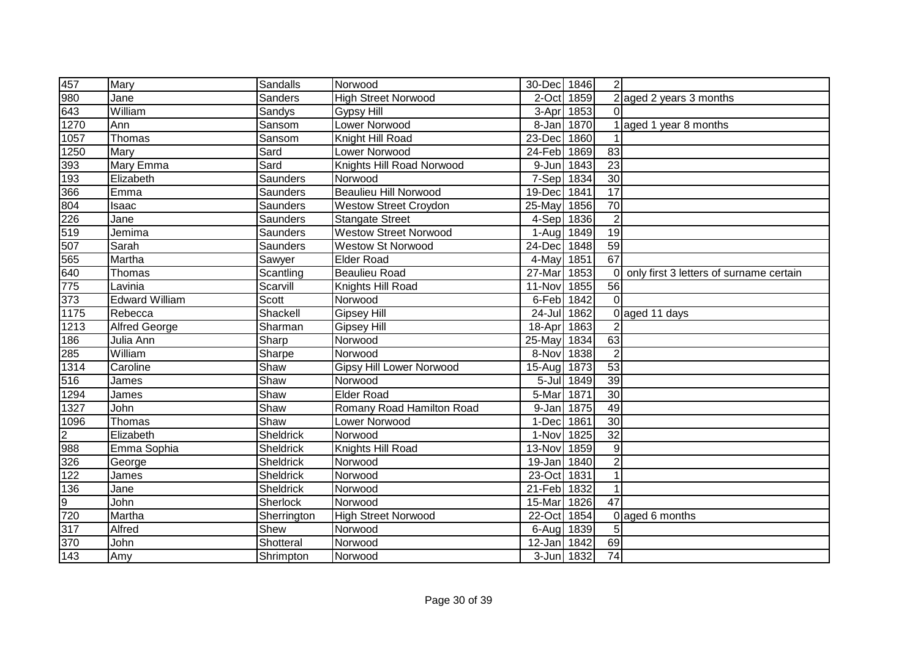| 457            | Mary                  | Sandalls     | Norwood                         | 30-Dec 1846           |            | $\overline{2}$   |                                         |
|----------------|-----------------------|--------------|---------------------------------|-----------------------|------------|------------------|-----------------------------------------|
| 980            | Jane                  | Sanders      | <b>High Street Norwood</b>      | 2-Oct                 | 1859       |                  | $2$ aged 2 years 3 months               |
| 643            | William               | Sandys       | <b>Gypsy Hill</b>               | 3-Apr                 | 1853       | $\Omega$         |                                         |
| 1270           | Ann                   | Sansom       | <b>Lower Norwood</b>            | 8-Jan 1870            |            |                  | aged 1 year 8 months                    |
| 1057           | Thomas                | Sansom       | Knight Hill Road                | 23-Dec                | 1860       |                  |                                         |
| 1250           | Mary                  | Sard         | Lower Norwood                   | $24 - \overline{F}eb$ | 1869       | 83               |                                         |
| 393            | Mary Emma             | Sard         | Knights Hill Road Norwood       | 9-Jun                 | 1843       | $\overline{23}$  |                                         |
| 193            | Elizabeth             | Saunders     | Norwood                         | 7-Sep 1834            |            | 30               |                                         |
| 366            | Emma                  | Saunders     | <b>Beaulieu Hill Norwood</b>    | 19-Dec                | 1841       | $\overline{17}$  |                                         |
| 804            | Isaac                 | Saunders     | <b>Westow Street Croydon</b>    | 25-May                | 1856       | $\overline{70}$  |                                         |
| 226            | Jane                  | Saunders     | <b>Stangate Street</b>          | 4-Sep 1836            |            | $\overline{2}$   |                                         |
| 519            | Jemima                | Saunders     | <b>Westow Street Norwood</b>    | 1-Aug 1849            |            | 19               |                                         |
| 507            | Sarah                 | Saunders     | <b>Westow St Norwood</b>        | 24-Dec                | 1848       | 59               |                                         |
| 565            | Martha                | Sawyer       | <b>Elder Road</b>               | 4-May                 | 1851       | 67               |                                         |
| 640            | Thomas                | Scantling    | <b>Beaulieu Road</b>            | 27-Mar                | 1853       | $\Omega$         | only first 3 letters of surname certain |
| 775            | Lavinia               | Scarvill     | Knights Hill Road               | 11-Nov                | 1855       | 56               |                                         |
| 373            | <b>Edward William</b> | <b>Scott</b> | Norwood                         | 6-Feb 1842            |            | $\Omega$         |                                         |
| 1175           | Rebecca               | Shackell     | <b>Gipsey Hill</b>              | $24 -$ Jul            | 1862       |                  | 0 aged 11 days                          |
| 1213           | <b>Alfred George</b>  | Sharman      | <b>Gipsey Hill</b>              | 18-Apr                | 1863       | $\overline{2}$   |                                         |
| 186            | Julia Ann             | Sharp        | Norwood                         | 25-May 1834           |            | 63               |                                         |
| 285            | William               | Sharpe       | Norwood                         | 8-Nov 1838            |            | $\overline{2}$   |                                         |
| 1314           | Caroline              | Shaw         | <b>Gipsy Hill Lower Norwood</b> | 15-Aug 1873           |            | 53               |                                         |
| 516            | James                 | Shaw         | Norwood                         |                       | 5-Jul 1849 | 39               |                                         |
| 1294           | James                 | Shaw         | <b>Elder Road</b>               | 5-Mar                 | 1871       | 30               |                                         |
| 1327           | John                  | Shaw         | Romany Road Hamilton Road       | 9-Jan                 | 1875       | 49               |                                         |
| 1096           | Thomas                | Shaw         | Lower Norwood                   | 1-Dec                 | 1861       | $\overline{30}$  |                                         |
| $\overline{2}$ | Elizabeth             | Sheldrick    | Norwood                         | 1-Nov 1825            |            | 32               |                                         |
| 988            | Emma Sophia           | Sheldrick    | Knights Hill Road               | 13-Nov                | 1859       | $\boldsymbol{9}$ |                                         |
| 326            | George                | Sheldrick    | Norwood                         | 19-Jan                | 1840       | $\overline{2}$   |                                         |
| 122            | James                 | Sheldrick    | Norwood                         | 23-Oct                | 1831       |                  |                                         |
| 136            | Jane                  | Sheldrick    | Norwood                         | 21-Feb 1832           |            |                  |                                         |
| $\overline{9}$ | John                  | Sherlock     | Norwood                         | 15-Mar                | 1826       | 47               |                                         |
| $\sqrt{720}$   | Martha                | Sherrington  | <b>High Street Norwood</b>      | 22-Oct                | 1854       |                  | 0 aged 6 months                         |
| 317            | Alfred                | Shew         | Norwood                         | 6-Aug                 | 1839       | 5                |                                         |
| 370            | John                  | Shotteral    | Norwood                         | 12-Jan                | 1842       | 69               |                                         |
| 143            | Amy                   | Shrimpton    | Norwood                         | 3-Jun 1832            |            | 74               |                                         |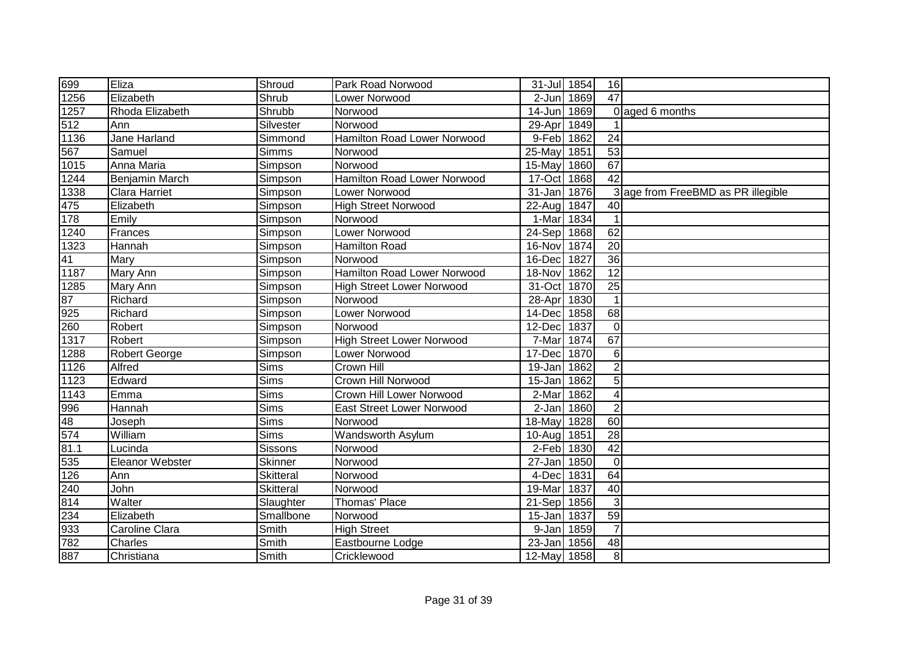| 699                      | Eliza                | Shroud                   | Park Road Norwood                | 31-Jul 1854 |      | 16              |                                    |
|--------------------------|----------------------|--------------------------|----------------------------------|-------------|------|-----------------|------------------------------------|
| 1256                     | Elizabeth            | Shrub                    | Lower Norwood                    | 2-Jun       | 1869 | $\overline{47}$ |                                    |
| 1257                     | Rhoda Elizabeth      | Shrubb                   | Norwood                          | 14-Jun      | 1869 |                 | 0 aged 6 months                    |
|                          | Ann                  | Silvester                | Norwood                          | 29-Apr      | 1849 |                 |                                    |
| $\frac{512}{1136}$       | <b>Jane Harland</b>  | Simmond                  | Hamilton Road Lower Norwood      | 9-Feb 1862  |      | $\overline{24}$ |                                    |
| 567                      | Samuel               | <b>Simms</b>             | Norwood                          | 25-May      | 1851 | $\overline{53}$ |                                    |
| 1015                     | Anna Maria           | Simpson                  | Norwood                          | 15-May      | 1860 | 67              |                                    |
| 1244                     | Benjamin March       | Simpson                  | Hamilton Road Lower Norwood      | 17-Oct      | 1868 | $\overline{42}$ |                                    |
| 1338                     | <b>Clara Harriet</b> | Simpson                  | Lower Norwood                    | 31-Jan 1876 |      |                 | 3 age from FreeBMD as PR illegible |
| 475                      | Elizabeth            | Simpson                  | <b>High Street Norwood</b>       | 22-Aug 1847 |      | 40              |                                    |
| 178                      | Emily                | Simpson                  | Norwood                          | 1-Mar       | 1834 |                 |                                    |
| 1240                     | Frances              | Simpson                  | Lower Norwood                    | 24-Sep 1868 |      | 62              |                                    |
| 1323                     | Hannah               | Simpson                  | <b>Hamilton Road</b>             | 16-Nov      | 1874 | $\overline{20}$ |                                    |
| 41                       | Mary                 | Simpson                  | Norwood                          | 16-Dec      | 1827 | $\overline{36}$ |                                    |
| $\overline{1187}$        | Mary Ann             | Simpson                  | Hamilton Road Lower Norwood      | 18-Nov      | 1862 | 12              |                                    |
| 1285                     | Mary Ann             | Simpson                  | <b>High Street Lower Norwood</b> | 31-Oct      | 1870 | 25              |                                    |
| 87                       | Richard              | Simpson                  | Norwood                          | 28-Apr      | 1830 |                 |                                    |
| 925                      | Richard              | Simpson                  | Lower Norwood                    | 14-Dec      | 1858 | 68              |                                    |
| 260                      | Robert               | Simpson                  | Norwood                          | 12-Dec      | 1837 | $\mathbf 0$     |                                    |
| $\sqrt{1317}$            | Robert               | Simpson                  | <b>High Street Lower Norwood</b> | 7-Mar       | 1874 | 67              |                                    |
| 1288                     | <b>Robert George</b> | Simpson                  | Lower Norwood                    | 17-Dec      | 1870 | 6               |                                    |
| 1126                     | Alfred               | Sims                     | Crown Hill                       | 19-Jan 1862 |      | $\overline{2}$  |                                    |
| 1123                     | Edward               | Sims                     | Crown Hill Norwood               | 15-Jan      | 1862 | 5               |                                    |
| 1143                     | Emma                 | Sims                     | Crown Hill Lower Norwood         | 2-Mar       | 1862 | 4               |                                    |
|                          | Hannah               | Sims                     | <b>East Street Lower Norwood</b> | 2-Jan       | 1860 | $\overline{2}$  |                                    |
|                          | Joseph               | Sims                     | Norwood                          | 18-May      | 1828 | 60              |                                    |
| 996<br>48<br>574<br>81.1 | William              | $\overline{\text{Sims}}$ | Wandsworth Asylum                | 10-Aug      | 1851 | $\overline{28}$ |                                    |
|                          | Lucinda              | Sissons                  | Norwood                          | 2-Feb 1830  |      | 42              |                                    |
| 535                      | Eleanor Webster      | Skinner                  | Norwood                          | 27-Jan      | 1850 | $\mathbf 0$     |                                    |
| 126                      | Ann                  | <b>Skitteral</b>         | Norwood                          | 4-Dec       | 1831 | 64              |                                    |
| 240                      | John                 | <b>Skitteral</b>         | Norwood                          | 19-Mar      | 1837 | 40              |                                    |
| 814                      | Walter               | Slaughter                | Thomas' Place                    | 21-Sep 1856 |      | $\mathfrak{3}$  |                                    |
| 234                      | Elizabeth            | Smallbone                | Norwood                          | 15-Jan      | 1837 | 59              |                                    |
| 933                      | Caroline Clara       | Smith                    | <b>High Street</b>               | 9-Jan       | 1859 | $\overline{7}$  |                                    |
| 782                      | Charles              | Smith                    | Eastbourne Lodge                 | 23-Jan      | 1856 | 48              |                                    |
| 887                      | Christiana           | Smith                    | Cricklewood                      | 12-May 1858 |      | 8               |                                    |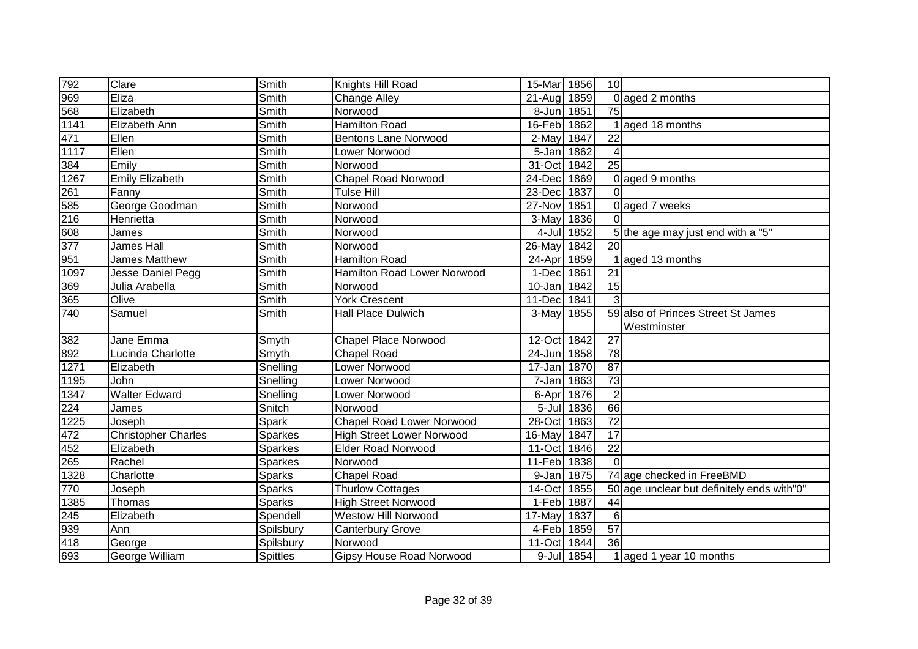| 792                | Clare                      | Smith                        | Knights Hill Road                | 15-Mar      | 1856       | 10 <sup>1</sup> |                                            |
|--------------------|----------------------------|------------------------------|----------------------------------|-------------|------------|-----------------|--------------------------------------------|
| 969                | Eliza                      | Smith                        | <b>Change Alley</b>              | 21-Aug 1859 |            |                 | 0 aged 2 months                            |
| 568                | Elizabeth                  | Smith                        | Norwood                          | 8-Jun       | 1851       | 75              |                                            |
| 1141               | Elizabeth Ann              | Smith                        | <b>Hamilton Road</b>             | 16-Feb 1862 |            |                 | 1 aged 18 months                           |
| 471<br>1117        | Ellen                      | $\overline{\mathsf{Sm}}$ ith | <b>Bentons Lane Norwood</b>      | $2$ -May    | 1847       | $\overline{22}$ |                                            |
|                    | Ellen                      | Smith                        | Lower Norwood                    | 5-Jan       | 1862       | 4               |                                            |
| 384                | Emily                      | Smith                        | Norwood                          | 31-Oct      | 1842       | $\overline{25}$ |                                            |
| 1267               | <b>Emily Elizabeth</b>     | Smith                        | <b>Chapel Road Norwood</b>       | 24-Dec      | 1869       |                 | 0 aged 9 months                            |
| 261                | Fanny                      | Smith                        | <b>Tulse Hill</b>                | 23-Dec      | 1837       | 0               |                                            |
| 585                | George Goodman             | Smith                        | Norwood                          | 27-Nov      | 1851       |                 | 0 aged 7 weeks                             |
| 216                | Henrietta                  | Smith                        | Norwood                          | 3-May       | 1836       | $\Omega$        |                                            |
| 608                | James                      | Smith                        | Norwood                          | 4-Jul       | 1852       |                 | 5 the age may just end with a "5"          |
| 377                | James Hall                 | Smith                        | Norwood                          | 26-May      | 1842       | $\overline{20}$ |                                            |
| 951                | James Matthew              | Smith                        | <b>Hamilton Road</b>             | 24-Apr      | 1859       |                 | aged 13 months                             |
| $\frac{1097}{x}$   | Jesse Daniel Pegg          | Smith                        | Hamilton Road Lower Norwood      | 1-Dec       | 1861       | 21              |                                            |
| 369                | Julia Arabella             | Smith                        | Norwood                          | 10-Jan      | 1842       | 15              |                                            |
| 365                | Olive                      | Smith                        | <b>York Crescent</b>             | 11-Dec      | 1841       | 3               |                                            |
| 740                | Samuel                     | Smith                        | <b>Hall Place Dulwich</b>        | 3-May       | 1855       |                 | 59 also of Princes Street St James         |
|                    |                            |                              |                                  |             |            |                 | Westminster                                |
| 382                | Jane Emma                  | Smyth                        | <b>Chapel Place Norwood</b>      | 12-Oct 1842 |            | 27              |                                            |
| 892                | Lucinda Charlotte          | Smyth                        | <b>Chapel Road</b>               | 24-Jun 1858 |            | 78              |                                            |
| 1271               | Elizabeth                  | Snelling                     | Lower Norwood                    | 17-Jan 1870 |            | $\overline{87}$ |                                            |
| 1195               | John                       | Snelling                     | Lower Norwood                    | 7-Jan       | 1863       | $\overline{73}$ |                                            |
| 1347               | <b>Walter Edward</b>       | Snelling                     | Lower Norwood                    | 6-Apr       | 1876       | $\overline{2}$  |                                            |
| $\frac{224}{1225}$ | James                      | Snitch                       | Norwood                          |             | 5-Jul 1836 | 66              |                                            |
|                    | Joseph                     | Spark                        | <b>Chapel Road Lower Norwood</b> | 28-Oct      | 1863       | $\overline{72}$ |                                            |
| 472                | <b>Christopher Charles</b> | <b>Sparkes</b>               | <b>High Street Lower Norwood</b> | 16-May      | 1847       | $\overline{17}$ |                                            |
| 452                | Elizabeth                  | Sparkes                      | <b>Elder Road Norwood</b>        | 11-Oct      | 1846       | $\overline{22}$ |                                            |
| 265                | Rachel                     | Sparkes                      | Norwood                          | 11-Feb      | 1838       | $\Omega$        |                                            |
| 1328               | Charlotte                  | <b>Sparks</b>                | <b>Chapel Road</b>               | 9-Jan 1875  |            |                 | 74 age checked in FreeBMD                  |
| 770                | Joseph                     | <b>Sparks</b>                | Thurlow Cottages                 | 14-Oct      | 1855       |                 | 50 age unclear but definitely ends with"0" |
| 1385               | Thomas                     | <b>Sparks</b>                | <b>High Street Norwood</b>       | 1-Feb 1887  |            | 44              |                                            |
| 245                | Elizabeth                  | Spendell                     | Westow Hill Norwood              | 17-May      | 1837       | $\,6$           |                                            |
| 939                | Ann                        | Spilsbury                    | <b>Canterbury Grove</b>          | 4-Feb 1859  |            | $\overline{57}$ |                                            |
| 418                | George                     | Spilsbury                    | Norwood                          | 11-Oct      | 1844       | 36              |                                            |
| 693                | George William             | <b>Spittles</b>              | <b>Gipsy House Road Norwood</b>  |             | 9-Jul 1854 |                 | 1 aged 1 year 10 months                    |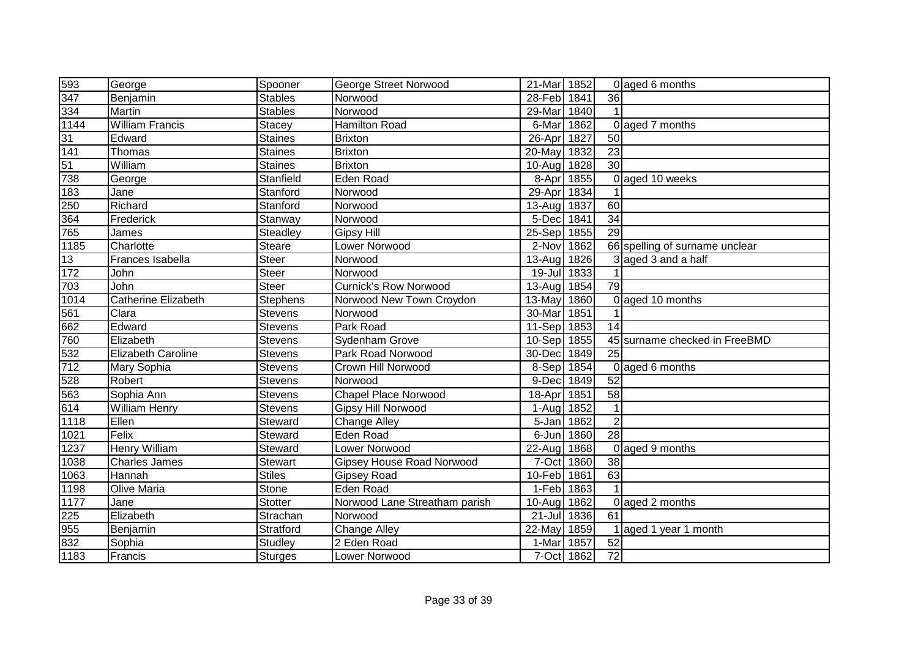| 593                 | George                     | Spooner         | George Street Norwood            | 21-Mar 1852 |      |                 | 0 aged 6 months                |
|---------------------|----------------------------|-----------------|----------------------------------|-------------|------|-----------------|--------------------------------|
| 347                 | Benjamin                   | <b>Stables</b>  | Norwood                          | 28-Feb 1841 |      | 36              |                                |
| 334                 | Martin                     | <b>Stables</b>  | Norwood                          | 29-Mar      | 1840 |                 |                                |
| 1144                | <b>William Francis</b>     | <b>Stacey</b>   | <b>Hamilton Road</b>             | 6-Mar       | 1862 |                 | 0 aged 7 months                |
| $\frac{31}{141}$    | Edward                     | Staines         | <b>Brixton</b>                   | $26$ -Apr   | 1827 | 50              |                                |
|                     | Thomas                     | Staines         | <b>Brixton</b>                   | 20-May      | 1832 | $\overline{23}$ |                                |
| $rac{1}{51}$<br>738 | William                    | <b>Staines</b>  | <b>Brixton</b>                   | 10-Aug      | 1828 | 30              |                                |
|                     | George                     | Stanfield       | <b>Eden Road</b>                 | 8-Apr       | 1855 |                 | 0 aged 10 weeks                |
| 183                 | Jane                       | Stanford        | Norwood                          | 29-Apr      | 1834 |                 |                                |
| 250                 | Richard                    | Stanford        | Norwood                          | 13-Aug 1837 |      | 60              |                                |
| 364                 | Frederick                  | Stanway         | Norwood                          | 5-Dec 1841  |      | 34              |                                |
| 765                 | James                      | Steadley        | <b>Gipsy Hill</b>                | 25-Sep 1855 |      | 29              |                                |
| 1185                | Charlotte                  | <b>Steare</b>   | Lower Norwood                    | 2-Nov       | 1862 |                 | 66 spelling of surname unclear |
| 13                  | Frances Isabella           | <b>Steer</b>    | Norwood                          | 13-Aug      | 1826 |                 | 3 aged 3 and a half            |
| 172                 | John                       | <b>Steer</b>    | Norwood                          | 19-Jul      | 1833 |                 |                                |
| 703                 | <b>John</b>                | <b>Steer</b>    | <b>Curnick's Row Norwood</b>     | 13-Aug      | 1854 | 79              |                                |
| 1014                | <b>Catherine Elizabeth</b> | <b>Stephens</b> | Norwood New Town Croydon         | 13-May      | 1860 |                 | 0 aged 10 months               |
| 561                 | Clara                      | <b>Stevens</b>  | Norwood                          | 30-Mar      | 1851 |                 |                                |
| 662                 | Edward                     | Stevens         | Park Road                        | 11-Sep 1853 |      | 14              |                                |
| 760                 | Elizabeth                  | Stevens         | Sydenham Grove                   | 10-Sep 1855 |      |                 | 45 surname checked in FreeBMD  |
| 532                 | Elizabeth Caroline         | Stevens         | Park Road Norwood                | 30-Dec 1849 |      | 25              |                                |
| 712                 | Mary Sophia                | Stevens         | Crown Hill Norwood               | 8-Sep 1854  |      |                 | 0 aged 6 months                |
| 528                 | Robert                     | Stevens         | Norwood                          | 9-Dec 1849  |      | 52              |                                |
| 563                 | Sophia Ann                 | <b>Stevens</b>  | <b>Chapel Place Norwood</b>      | 18-Apr      | 1851 | 58              |                                |
| $\frac{614}{1118}$  | <b>William Henry</b>       | <b>Stevens</b>  | <b>Gipsy Hill Norwood</b>        | 1-Aug 1852  |      |                 |                                |
|                     | Ellen                      | Steward         | <b>Change Alley</b>              | 5-Jan 1862  |      | $\overline{2}$  |                                |
| 1021                | Felix                      | Steward         | Eden Road                        | 6-Jun 1860  |      | 28              |                                |
| 1237                | <b>Henry William</b>       | Steward         | Lower Norwood                    | 22-Aug      | 1868 |                 | 0 aged 9 months                |
| 1038                | <b>Charles James</b>       | Stewart         | <b>Gipsey House Road Norwood</b> | 7-Oct       | 1860 | 38              |                                |
| 1063                | Hannah                     | <b>Stiles</b>   | <b>Gipsey Road</b>               | 10-Feb      | 1861 | 63              |                                |
| 1198                | Olive Maria                | Stone           | <b>Eden Road</b>                 | 1-Feb 1863  |      |                 |                                |
| 1177                | Jane                       | <b>Stotter</b>  | Norwood Lane Streatham parish    | 10-Aug 1862 |      |                 | 0 aged 2 months                |
| 225                 | Elizabeth                  | Strachan        | Norwood                          | $21 -$ Jul  | 1836 | 61              |                                |
| 955                 | Benjamin                   | Stratford       | <b>Change Alley</b>              | 22-May      | 1859 |                 | aged 1 year 1 month            |
| 832                 | Sophia                     | <b>Studley</b>  | 2 Eden Road                      | 1-Mar       | 1857 | 52              |                                |
| 1183                | Francis                    | <b>Sturges</b>  | Lower Norwood                    | 7-Oct 1862  |      | 72              |                                |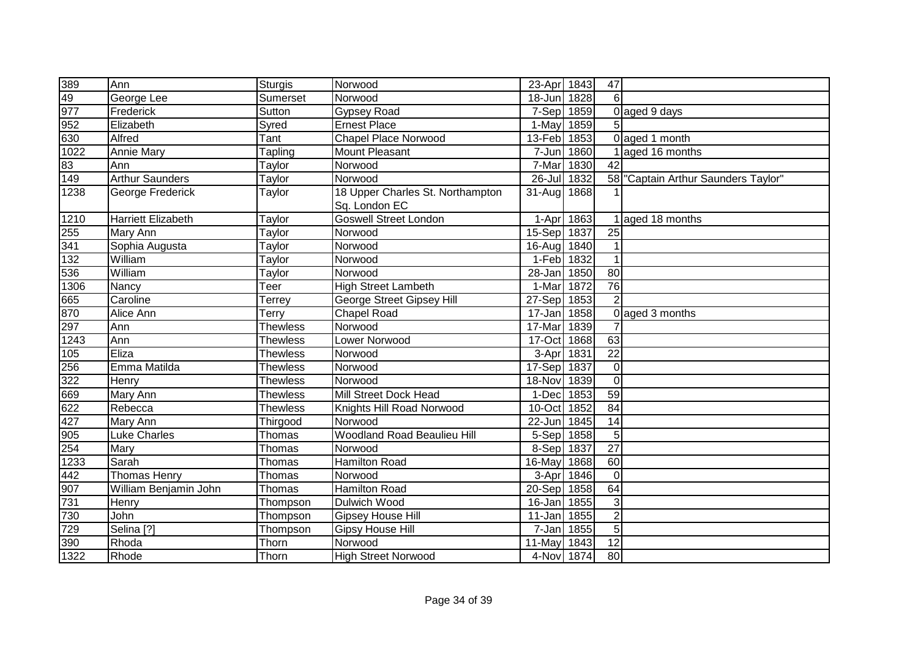| 389                       | Ann                       | <b>Sturgis</b>  | Norwood                            | 23-Apr 1843 |            | 47              |                                    |
|---------------------------|---------------------------|-----------------|------------------------------------|-------------|------------|-----------------|------------------------------------|
| 49                        | George Lee                | Sumerset        | Norwood                            | 18-Jun 1828 |            | 6               |                                    |
| 977                       | Frederick                 | Sutton          | <b>Gypsey Road</b>                 | 7-Sep 1859  |            |                 | 0 aged 9 days                      |
|                           | Elizabeth                 | Syred           | <b>Ernest Place</b>                | 1-May       | 1859       | 5               |                                    |
|                           | Alfred                    | Tant            | <b>Chapel Place Norwood</b>        | 13-Feb 1853 |            |                 | 0 aged 1 month                     |
| $\frac{952}{630}$<br>1022 | <b>Annie Mary</b>         | Tapling         | <b>Mount Pleasant</b>              | 7-Jun       | 1860       |                 | aged 16 months                     |
| $\frac{83}{149}$          | Ann                       | Taylor          | Norwood                            | 7-Mar       | 1830       | 42              |                                    |
|                           | <b>Arthur Saunders</b>    | Taylor          | Norwood                            | 26-Jul 1832 |            |                 | 58 Captain Arthur Saunders Taylor" |
| 1238                      | George Frederick          | Taylor          | 18 Upper Charles St. Northampton   | 31-Aug 1868 |            |                 |                                    |
|                           |                           |                 | Sq. London EC                      |             |            |                 |                                    |
| 1210                      | <b>Harriett Elizabeth</b> | Taylor          | Goswell Street London              |             | 1-Apr 1863 |                 | 1 aged 18 months                   |
| 255                       | Mary Ann                  | Taylor          | Norwood                            | 15-Sep 1837 |            | $\overline{25}$ |                                    |
| 341                       | Sophia Augusta            | Taylor          | Norwood                            | 16-Aug      | 1840       |                 |                                    |
| 132                       | William                   | Taylor          | Norwood                            | 1-Feb 1832  |            | $\mathbf 1$     |                                    |
| 536                       | William                   | Taylor          | Norwood                            | 28-Jan      | 1850       | 80              |                                    |
| 1306                      | Nancy                     | Teer            | <b>High Street Lambeth</b>         | 1-Mar       | 1872       | 76              |                                    |
| 665                       | Caroline                  | Terrey          | George Street Gipsey Hill          | 27-Sep      | 1853       | $\overline{2}$  |                                    |
| 870                       | Alice Ann                 | Terry           | <b>Chapel Road</b>                 | 17-Jan      | 1858       |                 | 0 aged 3 months                    |
| 297                       | Ann                       | <b>Thewless</b> | Norwood                            | 17-Mar      | 1839       |                 |                                    |
| 1243                      | Ann                       | <b>Thewless</b> | Lower Norwood                      | 17-Oct 1868 |            | 63              |                                    |
| 105                       | Eliza                     | <b>Thewless</b> | Norwood                            | 3-Apr       | 1831       | $\overline{22}$ |                                    |
| 256                       | Emma Matilda              | <b>Thewless</b> | Norwood                            | 17-Sep 1837 |            | $\mathbf 0$     |                                    |
| 322                       | Henry                     | <b>Thewless</b> | Norwood                            | 18-Nov 1839 |            | $\mathbf 0$     |                                    |
| 669                       | Mary Ann                  | <b>Thewless</b> | Mill Street Dock Head              | 1-Dec 1853  |            | 59              |                                    |
| 622<br>427                | Rebecca                   | <b>Thewless</b> | Knights Hill Road Norwood          | 10-Oct 1852 |            | 84              |                                    |
|                           | Mary Ann                  | Thirgood        | Norwood                            | 22-Jun 1845 |            | 14              |                                    |
|                           | <b>Luke Charles</b>       | Thomas          | <b>Woodland Road Beaulieu Hill</b> | 5-Sep 1858  |            | 5               |                                    |
| $\frac{1}{905}$<br>254    | Mary                      | Thomas          | Norwood                            | 8-Sep 1837  |            | 27              |                                    |
| 1233                      | Sarah                     | Thomas          | <b>Hamilton Road</b>               | 16-May      | 1868       | 60              |                                    |
| 442                       | <b>Thomas Henry</b>       | Thomas          | Norwood                            | 3-Apr       | 1846       | $\overline{0}$  |                                    |
| 907                       | William Benjamin John     | Thomas          | Hamilton Road                      | 20-Sep 1858 |            | 64              |                                    |
| 731                       | Henry                     | Thompson        | Dulwich Wood                       | 16-Jan 1855 |            | $\mathfrak{S}$  |                                    |
| 730                       | John                      | Thompson        | <b>Gipsey House Hill</b>           | 11-Jan 1855 |            | $\sqrt{2}$      |                                    |
| $\overline{729}$          | Selina $\overline{[?]}$   | Thompson        | Gipsy House Hill                   | 7-Jan       | 1855       | 5               |                                    |
| 390                       | Rhoda                     | Thorn           | Norwood                            | 11-May      | 1843       | 12              |                                    |
| 1322                      | Rhode                     | Thorn           | <b>High Street Norwood</b>         | 4-Nov 1874  |            | 80              |                                    |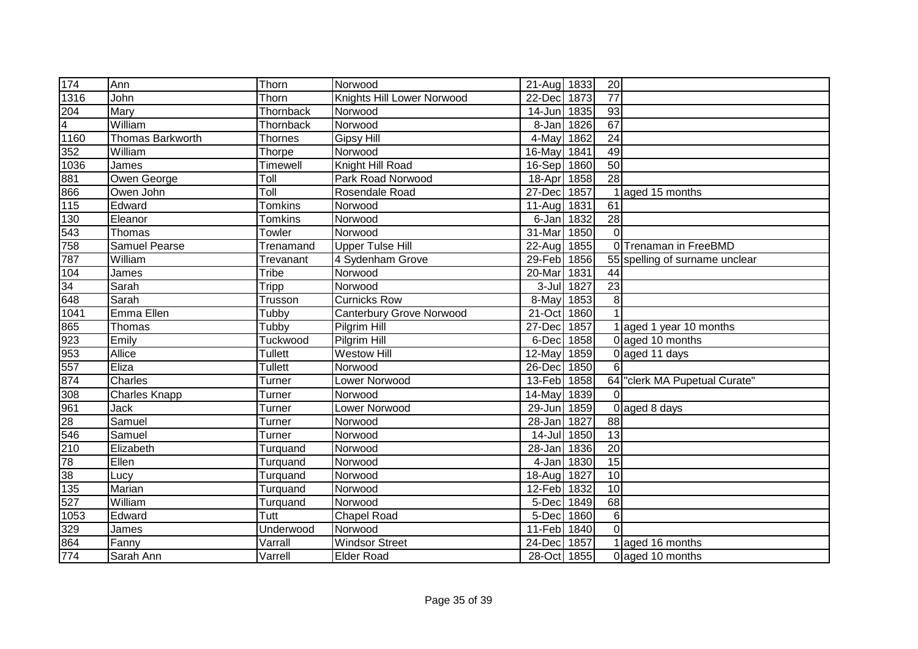| $\overline{174}$ | Ann                     | Thorn          | Norwood                         | 21-Aug 1833 |            | 20              |                                |
|------------------|-------------------------|----------------|---------------------------------|-------------|------------|-----------------|--------------------------------|
| 1316             | John                    | Thorn          | Knights Hill Lower Norwood      | 22-Dec      | 1873       | $\overline{77}$ |                                |
| 204              | Mary                    | Thornback      | Norwood                         | 14-Jun      | 1835       | 93              |                                |
| $\overline{4}$   | William                 | Thornback      | Norwood                         | 8-Jan       | 1826       | 67              |                                |
| 1160             | <b>Thomas Barkworth</b> | <b>Thornes</b> | <b>Gipsy Hill</b>               | 4-May       | 1862       | $\overline{24}$ |                                |
| 352              | William                 | Thorpe         | Norwood                         | 16-May      | 1841       | 49              |                                |
| 1036             | James                   | Timewell       | Knight Hill Road                | 16-Sep 1860 |            | 50              |                                |
| 881              | Owen George             | Toll           | Park Road Norwood               | 18-Apr      | 1858       | $\overline{28}$ |                                |
| 866              | Owen John               | Toll           | Rosendale Road                  | 27-Dec      | 1857       |                 | aged 15 months                 |
| $115$            | Edward                  | <b>Tomkins</b> | Norwood                         | 11-Aug 1831 |            | 61              |                                |
| 130              | Eleanor                 | Tomkins        | Norwood                         |             | 6-Jan 1832 | $\overline{28}$ |                                |
| 543              | Thomas                  | Towler         | Norwood                         | 31-Mar      | 1850       | $\Omega$        |                                |
| 758              | <b>Samuel Pearse</b>    | Trenamand      | <b>Upper Tulse Hill</b>         | 22-Aug      | 1855       |                 | 0 Trenaman in FreeBMD          |
| 787              | William                 | Trevanant      | 4 Sydenham Grove                | 29-Feb      | 1856       |                 | 55 spelling of surname unclear |
| 104              | James                   | <b>Tribe</b>   | Norwood                         | 20-Mar      | 1831       | 44              |                                |
| 34               | Sarah                   | Tripp          | Norwood                         |             | 3-Jul 1827 | 23              |                                |
| 648              | Sarah                   | Trusson        | <b>Curnicks Row</b>             | 8-May       | 1853       | 8               |                                |
| 1041             | Emma Ellen              | Tubby          | <b>Canterbury Grove Norwood</b> | 21-Oct      | 1860       | $\overline{1}$  |                                |
| 865              | Thomas                  | Tubby          | Pilgrim Hill                    | 27-Dec      | 1857       |                 | 1 aged 1 year 10 months        |
| 923              | Emily                   | Tuckwood       | Pilgrim Hill                    | 6-Dec       | 1858       |                 | 0 aged 10 months               |
| 953              | Allice                  | Tullett        | <b>Westow Hill</b>              | 12-May 1859 |            |                 | 0 aged 11 days                 |
| 557              | Eliza                   | <b>Tullett</b> | Norwood                         | 26-Dec      | 1850       | $6\overline{6}$ |                                |
| 874              | Charles                 | <b>Turner</b>  | Lower Norwood                   | 13-Feb 1858 |            | 64              | "clerk MA Pupetual Curate"     |
| 308              | <b>Charles Knapp</b>    | Turner         | Norwood                         | 14-May      | 1839       | $\Omega$        |                                |
| 961              | Jack                    | <b>Turner</b>  | Lower Norwood                   | 29-Jun      | 1859       |                 | 0 aged 8 days                  |
| 28               | Samuel                  | Turner         | Norwood                         | 28-Jan 1827 |            | 88              |                                |
| 546              | Samuel                  | Turner         | Norwood                         | 14-Jul 1850 |            | $\overline{13}$ |                                |
| 210              | Elizabeth               | Turquand       | Norwood                         | 28-Jan      | 1836       | 20              |                                |
| 78               | Ellen                   | Turquand       | Norwood                         | 4-Jan       | 1830       | 15              |                                |
| 38               | Lucy                    | Turquand       | Norwood                         | 18-Aug      | 1827       | 10              |                                |
| 135              | Marian                  | Turquand       | Norwood                         | 12-Feb 1832 |            | 10              |                                |
| 527              | William                 | Turquand       | Norwood                         | 5-Dec       | 1849       | 68              |                                |
| 1053             | Edward                  | Tutt           | <b>Chapel Road</b>              | 5-Dec       | 1860       | $\,6$           |                                |
| 329              | James                   | Underwood      | Norwood                         | 11-Feb      | 1840       | $\Omega$        |                                |
| 864              | Fanny                   | Varrall        | <b>Windsor Street</b>           | 24-Dec      | 1857       |                 | 1 aged 16 months               |
| 774              | Sarah Ann               | Varrell        | <b>Elder Road</b>               | 28-Oct 1855 |            |                 | 0 aged 10 months               |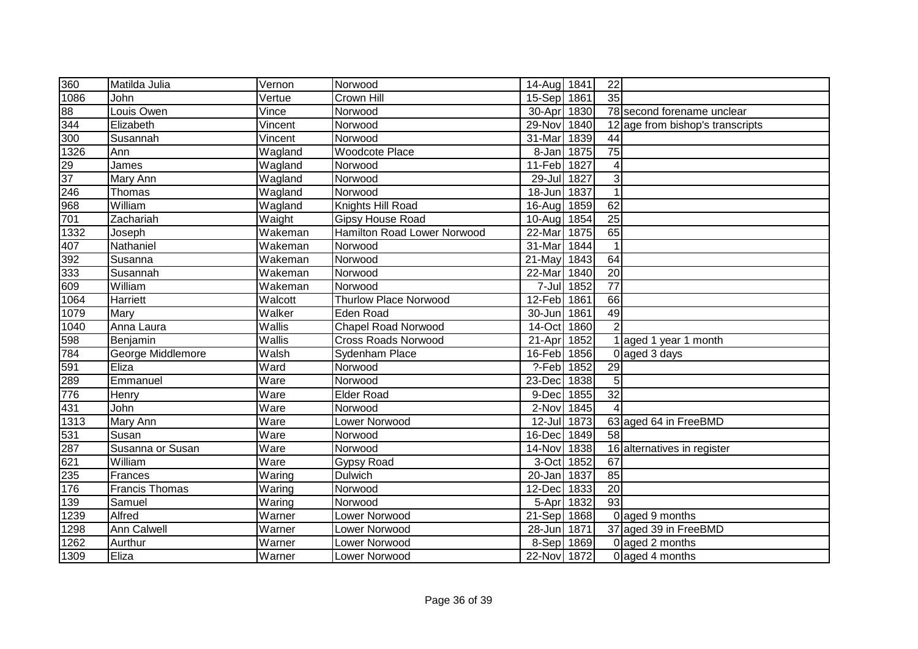| 360              | Matilda Julia     | Vernon  | Norwood                      | 14-Aug 1841 |      | 22              |                                  |
|------------------|-------------------|---------|------------------------------|-------------|------|-----------------|----------------------------------|
| 1086             | John              | Vertue  | Crown Hill                   | 15-Sep 1861 |      | $\overline{35}$ |                                  |
| 88               | Louis Owen        | Vince   | Norwood                      | $30-Apr$    | 1830 |                 | 78 second forename unclear       |
| 344              | Elizabeth         | Vincent | Norwood                      | 29-Nov 1840 |      |                 | 12 age from bishop's transcripts |
| 300              | Susannah          | Vincent | Norwood                      | 31-Mar      | 1839 | $\overline{44}$ |                                  |
| 1326             | Ann               | Wagland | <b>Woodcote Place</b>        | 8-Jan 1875  |      | $\overline{75}$ |                                  |
| 29               | James             | Wagland | Norwood                      | 11-Feb      | 1827 | 4               |                                  |
| $\overline{37}$  | Mary Ann          | Wagland | Norwood                      | $29 -$ Jul  | 1827 | 3               |                                  |
| 246              | Thomas            | Wagland | Norwood                      | 18-Jun      | 1837 | $\mathbf 1$     |                                  |
| 968              | William           | Wagland | Knights Hill Road            | $16$ -Aug   | 1859 | 62              |                                  |
| 701              | Zachariah         | Waight  | Gipsy House Road             | 10-Aug      | 1854 | $\overline{25}$ |                                  |
| 1332             | Joseph            | Wakeman | Hamilton Road Lower Norwood  | 22-Mar      | 1875 | 65              |                                  |
| 407              | Nathaniel         | Wakeman | Norwood                      | 31-Mar      | 1844 | $\mathbf 1$     |                                  |
| 392              | Susanna           | Wakeman | Norwood                      | 21-May      | 1843 | 64              |                                  |
| 333              | Susannah          | Wakeman | Norwood                      | 22-Mar      | 1840 | 20              |                                  |
| 609              | William           | Wakeman | Norwood                      | 7-Jul       | 1852 | 77              |                                  |
| 1064             | Harriett          | Walcott | <b>Thurlow Place Norwood</b> | 12-Feb      | 1861 | 66              |                                  |
| 1079             | Mary              | Walker  | Eden Road                    | 30-Jun      | 1861 | 49              |                                  |
| 1040             | Anna Laura        | Wallis  | <b>Chapel Road Norwood</b>   | 14-Oct      | 1860 | $\overline{2}$  |                                  |
| 598              | Benjamin          | Wallis  | <b>Cross Roads Norwood</b>   | 21-Apr      | 1852 |                 | 1 aged 1 year 1 month            |
| 784              | George Middlemore | Walsh   | Sydenham Place               | 16-Feb 1856 |      |                 | 0 aged 3 days                    |
| 591              | Eliza             | Ward    | Norwood                      | ?-Feb 1852  |      | 29              |                                  |
| 289              | Emmanuel          | Ware    | Norwood                      | 23-Dec      | 1838 | $\overline{5}$  |                                  |
| 776              | Henry             | Ware    | <b>Elder Road</b>            | 9-Dec       | 1855 | 32              |                                  |
| 431              | John              | Ware    | Norwood                      | 2-Nov 1845  |      |                 |                                  |
| 1313             | Mary Ann          | Ware    | Lower Norwood                | 12-Jul 1873 |      |                 | 63 aged 64 in FreeBMD            |
| 531              | Susan             | Ware    | Norwood                      | 16-Dec      | 1849 | $\overline{58}$ |                                  |
| 287              | Susanna or Susan  | Ware    | Norwood                      | 14-Nov 1838 |      |                 | 16 alternatives in register      |
| $\overline{62}1$ | William           | Ware    | <b>Gypsy Road</b>            | 3-Oct 1852  |      | 67              |                                  |
| 235              | Frances           | Waring  | Dulwich                      | 20-Jan 1837 |      | 85              |                                  |
| 176              | Francis Thomas    | Waring  | Norwood                      | 12-Dec 1833 |      | $\overline{20}$ |                                  |
| 139              | Samuel            | Waring  | Norwood                      | 5-Apr       | 1832 | 93              |                                  |
| 1239             | Alfred            | Warner  | Lower Norwood                | 21-Sep 1868 |      |                 | 0 aged 9 months                  |
| 1298             | Ann Calwell       | Warner  | Lower Norwood                | 28-Jun      | 1871 |                 | 37 aged 39 in FreeBMD            |
| 1262             | Aurthur           | Warner  | Lower Norwood                | 8-Sep 1869  |      |                 | 0 aged 2 months                  |
| 1309             | Eliza             | Warner  | Lower Norwood                | 22-Nov 1872 |      |                 | 0 aged 4 months                  |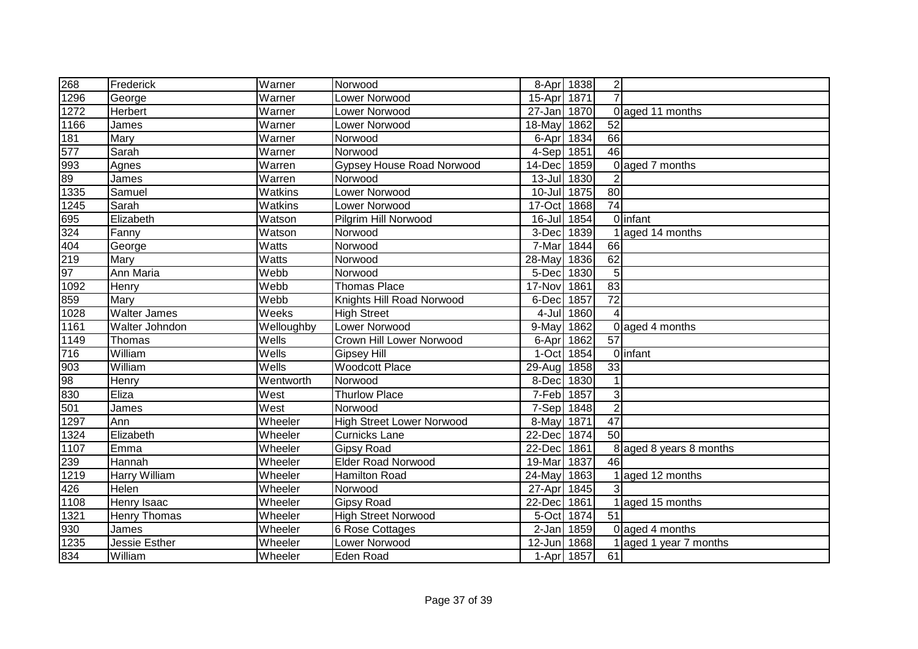| 268              | Frederick           | Warner     | Norwood                          | 8-Apr 1838  |      | $\overline{2}$          |                         |
|------------------|---------------------|------------|----------------------------------|-------------|------|-------------------------|-------------------------|
| 1296             | George              | Warner     | Lower Norwood                    | 15-Apr      | 1871 | $\overline{7}$          |                         |
| $\frac{1}{1272}$ | Herbert             | Warner     | Lower Norwood                    | 27-Jan 1870 |      | $\Omega$                | aged 11 months          |
| 1166             | James               | Warner     | Lower Norwood                    | 18-May      | 1862 | 52                      |                         |
| 181              | Mary                | Warner     | Norwood                          | 6-Apr       | 1834 | 66                      |                         |
| 577              | Sarah               | Warner     | Norwood                          | 4-Sep 1851  |      | 46                      |                         |
| 993              | Agnes               | Warren     | <b>Gypsey House Road Norwood</b> | 14-Dec 1859 |      | $\Omega$                | aged 7 months           |
| 89               | James               | Warren     | Norwood                          | 13-Jul 1830 |      | $\overline{2}$          |                         |
| 1335             | Samuel              | Watkins    | Lower Norwood                    | 10-Jul 1875 |      | 80                      |                         |
| 1245             | Sarah               | Watkins    | Lower Norwood                    | 17-Oct 1868 |      | $\overline{74}$         |                         |
| 695              | Elizabeth           | Watson     | Pilgrim Hill Norwood             | $16$ -Jul   | 1854 |                         | Olinfant                |
| 324              | Fanny               | Watson     | Norwood                          | 3-Dec 1839  |      |                         | aged 14 months          |
| $\overline{40}4$ | George              | Watts      | Norwood                          | 7-Mar       | 1844 | 66                      |                         |
| 219              | Mary                | Watts      | Norwood                          | 28-May      | 1836 | 62                      |                         |
| 97               | Ann Maria           | Webb       | Norwood                          | 5-Dec       | 1830 | 5                       |                         |
| 1092             | Henry               | Webb       | <b>Thomas Place</b>              | 17-Nov      | 1861 | 83                      |                         |
| 859              | Mary                | Webb       | Knights Hill Road Norwood        | 6-Dec       | 1857 | $\overline{72}$         |                         |
| 1028             | <b>Walter James</b> | Weeks      | <b>High Street</b>               | 4-Jul       | 1860 | $\overline{\mathbf{A}}$ |                         |
| 1161             | Walter Johndon      | Welloughby | Lower Norwood                    | 9-May       | 1862 |                         | 0 aged 4 months         |
| 1149             | Thomas              | Wells      | <b>Crown Hill Lower Norwood</b>  | 6-Apr       | 1862 | 57                      |                         |
| 716              | William             | Wells      | <b>Gipsey Hill</b>               | 1-Oct 1854  |      |                         | 0 infant                |
| 903              | William             | Wells      | <b>Woodcott Place</b>            | 29-Aug 1858 |      | 33                      |                         |
| 98               | Henry               | Wentworth  | Norwood                          | 8-Dec       | 1830 |                         |                         |
| 830              | Eliza               | West       | <b>Thurlow Place</b>             | 7-Feb 1857  |      | 3                       |                         |
| 501              | James               | West       | Norwood                          | 7-Sep 1848  |      | $\overline{2}$          |                         |
| 1297             | Ann                 | Wheeler    | <b>High Street Lower Norwood</b> | 8-May       | 1871 | $\overline{47}$         |                         |
| 1324             | Elizabeth           | Wheeler    | <b>Curnicks Lane</b>             | 22-Dec 1874 |      | 50                      |                         |
| 1107             | Emma                | Wheeler    | <b>Gipsy Road</b>                | 22-Dec 1861 |      |                         | 8 aged 8 years 8 months |
| 239              | Hannah              | Wheeler    | <b>Elder Road Norwood</b>        | 19-Mar      | 1837 | 46                      |                         |
| 1219             | Harry William       | Wheeler    | <b>Hamilton Road</b>             | 24-May      | 1863 |                         | aged 12 months          |
| 426              | Helen               | Wheeler    | Norwood                          | 27-Apr 1845 |      | 3                       |                         |
| 1108             | Henry Isaac         | Wheeler    | Gipsy Road                       | 22-Dec 1861 |      |                         | aged 15 months          |
| 1321             | Henry Thomas        | Wheeler    | <b>High Street Norwood</b>       | 5-Oct       | 1874 | 51                      |                         |
| 930              | James               | Wheeler    | 6 Rose Cottages                  | $2-Jan$     | 1859 | $\Omega$                | aged 4 months           |
| 1235             | Jessie Esther       | Wheeler    | Lower Norwood                    | 12-Jun      | 1868 |                         | aged 1 year 7 months    |
| 834              | William             | Wheeler    | Eden Road                        | 1-Apr 1857  |      | 61                      |                         |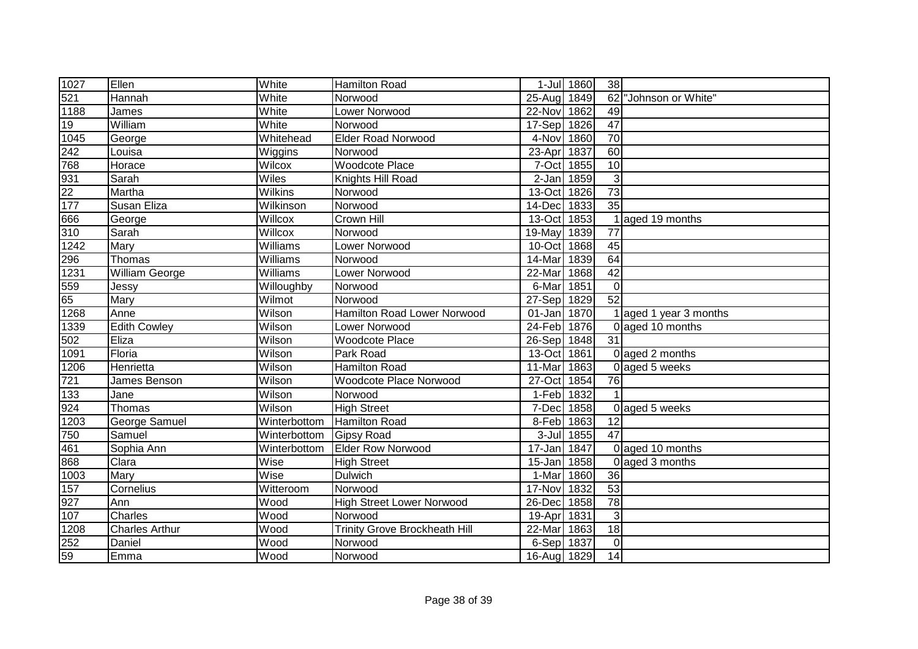| 1027             | Ellen                 | White          | <b>Hamilton Road</b>                 |             | 1-Jul 1860 | 38              |                        |
|------------------|-----------------------|----------------|--------------------------------------|-------------|------------|-----------------|------------------------|
| 521              | Hannah                | White          | Norwood                              | 25-Aug 1849 |            | 62              | "Johnson or White"     |
| 1188             | James                 | White          | Lower Norwood                        | 22-Nov      | 1862       | 49              |                        |
| 19               | William               | White          | Norwood                              | 17-Sep 1826 |            | $\overline{47}$ |                        |
| 1045             | George                | Whitehead      | <b>Elder Road Norwood</b>            | 4-Nov 1860  |            | $\overline{70}$ |                        |
| 242              | Louisa                | Wiggins        | Norwood                              | 23-Apr      | 1837       | 60              |                        |
| 768              | Horace                | Wilcox         | <b>Woodcote Place</b>                | 7-Oct 1855  |            | $\overline{10}$ |                        |
| 931              | Sarah                 | Wiles          | Knights Hill Road                    | $2-Jan$     | 1859       | 3               |                        |
| $\overline{22}$  | Martha                | <b>Wilkins</b> | Norwood                              | 13-Oct      | 1826       | 73              |                        |
| $\overline{177}$ | Susan Eliza           | Wilkinson      | Norwood                              | 14-Dec      | 1833       | $\overline{35}$ |                        |
| 666              | George                | Willcox        | Crown Hill                           | 13-Oct 1853 |            |                 | aged 19 months         |
| 310              | Sarah                 | Willcox        | Norwood                              | 19-May      | 1839       | 77              |                        |
| 1242             | Mary                  | Williams       | Lower Norwood                        | 10-Oct      | 1868       | 45              |                        |
| 296              | Thomas                | Williams       | Norwood                              | 14-Mar      | 1839       | 64              |                        |
| 1231             | <b>William George</b> | Williams       | Lower Norwood                        | 22-Mar      | 1868       | 42              |                        |
| 559              | Jessy                 | Willoughby     | Norwood                              | 6-Mar       | 1851       | $\mathbf 0$     |                        |
| 65               | Mary                  | Wilmot         | Norwood                              | 27-Sep 1829 |            | 52              |                        |
| 1268             | Anne                  | Wilson         | Hamilton Road Lower Norwood          | $01 - Jan$  | 1870       |                 | 1 aged 1 year 3 months |
| 1339             | <b>Edith Cowley</b>   | Wilson         | Lower Norwood                        | 24-Feb 1876 |            |                 | 0 aged 10 months       |
| 502              | Eliza                 | Wilson         | <b>Woodcote Place</b>                | 26-Sep 1848 |            | 31              |                        |
| 1091             | Floria                | Wilson         | Park Road                            | 13-Oct 1861 |            |                 | 0 aged 2 months        |
| 1206             | Henrietta             | Wilson         | <b>Hamilton Road</b>                 | 11-Mar      | 1863       |                 | 0 aged 5 weeks         |
| 721              | James Benson          | Wilson         | Woodcote Place Norwood               | 27-Oct      | 1854       | 76              |                        |
| $133$            | Jane                  | Wilson         | Norwood                              | 1-Feb 1832  |            |                 |                        |
| 924              | Thomas                | Wilson         | <b>High Street</b>                   | 7-Dec       | 1858       |                 | 0 aged 5 weeks         |
| 1203             | George Samuel         | Winterbottom   | <b>Hamilton Road</b>                 | 8-Feb 1863  |            | 12              |                        |
| 750              | Samuel                | Winterbottom   | <b>Gipsy Road</b>                    |             | 3-Jul 1855 | $\overline{47}$ |                        |
| 461              | Sophia Ann            | Winterbottom   | <b>Elder Row Norwood</b>             | 17-Jan      | 1847       |                 | 0 aged 10 months       |
| 868              | Clara                 | Wise           | <b>High Street</b>                   | 15-Jan      | 1858       |                 | 0 aged 3 months        |
| 1003             | Mary                  | Wise           | Dulwich                              | 1-Mar       | 1860       | 36              |                        |
| 157              | Cornelius             | Witteroom      | Norwood                              | 17-Nov      | 1832       | 53              |                        |
| 927              | Ann                   | Wood           | <b>High Street Lower Norwood</b>     | 26-Dec      | 1858       | 78              |                        |
| 107              | Charles               | Wood           | Norwood                              | 19-Apr      | 1831       | $\mathbf{3}$    |                        |
| 1208             | <b>Charles Arthur</b> | Wood           | <b>Trinity Grove Brockheath Hill</b> | 22-Mar      | 1863       | 18              |                        |
| 252              | Daniel                | Wood           | Norwood                              | 6-Sep 1837  |            | $\mathbf 0$     |                        |
| 59               | Emma                  | Wood           | Norwood                              | 16-Aug 1829 |            | 14              |                        |